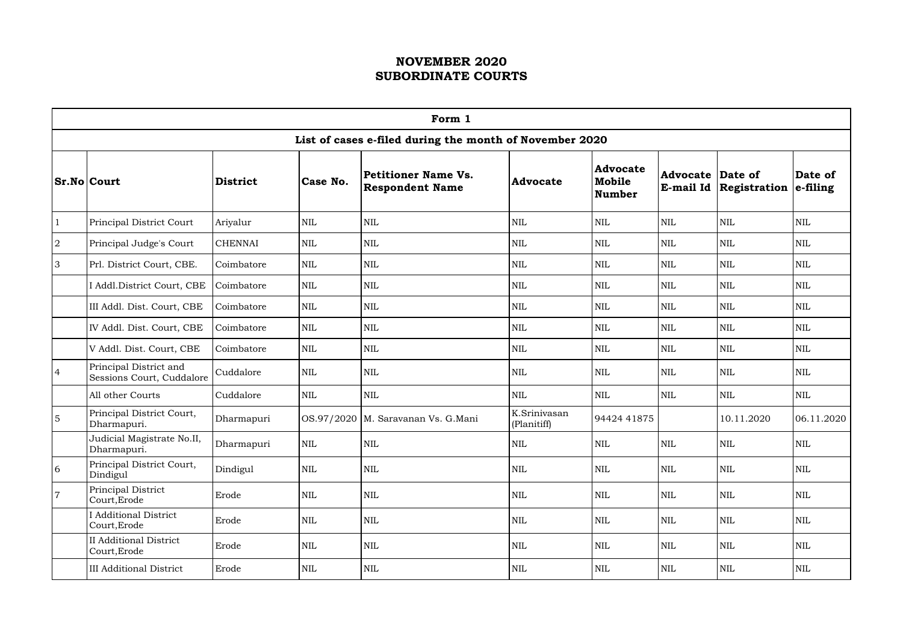|                                                        | Form 1                                              |                |              |                                                             |                             |                                            |                              |                         |                     |  |  |
|--------------------------------------------------------|-----------------------------------------------------|----------------|--------------|-------------------------------------------------------------|-----------------------------|--------------------------------------------|------------------------------|-------------------------|---------------------|--|--|
|                                                        |                                                     |                |              | List of cases e-filed during the month of November 2020     |                             |                                            |                              |                         |                     |  |  |
| <b>Sr.No Court</b>                                     |                                                     | District       | Case No.     | <b>Petitioner Name Vs.</b><br><b>Respondent Name</b>        | Advocate                    | <b>Advocate</b><br>Mobile<br><b>Number</b> | <b>Advocate</b><br>E-mail Id | Date of<br>Registration | Date of<br>e-filing |  |  |
| $\mathbf{1}$                                           | Principal District Court                            | Ariyalur       | $\mbox{NIL}$ | <b>NIL</b>                                                  | <b>NIL</b>                  | $\mbox{NIL}$                               | <b>NIL</b>                   | <b>NIL</b>              | $\mbox{NIL}$        |  |  |
| $\overline{2}$                                         | Principal Judge's Court                             | <b>CHENNAI</b> | <b>NIL</b>   | <b>NIL</b><br><b>NIL</b><br><b>NIL</b><br><b>NIL</b><br>NIL |                             |                                            | $\mbox{NIL}$                 |                         |                     |  |  |
| 3                                                      | Prl. District Court, CBE.                           | Coimbatore     | $\mbox{NIL}$ | $\mbox{NIL}$                                                | <b>NIL</b>                  | <b>NIL</b>                                 | $\mbox{NIL}$                 | <b>NIL</b>              | <b>NIL</b>          |  |  |
|                                                        | I Addl.District Court, CBE                          | Coimbatore     | $\mbox{NIL}$ | $\mbox{NIL}$                                                | <b>NIL</b>                  | $\mbox{NIL}$                               | $\mbox{NIL}$                 | <b>NIL</b>              | <b>NIL</b>          |  |  |
| III Addl. Dist. Court, CBE<br><b>NIL</b><br>Coimbatore |                                                     |                |              | <b>NIL</b>                                                  | <b>NIL</b>                  | NIL                                        | <b>NIL</b>                   | <b>NIL</b>              | <b>NIL</b>          |  |  |
|                                                        | IV Addl. Dist. Court, CBE                           | Coimbatore     | $\mbox{NIL}$ | $\mbox{NIL}$                                                | <b>NIL</b>                  | <b>NIL</b>                                 | $\mbox{NIL}$                 | <b>NIL</b>              | $\mbox{NIL}$        |  |  |
|                                                        | V Addl. Dist. Court, CBE                            | Coimbatore     | $\mbox{NIL}$ | $\mbox{NIL}$                                                | <b>NIL</b>                  | $\mbox{NIL}$                               | $\mbox{NIL}$                 | <b>NIL</b>              | <b>NIL</b>          |  |  |
| $\overline{4}$                                         | Principal District and<br>Sessions Court, Cuddalore | Cuddalore      | $\mbox{NIL}$ | <b>NIL</b>                                                  | <b>NIL</b>                  | $\mbox{NIL}$                               | $\mbox{NIL}$                 | <b>NIL</b>              | <b>NIL</b>          |  |  |
|                                                        | All other Courts                                    | Cuddalore      | <b>NIL</b>   | <b>NIL</b>                                                  | <b>NIL</b>                  | <b>NIL</b>                                 | $\mbox{NIL}$                 | <b>NIL</b>              | $\mbox{NIL}$        |  |  |
| $5\overline{)}$                                        | Principal District Court,<br>Dharmapuri.            | Dharmapuri     |              | OS.97/2020   M. Saravanan Vs. G. Mani                       | K.Srinivasan<br>(Planitiff) | 94424 41875                                |                              | 10.11.2020              | 06.11.2020          |  |  |
|                                                        | Judicial Magistrate No.II,<br>Dharmapuri.           | Dharmapuri     | $\mbox{NIL}$ | <b>NIL</b>                                                  | <b>NIL</b>                  | $\mbox{NIL}$                               | <b>NIL</b>                   | <b>NIL</b>              | <b>NIL</b>          |  |  |
| $\overline{6}$                                         | Principal District Court,<br>Dindigul               | Dindigul       | $\mbox{NIL}$ | $\mbox{NIL}$                                                | <b>NIL</b>                  | $\mbox{NIL}$                               | <b>NIL</b>                   | $\mbox{NIL}$            | <b>NIL</b>          |  |  |
| $\overline{7}$                                         | Principal District<br>Court, Erode                  | Erode          | $\mbox{NIL}$ | $\mbox{NIL}$                                                | <b>NIL</b>                  | <b>NIL</b>                                 | <b>NIL</b>                   | <b>NIL</b>              | $\mbox{NIL}$        |  |  |
|                                                        | <b>I</b> Additional District<br>Court, Erode        | Erode          | <b>NIL</b>   | NIL                                                         | <b>NIL</b>                  | <b>NIL</b>                                 | <b>NIL</b>                   | <b>NIL</b>              | <b>NIL</b>          |  |  |
|                                                        | <b>II Additional District</b><br>Court, Erode       | Erode          | $\mbox{NIL}$ | $\mbox{NIL}$                                                | <b>NIL</b>                  | $\mbox{NIL}$                               | $\mbox{NIL}$                 | <b>NIL</b>              | $\mbox{NIL}$        |  |  |
|                                                        | <b>III Additional District</b>                      | Erode          | $\mbox{NIL}$ | NIL                                                         | <b>NIL</b>                  | NIL                                        | <b>NIL</b>                   | $\mbox{NIL}$            | $\mbox{NIL}$        |  |  |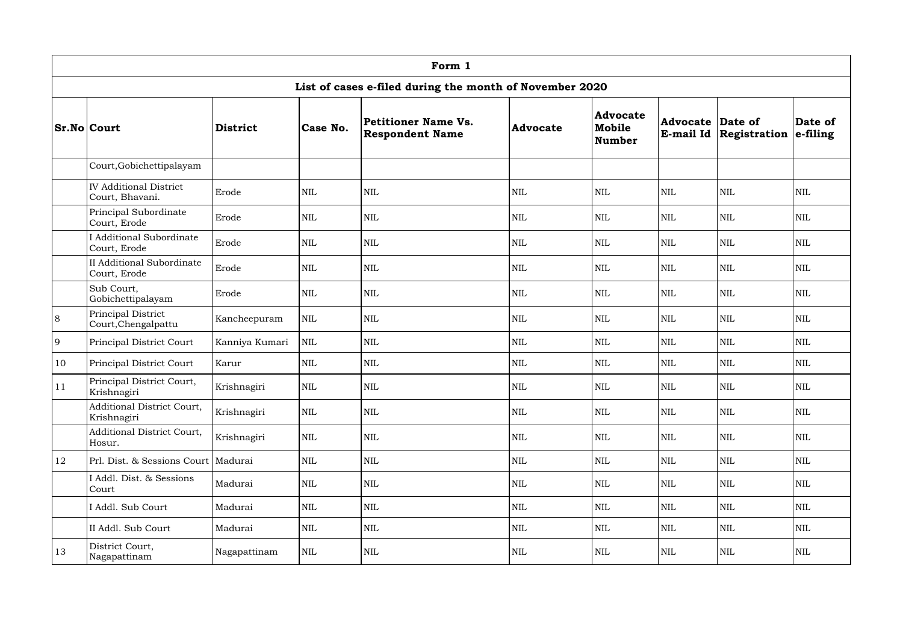|    | Form 1                                           |                 |              |                                                         |                 |                                            |                              |                         |                         |  |  |  |
|----|--------------------------------------------------|-----------------|--------------|---------------------------------------------------------|-----------------|--------------------------------------------|------------------------------|-------------------------|-------------------------|--|--|--|
|    |                                                  |                 |              | List of cases e-filed during the month of November 2020 |                 |                                            |                              |                         |                         |  |  |  |
|    | <b>Sr.No Court</b>                               | <b>District</b> | Case No.     | <b>Petitioner Name Vs.</b><br><b>Respondent Name</b>    | <b>Advocate</b> | <b>Advocate</b><br>Mobile<br><b>Number</b> | <b>Advocate</b><br>E-mail Id | Date of<br>Registration | Date of<br>$ $ e-filing |  |  |  |
|    | Court, Gobichettipalayam                         |                 |              |                                                         |                 |                                            |                              |                         |                         |  |  |  |
|    | <b>IV Additional District</b><br>Court, Bhavani. | Erode           | $\mbox{NIL}$ | <b>NIL</b>                                              | <b>NIL</b>      | <b>NIL</b>                                 | $\mbox{NIL}$                 | <b>NIL</b>              | <b>NIL</b>              |  |  |  |
|    | Principal Subordinate<br>Court, Erode            | Erode           | $\mbox{NIL}$ | <b>NIL</b>                                              | <b>NIL</b>      | $\mbox{NIL}$                               | <b>NIL</b>                   | <b>NIL</b>              | <b>NIL</b>              |  |  |  |
|    | Additional Subordinate<br>Court, Erode           | Erode           | <b>NIL</b>   | <b>NIL</b>                                              | <b>NIL</b>      | $\mbox{NIL}$                               | <b>NIL</b>                   | <b>NIL</b>              | <b>NIL</b>              |  |  |  |
|    | <b>II</b> Additional Subordinate<br>Court, Erode | Erode           | $\mbox{NIL}$ | <b>NIL</b>                                              | <b>NIL</b>      | $\mbox{NIL}$                               | <b>NIL</b>                   | <b>NIL</b>              | <b>NIL</b>              |  |  |  |
|    | Sub Court,<br>Gobichettipalayam                  | Erode           | $\mbox{NIL}$ | $\mbox{NIL}$                                            | $\mbox{NIL}$    | $\mbox{NIL}$                               | $\mbox{NIL}$                 | <b>NIL</b>              | $\text{NIL}$            |  |  |  |
| 8  | Principal District<br>Court, Chengalpattu        | Kancheepuram    | $\mbox{NIL}$ | $\mbox{NIL}$                                            | <b>NIL</b>      | $\mbox{NIL}$                               | $\mbox{NIL}$                 | <b>NIL</b>              | <b>NIL</b>              |  |  |  |
| 9  | Principal District Court                         | Kanniya Kumari  | $\mbox{NIL}$ | $\mbox{NIL}$                                            | <b>NIL</b>      | $\mbox{NIL}$                               | <b>NIL</b>                   | <b>NIL</b>              | $\mbox{NIL}$            |  |  |  |
| 10 | Principal District Court                         | Karur           | <b>NIL</b>   | <b>NIL</b>                                              | <b>NIL</b>      | $\mbox{NIL}$                               | <b>NIL</b>                   | <b>NIL</b>              | <b>NIL</b>              |  |  |  |
| 11 | Principal District Court,<br>Krishnagiri         | Krishnagiri     | $\mbox{NIL}$ | <b>NIL</b>                                              | <b>NIL</b>      | $\mbox{NIL}$                               | <b>NIL</b>                   | <b>NIL</b>              | <b>NIL</b>              |  |  |  |
|    | Additional District Court,<br>Krishnagiri        | Krishnagiri     | $\mbox{NIL}$ | <b>NIL</b>                                              | <b>NIL</b>      | $\mbox{NIL}$                               | <b>NIL</b>                   | <b>NIL</b>              | $\mbox{NIL}$            |  |  |  |
|    | <b>Additional District Court,</b><br>Hosur.      | Krishnagiri     | $\mbox{NIL}$ | <b>NIL</b>                                              | <b>NIL</b>      | $\mbox{NIL}$                               | <b>NIL</b>                   | <b>NIL</b>              | <b>NIL</b>              |  |  |  |
| 12 | Prl. Dist. & Sessions Court                      | Madurai         | $\mbox{NIL}$ | NIL                                                     | NIL             | $\mbox{NIL}$                               | <b>NIL</b>                   | <b>NIL</b>              | <b>NIL</b>              |  |  |  |
|    | I Addl. Dist. & Sessions<br>Court                | Madurai         | $\mbox{NIL}$ | <b>NIL</b>                                              | <b>NIL</b>      | <b>NIL</b>                                 | <b>NIL</b>                   | <b>NIL</b>              | <b>NIL</b>              |  |  |  |
|    | I Addl. Sub Court                                | Madurai         | $\mbox{NIL}$ | <b>NIL</b>                                              | NIL             | $\mbox{NIL}$                               | <b>NIL</b>                   | <b>NIL</b>              | <b>NIL</b>              |  |  |  |
|    | II Addl. Sub Court                               | Madurai         | $\mbox{NIL}$ | $\mbox{NIL}$                                            | $\mbox{NIL}$    | $\mbox{NIL}$                               | <b>NIL</b>                   | <b>NIL</b>              | $\mbox{NIL}$            |  |  |  |
| 13 | District Court,<br>Nagapattinam                  | Nagapattinam    | $\mbox{NIL}$ | <b>NIL</b>                                              | NIL             | $\mbox{NIL}$                               | $\mbox{NIL}$                 | <b>NIL</b>              | $\mbox{NIL}$            |  |  |  |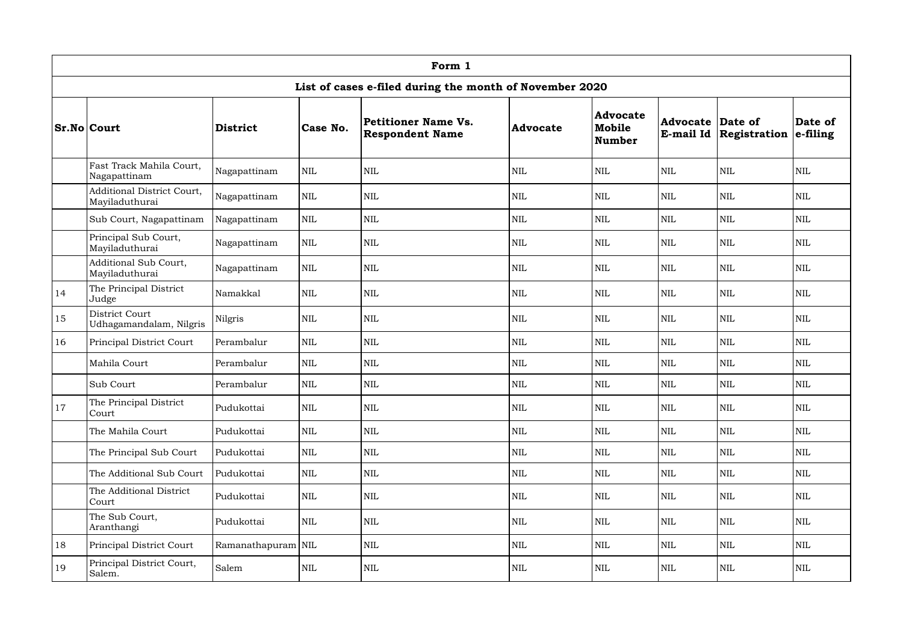|    |                                                                                                                                                                                                                                                                                                                                                                                                                                                                                 |                    |              | Form 1                                                  |                 |                                            |                         |                               |                         |
|----|---------------------------------------------------------------------------------------------------------------------------------------------------------------------------------------------------------------------------------------------------------------------------------------------------------------------------------------------------------------------------------------------------------------------------------------------------------------------------------|--------------------|--------------|---------------------------------------------------------|-----------------|--------------------------------------------|-------------------------|-------------------------------|-------------------------|
|    |                                                                                                                                                                                                                                                                                                                                                                                                                                                                                 |                    |              | List of cases e-filed during the month of November 2020 |                 |                                            |                         |                               |                         |
|    | <b>Sr.No Court</b><br>District<br>Fast Track Mahila Court,<br>Nagapattinam<br>Additional District Court,<br>Mayiladuthurai<br>Sub Court, Nagapattinam<br>Principal Sub Court,<br>Mayiladuthurai<br>Additional Sub Court,<br>Mayiladuthurai<br>The Principal District<br>Namakkal<br>Judge<br>District Court<br>Nilgris<br>Udhagamandalam, Nilgris<br>Principal District Court<br>Mahila Court<br>Sub Court<br>The Principal District<br>Pudukottai<br>Court<br>The Mahila Court |                    | Case No.     | Petitioner Name Vs.<br><b>Respondent Name</b>           | <b>Advocate</b> | <b>Advocate</b><br>Mobile<br><b>Number</b> | <b>Advocate Date of</b> | <b>E-mail Id Registration</b> | Date of<br>$ $ e-filing |
|    |                                                                                                                                                                                                                                                                                                                                                                                                                                                                                 | Nagapattinam       | $\mbox{NIL}$ | <b>NIL</b>                                              | <b>NIL</b>      | <b>NIL</b>                                 | <b>NIL</b>              | <b>NIL</b>                    | <b>NIL</b>              |
|    |                                                                                                                                                                                                                                                                                                                                                                                                                                                                                 | Nagapattinam       | $\mbox{NIL}$ | <b>NIL</b>                                              | <b>NIL</b>      | $\mbox{NIL}$                               | <b>NIL</b>              | <b>NIL</b>                    | <b>NIL</b>              |
|    |                                                                                                                                                                                                                                                                                                                                                                                                                                                                                 | Nagapattinam       | $\mbox{NIL}$ | <b>NIL</b>                                              | <b>NIL</b>      | $\mbox{NIL}$                               | <b>NIL</b>              | $\mbox{NIL}$                  | <b>NIL</b>              |
|    |                                                                                                                                                                                                                                                                                                                                                                                                                                                                                 | Nagapattinam       | $\mbox{NIL}$ | <b>NIL</b>                                              | <b>NIL</b>      | <b>NIL</b>                                 | NIL                     | <b>NIL</b>                    | <b>NIL</b>              |
|    |                                                                                                                                                                                                                                                                                                                                                                                                                                                                                 | Nagapattinam       | $\mbox{NIL}$ | <b>NIL</b>                                              | <b>NIL</b>      | <b>NIL</b>                                 | <b>NIL</b>              | <b>NIL</b>                    | <b>NIL</b>              |
| 14 |                                                                                                                                                                                                                                                                                                                                                                                                                                                                                 |                    | $\mbox{NIL}$ | <b>NIL</b>                                              | <b>NIL</b>      | <b>NIL</b>                                 | <b>NIL</b>              | <b>NIL</b>                    | <b>NIL</b>              |
| 15 |                                                                                                                                                                                                                                                                                                                                                                                                                                                                                 |                    | $\mbox{NIL}$ | <b>NIL</b>                                              | <b>NIL</b>      | <b>NIL</b>                                 | <b>NIL</b>              | <b>NIL</b>                    | <b>NIL</b>              |
| 16 |                                                                                                                                                                                                                                                                                                                                                                                                                                                                                 | Perambalur         | $\mbox{NIL}$ | <b>NIL</b>                                              | <b>NIL</b>      | <b>NIL</b>                                 | <b>NIL</b>              | <b>NIL</b>                    | <b>NIL</b>              |
|    |                                                                                                                                                                                                                                                                                                                                                                                                                                                                                 | Perambalur         | $\mbox{NIL}$ | <b>NIL</b>                                              | <b>NIL</b>      | <b>NIL</b>                                 | NIL                     | <b>NIL</b>                    | <b>NIL</b>              |
|    |                                                                                                                                                                                                                                                                                                                                                                                                                                                                                 | Perambalur         | <b>NIL</b>   | <b>NIL</b>                                              | $\mbox{NIL}$    | <b>NIL</b>                                 | <b>NIL</b>              | <b>NIL</b>                    | <b>NIL</b>              |
| 17 |                                                                                                                                                                                                                                                                                                                                                                                                                                                                                 |                    | $\mbox{NIL}$ | <b>NIL</b>                                              | $\mbox{NIL}$    | $\mbox{NIL}$                               | $\mbox{NIL}$            | $\mbox{NIL}$                  | <b>NIL</b>              |
|    |                                                                                                                                                                                                                                                                                                                                                                                                                                                                                 | Pudukottai         | $\mbox{NIL}$ | $\mbox{NIL}$                                            | $\mbox{NIL}$    | $\mbox{NIL}$                               | NIL                     | $\mbox{NIL}$                  | <b>NIL</b>              |
|    | The Principal Sub Court                                                                                                                                                                                                                                                                                                                                                                                                                                                         | Pudukottai         | $\mbox{NIL}$ | <b>NIL</b>                                              | $\mbox{NIL}$    | $\mbox{NIL}$                               | NIL                     | $\mbox{NIL}$                  | <b>NIL</b>              |
|    | The Additional Sub Court                                                                                                                                                                                                                                                                                                                                                                                                                                                        | Pudukottai         | $\mbox{NIL}$ | $\mbox{NIL}$                                            | $\mbox{NIL}$    | $\mbox{NIL}$                               | NIL                     | $\mbox{NIL}$                  | $\mbox{NIL}$            |
|    | The Additional District<br>Court                                                                                                                                                                                                                                                                                                                                                                                                                                                | Pudukottai         | $\mbox{NIL}$ | <b>NIL</b>                                              | $\mbox{NIL}$    | $\mbox{NIL}$                               | NIL                     | $\mbox{NIL}$                  | $\mbox{NIL}$            |
|    | The Sub Court,<br>Aranthangi                                                                                                                                                                                                                                                                                                                                                                                                                                                    | Pudukottai         | $\mbox{NIL}$ | $\mbox{NIL}$                                            | $\mbox{NIL}$    | $\mbox{NIL}$                               | NIL                     | $\mbox{NIL}$                  | $\mbox{NIL}$            |
| 18 | Principal District Court                                                                                                                                                                                                                                                                                                                                                                                                                                                        | Ramanathapuram NIL |              | <b>NIL</b>                                              | $\mbox{NIL}$    | $\mbox{NIL}$                               | NIL                     | $\mbox{NIL}$                  | $\mbox{NIL}$            |
| 19 | Principal District Court,<br>Salem.                                                                                                                                                                                                                                                                                                                                                                                                                                             | Salem              | $\mbox{NIL}$ | <b>NIL</b>                                              | NIL             | $\mbox{NIL}$                               | NIL                     | NIL                           | $\mbox{NIL}$            |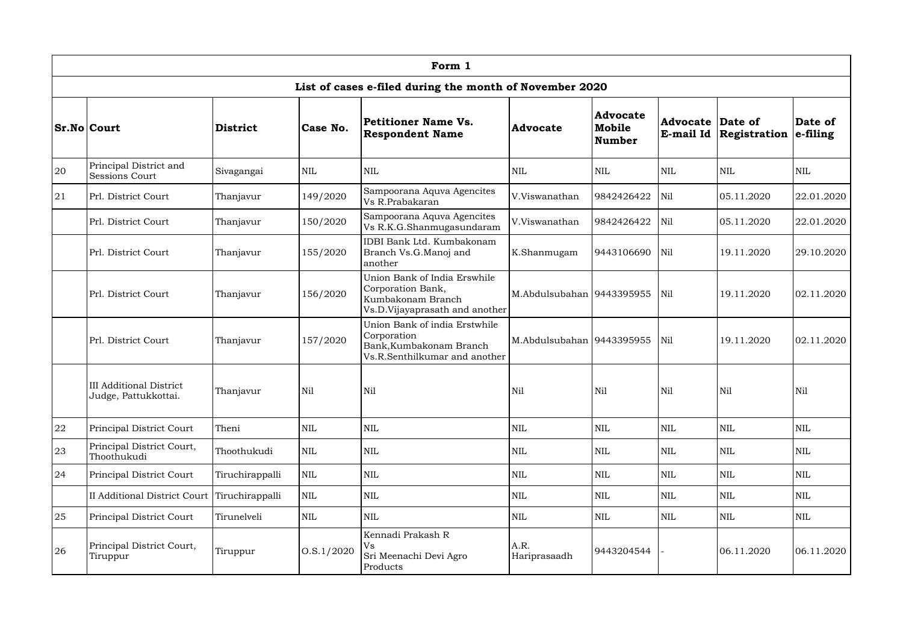|    | Form 1                                                 |                 |              |                                                                                                          |                             |                                            |            |                                          |                         |  |  |  |  |
|----|--------------------------------------------------------|-----------------|--------------|----------------------------------------------------------------------------------------------------------|-----------------------------|--------------------------------------------|------------|------------------------------------------|-------------------------|--|--|--|--|
|    |                                                        |                 |              | List of cases e-filed during the month of November 2020                                                  |                             |                                            |            |                                          |                         |  |  |  |  |
|    | <b>Sr.No Court</b>                                     | <b>District</b> | Case No.     | Petitioner Name Vs.<br><b>Respondent Name</b>                                                            | Advocate                    | <b>Advocate</b><br>Mobile<br><b>Number</b> | Advocate   | Date of<br><b>E-mail Id Registration</b> | Date of<br>$ $ e-filing |  |  |  |  |
| 20 | Principal District and<br>Sessions Court               | Sivagangai      | $\mbox{NIL}$ | $\mbox{NIL}$                                                                                             | <b>NIL</b>                  | <b>NIL</b>                                 | <b>NIL</b> | <b>NIL</b>                               | <b>NIL</b>              |  |  |  |  |
| 21 | Prl. District Court                                    | Thanjavur       | 149/2020     | Sampoorana Aquva Agencites<br>Vs R.Prabakaran                                                            | V.Viswanathan               | 9842426422                                 | Nil        | 05.11.2020                               | 22.01.2020              |  |  |  |  |
|    | Prl. District Court                                    | Thanjavur       | 150/2020     | Sampoorana Aquva Agencites<br>Vs R.K.G.Shanmugasundaram                                                  | V.Viswanathan               | 9842426422                                 | Nil        | 05.11.2020                               | 22.01.2020              |  |  |  |  |
|    | Prl. District Court                                    | Thanjavur       | 155/2020     | IDBI Bank Ltd. Kumbakonam<br>Branch Vs.G.Manoj and<br>another                                            | K.Shanmugam                 | 9443106690                                 | Nil        | 19.11.2020                               | 29.10.2020              |  |  |  |  |
|    | Prl. District Court                                    | Thanjavur       | 156/2020     | Union Bank of India Erswhile<br>Corporation Bank,<br>Kumbakonam Branch<br>Vs.D.Vijayaprasath and another | M.Abdulsubahan 9443395955   |                                            | Nil        | 19.11.2020                               | 02.11.2020              |  |  |  |  |
|    | Prl. District Court                                    | Thanjavur       | 157/2020     | Union Bank of india Erstwhile<br>Corporation<br>Bank, Kumbakonam Branch<br>Vs.R.Senthilkumar and another | M.Abdulsubahan   9443395955 |                                            | Nil        | 19.11.2020                               | 02.11.2020              |  |  |  |  |
|    | <b>III Additional District</b><br>Judge, Pattukkottai. | Thanjavur       | Nil          | Nil                                                                                                      | Nil                         | Nil                                        | Nil        | Nil                                      | Nil                     |  |  |  |  |
| 22 | Principal District Court                               | Theni           | $\mbox{NIL}$ | $\mbox{NIL}$                                                                                             | $\mbox{NIL}$                | $\mbox{NIL}$                               | <b>NIL</b> | <b>NIL</b>                               | <b>NIL</b>              |  |  |  |  |
| 23 | Principal District Court,<br>Thoothukudi               | Thoothukudi     | $\mbox{NIL}$ | <b>NIL</b>                                                                                               | <b>NIL</b>                  | <b>NIL</b>                                 | <b>NIL</b> | <b>NIL</b>                               | <b>NIL</b>              |  |  |  |  |
| 24 | Principal District Court                               | Tiruchirappalli | $\mbox{NIL}$ | $\mbox{NIL}$                                                                                             | <b>NIL</b>                  | <b>NIL</b>                                 | <b>NIL</b> | <b>NIL</b>                               | <b>NIL</b>              |  |  |  |  |
|    | <b>II Additional District Court</b>                    | Tiruchirappalli | $\mbox{NIL}$ | $\mbox{NIL}$                                                                                             | <b>NIL</b>                  | $\mbox{NIL}$                               | <b>NIL</b> | <b>NIL</b>                               | <b>NIL</b>              |  |  |  |  |
| 25 | Principal District Court                               | Tirunelveli     | $\mbox{NIL}$ | $\mbox{NIL}$<br>$\mbox{NIL}$<br><b>NIL</b>                                                               |                             |                                            | <b>NIL</b> | <b>NIL</b>                               | <b>NIL</b>              |  |  |  |  |
| 26 | Principal District Court,<br>Tiruppur                  | Tiruppur        | 0. S. 1/2020 | Kennadi Prakash R<br><b>Vs</b><br>Sri Meenachi Devi Agro<br>Products                                     | A.R.<br>Hariprasaadh        | 9443204544                                 |            | 06.11.2020                               | 06.11.2020              |  |  |  |  |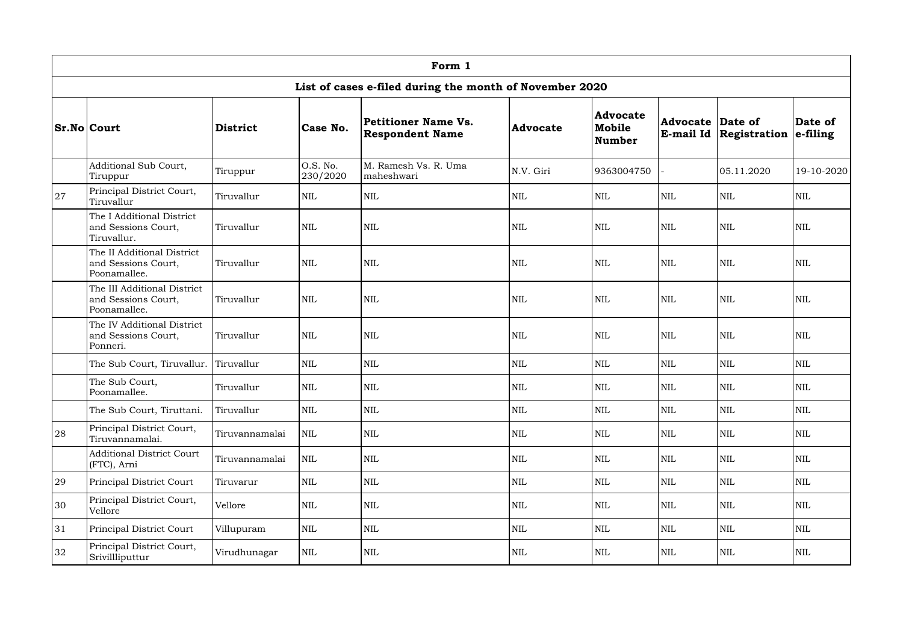|    | Form 1                                                             |                 |                      |                                                         |                 |                                            |                                      |              |                         |  |  |  |
|----|--------------------------------------------------------------------|-----------------|----------------------|---------------------------------------------------------|-----------------|--------------------------------------------|--------------------------------------|--------------|-------------------------|--|--|--|
|    |                                                                    |                 |                      | List of cases e-filed during the month of November 2020 |                 |                                            |                                      |              |                         |  |  |  |
|    | <b>Sr.No Court</b>                                                 | <b>District</b> | Case No.             | Petitioner Name Vs.<br><b>Respondent Name</b>           | <b>Advocate</b> | <b>Advocate</b><br>Mobile<br><b>Number</b> | <b>Advocate Date of</b><br>E-mail Id | Registration | Date of<br>$ $ e-filing |  |  |  |
|    | Additional Sub Court,<br>Tiruppur                                  | Tiruppur        | O.S. No.<br>230/2020 | M. Ramesh Vs. R. Uma<br>maheshwari                      | N.V. Giri       | 9363004750                                 |                                      | 05.11.2020   | 19-10-2020              |  |  |  |
| 27 | Principal District Court,<br>Tiruvallur                            | Tiruvallur      | $\mbox{NIL}$         | <b>NIL</b>                                              | <b>NIL</b>      | <b>NIL</b>                                 | <b>NIL</b>                           | <b>NIL</b>   | $\mbox{NIL}$            |  |  |  |
|    | The I Additional District<br>and Sessions Court,<br>Tiruvallur.    | Tiruvallur      | <b>NIL</b>           | <b>NIL</b>                                              | <b>NIL</b>      | <b>NIL</b>                                 | <b>NIL</b>                           | <b>NIL</b>   | <b>NIL</b>              |  |  |  |
|    | The II Additional District<br>and Sessions Court,<br>Poonamallee.  | Tiruvallur      | <b>NIL</b>           | <b>NIL</b>                                              | <b>NIL</b>      | <b>NIL</b>                                 | <b>NIL</b>                           | <b>NIL</b>   | <b>NIL</b>              |  |  |  |
|    | The III Additional District<br>and Sessions Court,<br>Poonamallee. | Tiruvallur      | $\mbox{NIL}$         | <b>NIL</b>                                              | <b>NIL</b>      | $\mbox{NIL}$                               | $\mbox{NIL}$                         | $\text{NIL}$ | <b>NIL</b>              |  |  |  |
|    | The IV Additional District<br>and Sessions Court,<br>Ponneri.      | Tiruvallur      | <b>NIL</b>           | <b>NIL</b>                                              | NIL             | $\mbox{NIL}$                               | $\mbox{NIL}$                         | $\text{NIL}$ | <b>NIL</b>              |  |  |  |
|    | The Sub Court, Tiruvallur.                                         | Tiruvallur      | $\mbox{NIL}$         | <b>NIL</b>                                              | <b>NIL</b>      | $\mbox{NIL}$                               | <b>NIL</b>                           | <b>NIL</b>   | <b>NIL</b>              |  |  |  |
|    | The Sub Court,<br>Poonamallee.                                     | Tiruvallur      | $\mbox{NIL}$         | <b>NIL</b>                                              | <b>NIL</b>      | $\mbox{NIL}$                               | <b>NIL</b>                           | $\text{NIL}$ | <b>NIL</b>              |  |  |  |
|    | The Sub Court, Tiruttani.                                          | Tiruvallur      | $\mbox{NIL}$         | <b>NIL</b>                                              | $\mbox{NIL}$    | $\mbox{NIL}$                               | $\mbox{NIL}$                         | $\mbox{NIL}$ | $\mbox{NIL}$            |  |  |  |
| 28 | Principal District Court,<br>Tiruvannamalai.                       | Tiruvannamalai  | $\mbox{NIL}$         | <b>NIL</b>                                              | <b>NIL</b>      | $\mbox{NIL}$                               | <b>NIL</b>                           | $\mbox{NIL}$ | <b>NIL</b>              |  |  |  |
|    | <b>Additional District Court</b><br>(FTC), Arni                    | Tiruvannamalai  | $\mbox{NIL}$         | <b>NIL</b>                                              | <b>NIL</b>      | $\mbox{NIL}$                               | <b>NIL</b>                           | $\mbox{NIL}$ | <b>NIL</b>              |  |  |  |
| 29 | Principal District Court                                           | Tiruvarur       | $\mbox{NIL}$         | <b>NIL</b>                                              | <b>NIL</b>      | $\mbox{NIL}$                               | <b>NIL</b>                           | <b>NIL</b>   | <b>NIL</b>              |  |  |  |
| 30 | Principal District Court,<br>Vellore                               | Vellore         | $\mbox{NIL}$         | <b>NIL</b>                                              | <b>NIL</b>      | $\mbox{NIL}$                               | <b>NIL</b>                           | $\mbox{NIL}$ | $\mbox{NIL}$            |  |  |  |
| 31 | Principal District Court                                           | Villupuram      | $\mbox{NIL}$         | $\mbox{NIL}$                                            | $\mbox{NIL}$    | $\mbox{NIL}$                               | <b>NIL</b>                           | $\mbox{NIL}$ | <b>NIL</b>              |  |  |  |
| 32 | Principal District Court,<br>Srivillliputtur                       | Virudhunagar    | $\mbox{NIL}$         | <b>NIL</b>                                              | NIL             | $\mbox{NIL}$                               | <b>NIL</b>                           | $\mbox{NIL}$ | <b>NIL</b>              |  |  |  |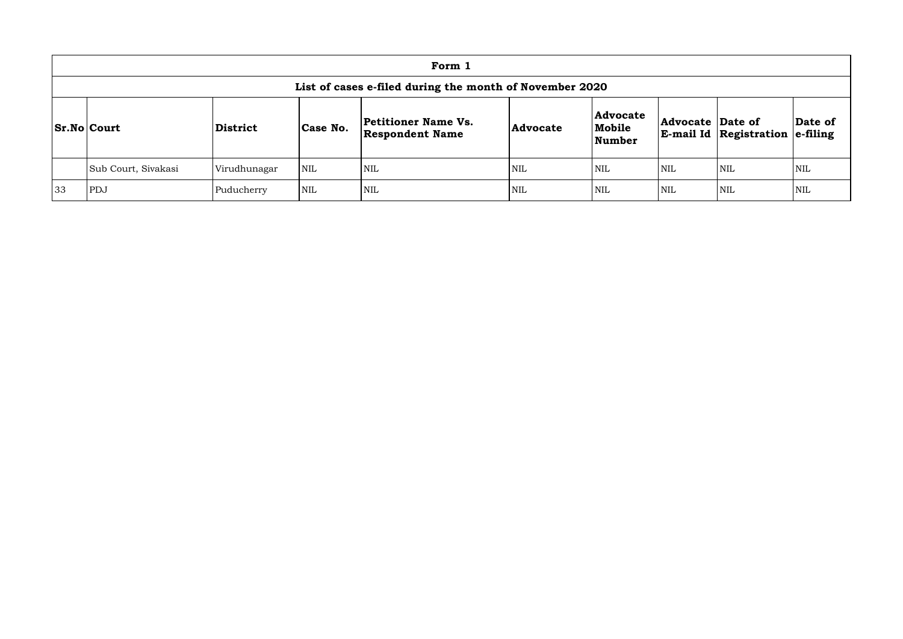|    | Form 1                                                  |                             |                 |                                     |                         |                                                            |            |            |            |  |  |  |
|----|---------------------------------------------------------|-----------------------------|-----------------|-------------------------------------|-------------------------|------------------------------------------------------------|------------|------------|------------|--|--|--|
|    | List of cases e-filed during the month of November 2020 |                             |                 |                                     |                         |                                                            |            |            |            |  |  |  |
|    | <b>Sr.No Court</b>                                      | <b>District</b><br>Case No. | <b>Advocate</b> | <b>Advocate</b><br>Mobile<br>Number | <b>Advocate Date of</b> | $\mathbf{E}\text{-}\mathbf{mail}$ Id Registration e-filing | Date of    |            |            |  |  |  |
|    | Sub Court, Sivakasi                                     | Virudhunagar                | <b>NIL</b>      | <b>NIL</b>                          | NIL                     | <b>NIL</b>                                                 | <b>NIL</b> | <b>NIL</b> | <b>NIL</b> |  |  |  |
| 33 | PDJ                                                     | Puducherry                  | <b>NIL</b>      | <b>NIL</b>                          | NIL                     | <b>NIL</b>                                                 | <b>NIL</b> | <b>NIL</b> | <b>NIL</b> |  |  |  |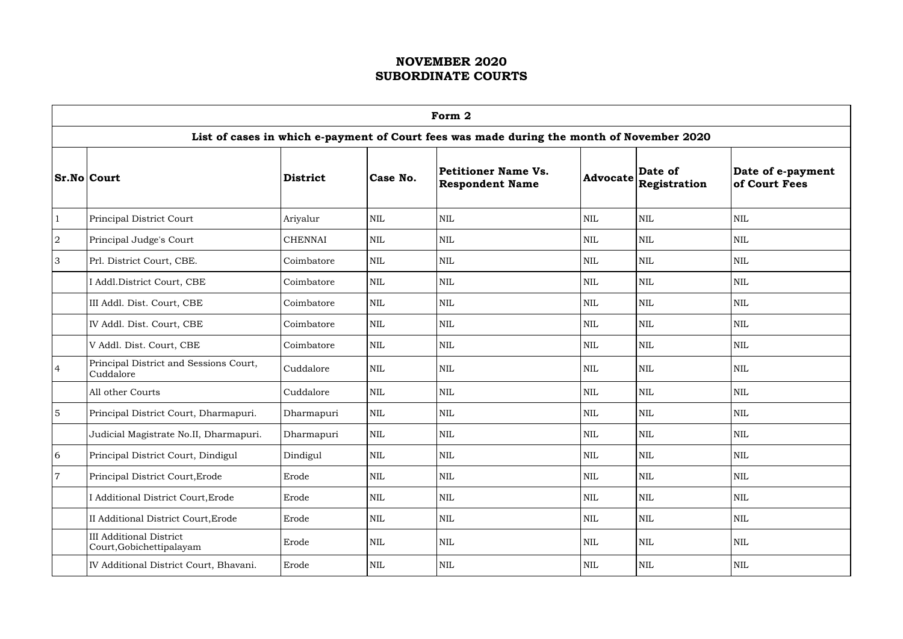|                | Form 2                                                     |                 |            |                                                                                           |              |                                                          |                                    |  |  |  |  |
|----------------|------------------------------------------------------------|-----------------|------------|-------------------------------------------------------------------------------------------|--------------|----------------------------------------------------------|------------------------------------|--|--|--|--|
|                |                                                            |                 |            | List of cases in which e-payment of Court fees was made during the month of November 2020 |              |                                                          |                                    |  |  |  |  |
|                | <b>Sr.No Court</b>                                         | <b>District</b> | Case No.   | Petitioner Name Vs.<br><b>Respondent Name</b>                                             |              | Date of<br>$ {\bf Advocate} \overline{\bf Registration}$ | Date of e-payment<br>of Court Fees |  |  |  |  |
| $\mathbf{1}$   | Principal District Court                                   | Ariyalur        | <b>NIL</b> | $\mbox{NIL}$                                                                              | <b>NIL</b>   | $\mbox{NIL}$                                             | <b>NIL</b>                         |  |  |  |  |
| $\sqrt{2}$     | Principal Judge's Court                                    | <b>CHENNAI</b>  | <b>NIL</b> | <b>NIL</b>                                                                                | <b>NIL</b>   | <b>NIL</b>                                               | <b>NIL</b>                         |  |  |  |  |
| 3              | Prl. District Court, CBE.                                  | Coimbatore      | <b>NIL</b> | <b>NIL</b>                                                                                | <b>NIL</b>   | <b>NIL</b>                                               | <b>NIL</b>                         |  |  |  |  |
|                | I Addl. District Court, CBE                                | Coimbatore      | <b>NIL</b> | NIL                                                                                       | <b>NIL</b>   | <b>NIL</b>                                               | <b>NIL</b>                         |  |  |  |  |
|                | III Addl. Dist. Court, CBE                                 | Coimbatore      | <b>NIL</b> | NIL                                                                                       | <b>NIL</b>   | <b>NIL</b>                                               | <b>NIL</b>                         |  |  |  |  |
|                | IV Addl. Dist. Court, CBE                                  | Coimbatore      | <b>NIL</b> | <b>NIL</b>                                                                                | <b>NIL</b>   | <b>NIL</b>                                               | <b>NIL</b>                         |  |  |  |  |
|                | V Addl. Dist. Court, CBE                                   | Coimbatore      | <b>NIL</b> | $\mbox{NIL}$                                                                              | <b>NIL</b>   | $\mbox{NIL}$                                             | <b>NIL</b>                         |  |  |  |  |
| $\overline{4}$ | Principal District and Sessions Court,<br>Cuddalore        | Cuddalore       | <b>NIL</b> | NIL                                                                                       | NIL          | <b>NIL</b>                                               | <b>NIL</b>                         |  |  |  |  |
|                | All other Courts                                           | Cuddalore       | <b>NIL</b> | NIL                                                                                       | NIL          | <b>NIL</b>                                               | <b>NIL</b>                         |  |  |  |  |
| $\overline{5}$ | Principal District Court, Dharmapuri.                      | Dharmapuri      | <b>NIL</b> | NIL                                                                                       | <b>NIL</b>   | <b>NIL</b>                                               | <b>NIL</b>                         |  |  |  |  |
|                | Judicial Magistrate No.II, Dharmapuri.                     | Dharmapuri      | <b>NIL</b> | NIL                                                                                       | <b>NIL</b>   | $\mbox{NIL}$                                             | <b>NIL</b>                         |  |  |  |  |
| 6              | Principal District Court, Dindigul                         | Dindigul        | <b>NIL</b> | NIL                                                                                       | $\mbox{NIL}$ | <b>NIL</b>                                               | $\mbox{NIL}$                       |  |  |  |  |
| $\overline{7}$ | Principal District Court, Erode                            | Erode           | <b>NIL</b> | NIL                                                                                       | $\mbox{NIL}$ | <b>NIL</b>                                               | $\mbox{NIL}$                       |  |  |  |  |
|                | I Additional District Court, Erode                         | Erode           | <b>NIL</b> | NIL                                                                                       | <b>NIL</b>   | NIL                                                      | <b>NIL</b>                         |  |  |  |  |
|                | II Additional District Court, Erode                        | Erode           | <b>NIL</b> | <b>NIL</b>                                                                                | <b>NIL</b>   | <b>NIL</b>                                               | <b>NIL</b>                         |  |  |  |  |
|                | <b>III Additional District</b><br>Court, Gobichettipalayam | Erode           | <b>NIL</b> | NIL                                                                                       | NIL          | <b>NIL</b>                                               | $\mbox{NIL}$                       |  |  |  |  |
|                | IV Additional District Court, Bhavani.                     | Erode           | <b>NIL</b> | <b>NIL</b>                                                                                | <b>NIL</b>   | NIL                                                      | NIL                                |  |  |  |  |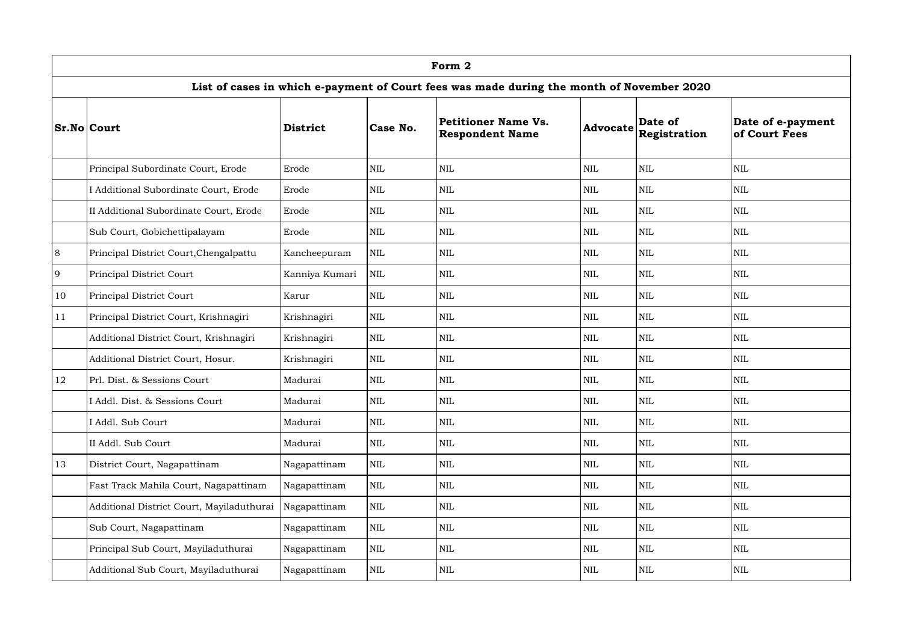|    | Form 2                                    |                 |              |                                                                                           |                 |                         |                                    |  |  |  |  |
|----|-------------------------------------------|-----------------|--------------|-------------------------------------------------------------------------------------------|-----------------|-------------------------|------------------------------------|--|--|--|--|
|    |                                           |                 |              | List of cases in which e-payment of Court fees was made during the month of November 2020 |                 |                         |                                    |  |  |  |  |
|    | <b>Sr.No Court</b>                        | <b>District</b> | Case No.     | Petitioner Name Vs.<br><b>Respondent Name</b>                                             | <b>Advocate</b> | Date of<br>Registration | Date of e-payment<br>of Court Fees |  |  |  |  |
|    | Principal Subordinate Court, Erode        | Erode           | <b>NIL</b>   | <b>NIL</b>                                                                                | <b>NIL</b>      | <b>NIL</b>              | <b>NIL</b>                         |  |  |  |  |
|    | I Additional Subordinate Court, Erode     | Erode           | <b>NIL</b>   | <b>NIL</b>                                                                                | <b>NIL</b>      | <b>NIL</b>              | <b>NIL</b>                         |  |  |  |  |
|    | II Additional Subordinate Court, Erode    | Erode           | <b>NIL</b>   | <b>NIL</b>                                                                                | <b>NIL</b>      | NIL                     | <b>NIL</b>                         |  |  |  |  |
|    | Sub Court, Gobichettipalayam              | Erode           | <b>NIL</b>   | $\mbox{NIL}$                                                                              | <b>NIL</b>      | <b>NIL</b>              | <b>NIL</b>                         |  |  |  |  |
| 8  | Principal District Court, Chengalpattu    | Kancheepuram    | $\mbox{NIL}$ | <b>NIL</b>                                                                                | <b>NIL</b>      | <b>NIL</b>              | <b>NIL</b>                         |  |  |  |  |
| 9  | Principal District Court                  | Kanniya Kumari  | $\mbox{NIL}$ | $\mbox{NIL}$                                                                              | <b>NIL</b>      | $\mbox{NIL}$            | <b>NIL</b>                         |  |  |  |  |
| 10 | Principal District Court                  | Karur           | $\mbox{NIL}$ | <b>NIL</b>                                                                                | <b>NIL</b>      | NIL                     | <b>NIL</b>                         |  |  |  |  |
| 11 | Principal District Court, Krishnagiri     | Krishnagiri     | <b>NIL</b>   | <b>NIL</b>                                                                                | <b>NIL</b>      | <b>NIL</b>              | <b>NIL</b>                         |  |  |  |  |
|    | Additional District Court, Krishnagiri    | Krishnagiri     | $\mbox{NIL}$ | <b>NIL</b>                                                                                | <b>NIL</b>      | <b>NIL</b>              | <b>NIL</b>                         |  |  |  |  |
|    | Additional District Court, Hosur.         | Krishnagiri     | <b>NIL</b>   | $\mbox{NIL}$                                                                              | <b>NIL</b>      | NIL                     | <b>NIL</b>                         |  |  |  |  |
| 12 | Prl. Dist. & Sessions Court               | Madurai         | <b>NIL</b>   | <b>NIL</b>                                                                                | <b>NIL</b>      | <b>NIL</b>              | <b>NIL</b>                         |  |  |  |  |
|    | I Addl. Dist. & Sessions Court            | Madurai         | $\mbox{NIL}$ | $\mbox{NIL}$                                                                              | $\mbox{NIL}$    | $\mbox{NIL}$            | $\mbox{NIL}$                       |  |  |  |  |
|    | I Addl. Sub Court                         | Madurai         | <b>NIL</b>   | $\mbox{NIL}$                                                                              | <b>NIL</b>      | $\mbox{NIL}$            | <b>NIL</b>                         |  |  |  |  |
|    | II Addl. Sub Court                        | Madurai         | <b>NIL</b>   | $\mbox{NIL}$                                                                              | $\mbox{NIL}$    | $\mbox{NIL}$            | <b>NIL</b>                         |  |  |  |  |
| 13 | District Court, Nagapattinam              | Nagapattinam    | <b>NIL</b>   | $\mbox{NIL}$                                                                              | <b>NIL</b>      | <b>NIL</b>              | <b>NIL</b>                         |  |  |  |  |
|    | Fast Track Mahila Court, Nagapattinam     | Nagapattinam    | <b>NIL</b>   | <b>NIL</b>                                                                                | $\mbox{NIL}$    | <b>NIL</b>              | <b>NIL</b>                         |  |  |  |  |
|    | Additional District Court, Mayiladuthurai | Nagapattinam    | <b>NIL</b>   | $\mbox{NIL}$                                                                              | <b>NIL</b>      | $\mbox{NIL}$            | <b>NIL</b>                         |  |  |  |  |
|    | Sub Court, Nagapattinam                   | Nagapattinam    | <b>NIL</b>   | $\mbox{NIL}$                                                                              | <b>NIL</b>      | $\mbox{NIL}$            | <b>NIL</b>                         |  |  |  |  |
|    | Principal Sub Court, Mayiladuthurai       | Nagapattinam    | <b>NIL</b>   | $\mbox{NIL}$                                                                              | <b>NIL</b>      | <b>NIL</b>              | <b>NIL</b>                         |  |  |  |  |
|    | Additional Sub Court, Mayiladuthurai      | Nagapattinam    | NIL          | <b>NIL</b>                                                                                | <b>NIL</b>      | <b>NIL</b>              | <b>NIL</b>                         |  |  |  |  |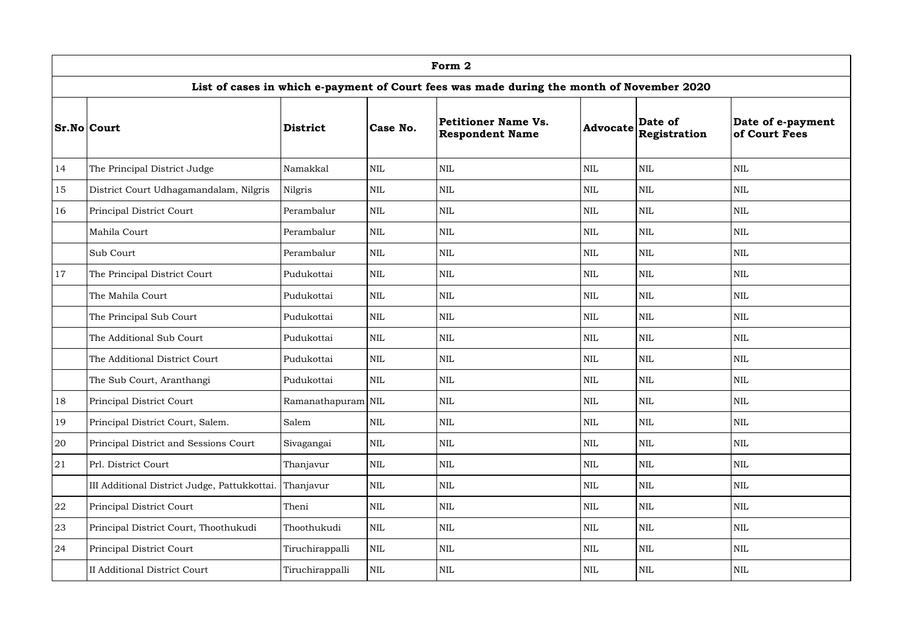|            | Form 2                                       |                    |              |                                                                                           |                 |                         |                                    |  |  |  |  |  |
|------------|----------------------------------------------|--------------------|--------------|-------------------------------------------------------------------------------------------|-----------------|-------------------------|------------------------------------|--|--|--|--|--|
|            |                                              |                    |              | List of cases in which e-payment of Court fees was made during the month of November 2020 |                 |                         |                                    |  |  |  |  |  |
|            | <b>Sr.No Court</b>                           | <b>District</b>    | Case No.     | <b>Petitioner Name Vs.</b><br><b>Respondent Name</b>                                      | <b>Advocate</b> | Date of<br>Registration | Date of e-payment<br>of Court Fees |  |  |  |  |  |
| 14         | The Principal District Judge                 | Namakkal           | <b>NIL</b>   | $\mbox{NIL}$                                                                              | <b>NIL</b>      | NIL                     | <b>NIL</b>                         |  |  |  |  |  |
| 15         | District Court Udhagamandalam, Nilgris       | Nilgris            | <b>NIL</b>   | <b>NIL</b>                                                                                | <b>NIL</b>      | <b>NIL</b>              | <b>NIL</b>                         |  |  |  |  |  |
| 16         | Principal District Court                     | Perambalur         | $\mbox{NIL}$ | <b>NIL</b>                                                                                | <b>NIL</b>      | <b>NIL</b>              | <b>NIL</b>                         |  |  |  |  |  |
|            | Mahila Court                                 | Perambalur         | <b>NIL</b>   | $\mbox{NIL}$                                                                              | $\mbox{NIL}$    | <b>NIL</b>              | <b>NIL</b>                         |  |  |  |  |  |
|            | Sub Court                                    | Perambalur         | $\mbox{NIL}$ | <b>NIL</b>                                                                                | <b>NIL</b>      | <b>NIL</b>              | <b>NIL</b>                         |  |  |  |  |  |
| 17         | The Principal District Court                 | Pudukottai         | $\mbox{NIL}$ | <b>NIL</b>                                                                                | <b>NIL</b>      | <b>NIL</b>              | <b>NIL</b>                         |  |  |  |  |  |
|            | The Mahila Court                             | Pudukottai         | $\mbox{NIL}$ | <b>NIL</b>                                                                                | <b>NIL</b>      | $\mbox{NIL}$            | <b>NIL</b>                         |  |  |  |  |  |
|            | The Principal Sub Court                      | Pudukottai         | $\mbox{NIL}$ | $\mbox{NIL}$                                                                              | <b>NIL</b>      | <b>NIL</b>              | <b>NIL</b>                         |  |  |  |  |  |
|            | The Additional Sub Court                     | Pudukottai         | $\mbox{NIL}$ | $\mbox{NIL}$                                                                              | <b>NIL</b>      | $\mbox{NIL}$            | <b>NIL</b>                         |  |  |  |  |  |
|            | The Additional District Court                | Pudukottai         | $\mbox{NIL}$ | $\mbox{NIL}$                                                                              | $\mbox{NIL}$    | $\mbox{NIL}$            | <b>NIL</b>                         |  |  |  |  |  |
|            | The Sub Court, Aranthangi                    | Pudukottai         | <b>NIL</b>   | $\mbox{NIL}$                                                                              | <b>NIL</b>      | <b>NIL</b>              | <b>NIL</b>                         |  |  |  |  |  |
| 18         | <b>Principal District Court</b>              | Ramanathapuram NIL |              | $\mbox{NIL}$                                                                              | $\mbox{NIL}$    | $\mbox{NIL}$            | <b>NIL</b>                         |  |  |  |  |  |
| 19         | Principal District Court, Salem.             | Salem              | $\mbox{NIL}$ | $\mbox{NIL}$                                                                              | <b>NIL</b>      | <b>NIL</b>              | <b>NIL</b>                         |  |  |  |  |  |
| 20         | Principal District and Sessions Court        | Sivagangai         | NIL          | $\mbox{NIL}$                                                                              | <b>NIL</b>      | <b>NIL</b>              | <b>NIL</b>                         |  |  |  |  |  |
| 21         | Prl. District Court                          | Thanjavur          | $\mbox{NIL}$ | $\mbox{NIL}$                                                                              | $\mbox{NIL}$    | $\mbox{NIL}$            | <b>NIL</b>                         |  |  |  |  |  |
|            | III Additional District Judge, Pattukkottai. | Thanjavur          | $\mbox{NIL}$ | $\mbox{NIL}$                                                                              | <b>NIL</b>      | $\mbox{NIL}$            | <b>NIL</b>                         |  |  |  |  |  |
| ${\bf 22}$ | Principal District Court                     | Theni              | $\mbox{NIL}$ | $\mbox{NIL}$                                                                              | $\mbox{NIL}$    | $\mbox{NIL}$            | $\mbox{NIL}$                       |  |  |  |  |  |
| 23         | Principal District Court, Thoothukudi        | Thoothukudi        | $\mbox{NIL}$ | $\mbox{NIL}$                                                                              | $\mbox{NIL}$    | $\mbox{NIL}$            | <b>NIL</b>                         |  |  |  |  |  |
| 24         | Principal District Court                     | Tiruchirappalli    | $\mbox{NIL}$ | $\mbox{NIL}$                                                                              | $\mbox{NIL}$    | $\mbox{NIL}$            | <b>NIL</b>                         |  |  |  |  |  |
|            | <b>II Additional District Court</b>          | Tiruchirappalli    | NIL          | NIL                                                                                       | $\mbox{NIL}$    | <b>NIL</b>              | <b>NIL</b>                         |  |  |  |  |  |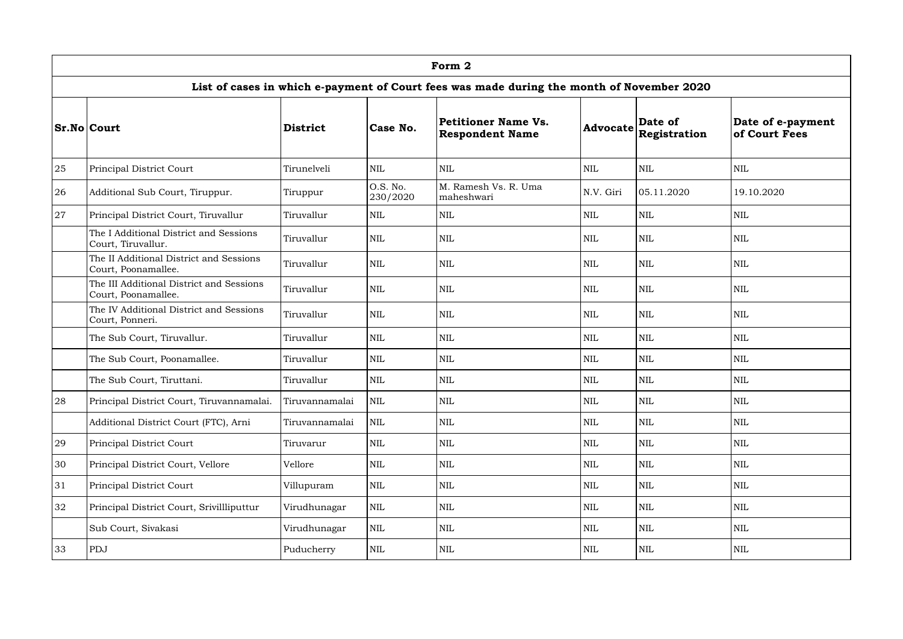|    | Form 2                                                          |                 |                      |                                                                                           |                 |                         |                                    |  |  |  |  |  |
|----|-----------------------------------------------------------------|-----------------|----------------------|-------------------------------------------------------------------------------------------|-----------------|-------------------------|------------------------------------|--|--|--|--|--|
|    |                                                                 |                 |                      | List of cases in which e-payment of Court fees was made during the month of November 2020 |                 |                         |                                    |  |  |  |  |  |
|    | <b>Sr.No Court</b>                                              | <b>District</b> | Case No.             | <b>Petitioner Name Vs.</b><br><b>Respondent Name</b>                                      | <b>Advocate</b> | Date of<br>Registration | Date of e-payment<br>of Court Fees |  |  |  |  |  |
| 25 | Principal District Court                                        | Tirunelveli     | <b>NIL</b>           | NIL                                                                                       | <b>NIL</b>      | <b>NIL</b>              | <b>NIL</b>                         |  |  |  |  |  |
| 26 | Additional Sub Court, Tiruppur.                                 | Tiruppur        | O.S. No.<br>230/2020 | M. Ramesh Vs. R. Uma<br>maheshwari                                                        | N.V. Giri       | 05.11.2020              | 19.10.2020                         |  |  |  |  |  |
| 27 | Principal District Court, Tiruvallur                            | Tiruvallur      | <b>NIL</b>           | <b>NIL</b>                                                                                | <b>NIL</b>      | <b>NIL</b>              | <b>NIL</b>                         |  |  |  |  |  |
|    | The I Additional District and Sessions<br>Court, Tiruvallur.    | Tiruvallur      | <b>NIL</b>           | NIL                                                                                       | <b>NIL</b>      | NIL                     | <b>NIL</b>                         |  |  |  |  |  |
|    | The II Additional District and Sessions<br>Court, Poonamallee.  | Tiruvallur      | <b>NIL</b>           | NIL                                                                                       | <b>NIL</b>      | <b>NIL</b>              | <b>NIL</b>                         |  |  |  |  |  |
|    | The III Additional District and Sessions<br>Court, Poonamallee. | Tiruvallur      | <b>NIL</b>           | NIL                                                                                       | <b>NIL</b>      | <b>NIL</b>              | <b>NIL</b>                         |  |  |  |  |  |
|    | The IV Additional District and Sessions<br>Court, Ponneri.      | Tiruvallur      | <b>NIL</b>           | $\mbox{NIL}$                                                                              | <b>NIL</b>      | <b>NIL</b>              | <b>NIL</b>                         |  |  |  |  |  |
|    | The Sub Court, Tiruvallur.                                      | Tiruvallur      | <b>NIL</b>           | $\mbox{NIL}$                                                                              | <b>NIL</b>      | <b>NIL</b>              | <b>NIL</b>                         |  |  |  |  |  |
|    | The Sub Court, Poonamallee.                                     | Tiruvallur      | <b>NIL</b>           | NIL                                                                                       | <b>NIL</b>      | <b>NIL</b>              | <b>NIL</b>                         |  |  |  |  |  |
|    | The Sub Court, Tiruttani.                                       | Tiruvallur      | NIL                  | $\mbox{NIL}$                                                                              | <b>NIL</b>      | <b>NIL</b>              | <b>NIL</b>                         |  |  |  |  |  |
| 28 | Principal District Court, Tiruvannamalai.                       | Tiruvannamalai  | NIL                  | $\mbox{NIL}$                                                                              | $\mbox{NIL}$    | NIL                     | <b>NIL</b>                         |  |  |  |  |  |
|    | Additional District Court (FTC), Arni                           | Tiruvannamalai  | <b>NIL</b>           | $\mbox{NIL}$                                                                              | <b>NIL</b>      | NIL                     | <b>NIL</b>                         |  |  |  |  |  |
| 29 | Principal District Court                                        | Tiruvarur       | <b>NIL</b>           | $\mbox{NIL}$                                                                              | <b>NIL</b>      | NIL                     | <b>NIL</b>                         |  |  |  |  |  |
| 30 | Principal District Court, Vellore                               | Vellore         | <b>NIL</b>           | $\mbox{NIL}$                                                                              | $\mbox{NIL}$    | NIL                     | <b>NIL</b>                         |  |  |  |  |  |
| 31 | <b>Principal District Court</b>                                 | Villupuram      | <b>NIL</b>           | $\mbox{NIL}$                                                                              | <b>NIL</b>      | NIL                     | <b>NIL</b>                         |  |  |  |  |  |
| 32 | Principal District Court, Srivillliputtur                       | Virudhunagar    | <b>NIL</b>           | $\mbox{NIL}$                                                                              | $\mbox{NIL}$    | NIL                     | $\mbox{NIL}$                       |  |  |  |  |  |
|    | Sub Court, Sivakasi                                             | Virudhunagar    | <b>NIL</b>           | $\mbox{NIL}$                                                                              | <b>NIL</b>      | NIL                     | <b>NIL</b>                         |  |  |  |  |  |
| 33 | PDJ                                                             | Puducherry      | <b>NIL</b>           | $\mbox{NIL}$                                                                              | <b>NIL</b>      | NIL                     | <b>NIL</b>                         |  |  |  |  |  |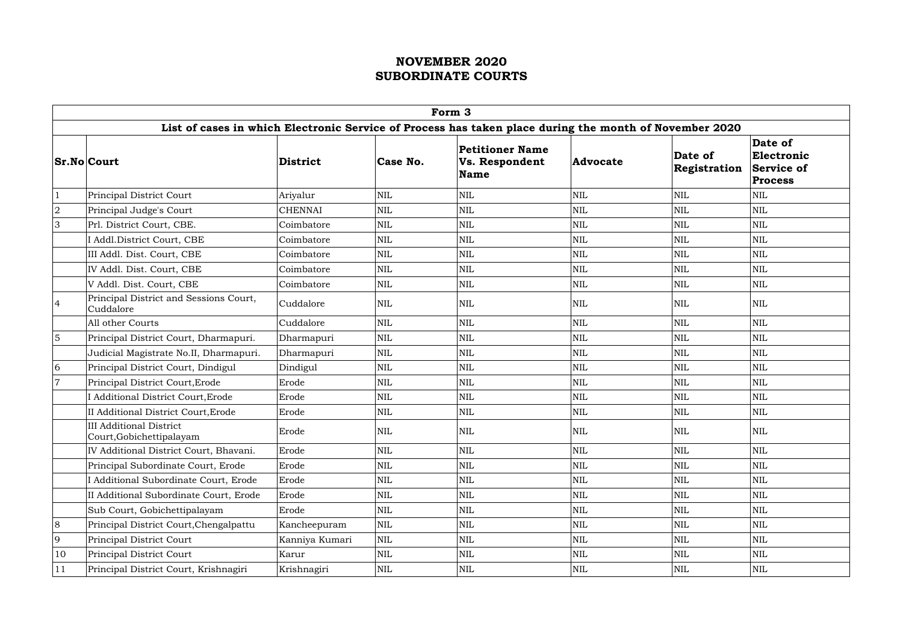|                | Form 3                                                     |                 |                         |                                                                                                        |              |                         |                                                              |  |  |  |  |  |  |
|----------------|------------------------------------------------------------|-----------------|-------------------------|--------------------------------------------------------------------------------------------------------|--------------|-------------------------|--------------------------------------------------------------|--|--|--|--|--|--|
|                |                                                            |                 |                         | List of cases in which Electronic Service of Process has taken place during the month of November 2020 |              |                         |                                                              |  |  |  |  |  |  |
|                | <b>Sr.No Court</b>                                         | <b>District</b> | Case No.                | <b>Petitioner Name</b><br>Vs. Respondent<br><b>Name</b>                                                | Advocate     | Date of<br>Registration | Date of<br>Electronic<br><b>Service of</b><br><b>Process</b> |  |  |  |  |  |  |
| $\vert$ 1      | Principal District Court                                   | Ariyalur        | NIL                     | <b>NIL</b>                                                                                             | <b>NIL</b>   | $\mbox{NIL}$            | <b>NIL</b>                                                   |  |  |  |  |  |  |
| $\overline{2}$ | Principal Judge's Court                                    | <b>CHENNAI</b>  | <b>NIL</b>              | NIL                                                                                                    | <b>NIL</b>   | <b>NIL</b>              | <b>NIL</b>                                                   |  |  |  |  |  |  |
| 3              | Prl. District Court, CBE.                                  | Coimbatore      | $\mbox{NIL}$            | <b>NIL</b>                                                                                             | $\mbox{NIL}$ | $\mbox{NIL}$            | <b>NIL</b>                                                   |  |  |  |  |  |  |
|                | I Addl.District Court, CBE                                 | Coimbatore      | NIL                     | NIL                                                                                                    | $\mbox{NIL}$ | $\text{NIL}$            | <b>NIL</b>                                                   |  |  |  |  |  |  |
|                | III Addl. Dist. Court, CBE                                 | Coimbatore      | NIL                     | NIL                                                                                                    | $\mbox{NIL}$ | $\mbox{NIL}$            | <b>NIL</b>                                                   |  |  |  |  |  |  |
|                | IV Addl. Dist. Court, CBE                                  | Coimbatore      | <b>NIL</b>              | NIL                                                                                                    | $\mbox{NIL}$ | $\mbox{NIL}$            | <b>NIL</b>                                                   |  |  |  |  |  |  |
|                | V Addl. Dist. Court, CBE                                   | Coimbatore      | NIL                     | <b>NIL</b>                                                                                             | NIL          | $\mbox{NIL}$            | <b>NIL</b>                                                   |  |  |  |  |  |  |
| $\overline{4}$ | Principal District and Sessions Court,<br>Cuddalore        | Cuddalore       | NIL                     | NIL                                                                                                    | $\mbox{NIL}$ | <b>NIL</b>              | <b>NIL</b>                                                   |  |  |  |  |  |  |
|                | All other Courts                                           | Cuddalore       | NIL                     | NIL                                                                                                    | $\mbox{NIL}$ | $\text{NIL}$            | <b>NIL</b>                                                   |  |  |  |  |  |  |
| $\overline{5}$ | Principal District Court, Dharmapuri.                      | Dharmapuri      | NIL                     | NIL                                                                                                    | <b>NIL</b>   | $\mbox{NIL}$            | <b>NIL</b>                                                   |  |  |  |  |  |  |
|                | Judicial Magistrate No.II, Dharmapuri.                     | Dharmapuri      | $\mbox{NIL}$            | <b>NIL</b>                                                                                             | $\mbox{NIL}$ | $\text{NIL}$            | <b>NIL</b>                                                   |  |  |  |  |  |  |
| 6              | Principal District Court, Dindigul                         | Dindigul        | <b>NIL</b>              | NIL                                                                                                    | <b>NIL</b>   | <b>NIL</b>              | <b>NIL</b>                                                   |  |  |  |  |  |  |
| $\overline{7}$ | Principal District Court, Erode                            | Erode           | NIL                     | NIL                                                                                                    | $\mbox{NIL}$ | $\mbox{NIL}$            | <b>NIL</b>                                                   |  |  |  |  |  |  |
|                | I Additional District Court, Erode                         | Erode           | <b>NIL</b>              | NIL                                                                                                    | $\mbox{NIL}$ | $\mbox{NIL}$            | <b>NIL</b>                                                   |  |  |  |  |  |  |
|                | II Additional District Court, Erode                        | Erode           | NIL                     | NIL                                                                                                    | <b>NIL</b>   | $\mbox{NIL}$            | <b>NIL</b>                                                   |  |  |  |  |  |  |
|                | <b>III Additional District</b><br>Court, Gobichettipalayam | Erode           | NIL                     | NIL                                                                                                    | <b>NIL</b>   | <b>NIL</b>              | <b>NIL</b>                                                   |  |  |  |  |  |  |
|                | IV Additional District Court, Bhavani.                     | Erode           | NIL                     | NIL                                                                                                    | $\mbox{NIL}$ | $\text{NIL}$            | <b>NIL</b>                                                   |  |  |  |  |  |  |
|                | Principal Subordinate Court, Erode                         | Erode           | NIL                     | NIL                                                                                                    | $\mbox{NIL}$ | $\mbox{NIL}$            | <b>NIL</b>                                                   |  |  |  |  |  |  |
|                | I Additional Subordinate Court, Erode                      | Erode           | NIL                     | NIL                                                                                                    | <b>NIL</b>   | $\mbox{NIL}$            | <b>NIL</b>                                                   |  |  |  |  |  |  |
|                | II Additional Subordinate Court, Erode                     | Erode           | <b>NIL</b>              | NIL                                                                                                    | NIL          | $\mbox{NIL}$            | $\mbox{NIL}$                                                 |  |  |  |  |  |  |
|                | Sub Court, Gobichettipalayam                               | Erode           | NIL                     | NIL                                                                                                    | $\mbox{NIL}$ | $\mbox{NIL}$            | <b>NIL</b>                                                   |  |  |  |  |  |  |
| 8              | Principal District Court, Chengalpattu                     | Kancheepuram    | NIL                     | NIL                                                                                                    | <b>NIL</b>   | $\mbox{NIL}$            | <b>NIL</b>                                                   |  |  |  |  |  |  |
| 9              | Principal District Court                                   | Kanniya Kumari  | $\overline{\text{NIL}}$ | NIL                                                                                                    | $\mbox{NIL}$ | $\text{NIL}$            | <b>NIL</b>                                                   |  |  |  |  |  |  |
| 10             | Principal District Court                                   | Karur           | NIL                     | <b>NIL</b>                                                                                             | $\mbox{NIL}$ | <b>NIL</b>              | <b>NIL</b>                                                   |  |  |  |  |  |  |
| 11             | Principal District Court, Krishnagiri                      | Krishnagiri     | NIL                     | NIL                                                                                                    | NIL          | NIL                     | <b>NIL</b>                                                   |  |  |  |  |  |  |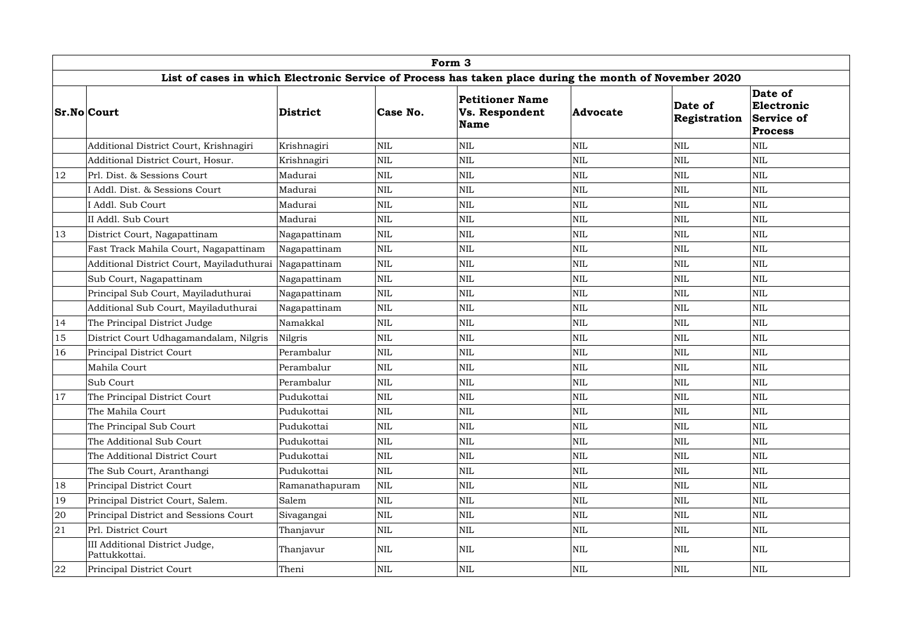|        | Form 3                                                                                                 |                 |              |                                                                |                 |                         |                                                       |  |  |  |  |  |
|--------|--------------------------------------------------------------------------------------------------------|-----------------|--------------|----------------------------------------------------------------|-----------------|-------------------------|-------------------------------------------------------|--|--|--|--|--|
|        | List of cases in which Electronic Service of Process has taken place during the month of November 2020 |                 |              |                                                                |                 |                         |                                                       |  |  |  |  |  |
|        | <b>Sr.No Court</b>                                                                                     | <b>District</b> | Case No.     | <b>Petitioner Name</b><br><b>Vs. Respondent</b><br><b>Name</b> | <b>Advocate</b> | Date of<br>Registration | Date of<br>Electronic<br>Service of<br><b>Process</b> |  |  |  |  |  |
|        | Additional District Court, Krishnagiri                                                                 | Krishnagiri     | NIL          | <b>NIL</b>                                                     | <b>NIL</b>      | <b>NIL</b>              | <b>NIL</b>                                            |  |  |  |  |  |
|        | Additional District Court, Hosur.                                                                      | Krishnagiri     | NIL          | <b>NIL</b>                                                     | $\text{NIL}$    | <b>NIL</b>              | <b>NIL</b>                                            |  |  |  |  |  |
| 12     | Prl. Dist. & Sessions Court                                                                            | Madurai         | <b>NIL</b>   | <b>NIL</b>                                                     | <b>NIL</b>      | NIL                     | NIL                                                   |  |  |  |  |  |
|        | I Addl. Dist. & Sessions Court                                                                         | Madurai         | NIL          | <b>NIL</b>                                                     | <b>NIL</b>      | <b>NIL</b>              | <b>NIL</b>                                            |  |  |  |  |  |
|        | I Addl. Sub Court                                                                                      | Madurai         | NIL          | <b>NIL</b>                                                     | <b>NIL</b>      | <b>NIL</b>              | <b>NIL</b>                                            |  |  |  |  |  |
|        | II Addl. Sub Court                                                                                     | Madurai         | <b>NIL</b>   | <b>NIL</b>                                                     | $\text{NIL}$    | <b>NIL</b>              | <b>NIL</b>                                            |  |  |  |  |  |
| 13     | District Court, Nagapattinam                                                                           | Nagapattinam    | $\mbox{NIL}$ | <b>NIL</b>                                                     | $\text{NIL}$    | NIL                     | <b>NIL</b>                                            |  |  |  |  |  |
|        | Fast Track Mahila Court, Nagapattinam                                                                  | Nagapattinam    | NIL          | <b>NIL</b>                                                     | $\mbox{NIL}$    | <b>NIL</b>              | <b>NIL</b>                                            |  |  |  |  |  |
|        | Additional District Court, Mayiladuthurai                                                              | Nagapattinam    | $\mbox{NIL}$ | <b>NIL</b>                                                     | <b>NIL</b>      | <b>NIL</b>              | <b>NIL</b>                                            |  |  |  |  |  |
|        | Sub Court, Nagapattinam                                                                                | Nagapattinam    | $\mbox{NIL}$ | <b>NIL</b>                                                     | <b>NIL</b>      | <b>NIL</b>              | <b>NIL</b>                                            |  |  |  |  |  |
|        | Principal Sub Court, Mayiladuthurai                                                                    | Nagapattinam    | $\mbox{NIL}$ | <b>NIL</b>                                                     | $\text{NIL}$    | NIL                     | <b>NIL</b>                                            |  |  |  |  |  |
|        | Additional Sub Court, Mayiladuthurai                                                                   | Nagapattinam    | NIL          | <b>NIL</b>                                                     | $\text{NIL}$    | <b>NIL</b>              | <b>NIL</b>                                            |  |  |  |  |  |
| 14     | The Principal District Judge                                                                           | Namakkal        | $\mbox{NIL}$ | <b>NIL</b>                                                     | <b>NIL</b>      | <b>NIL</b>              | <b>NIL</b>                                            |  |  |  |  |  |
| 15     | District Court Udhagamandalam, Nilgris                                                                 | <b>Nilgris</b>  | <b>NIL</b>   | <b>NIL</b>                                                     | $\mbox{NIL}$    | <b>NIL</b>              | <b>NIL</b>                                            |  |  |  |  |  |
| 16     | Principal District Court                                                                               | Perambalur      | NIL          | <b>NIL</b>                                                     | <b>NIL</b>      | NIL                     | NIL                                                   |  |  |  |  |  |
|        | Mahila Court                                                                                           | Perambalur      | NIL          | <b>NIL</b>                                                     | $\text{NIL}$    | <b>NIL</b>              | <b>NIL</b>                                            |  |  |  |  |  |
|        | Sub Court                                                                                              | Perambalur      | NIL          | <b>NIL</b>                                                     | <b>NIL</b>      | <b>NIL</b>              | <b>NIL</b>                                            |  |  |  |  |  |
| 17     | The Principal District Court                                                                           | Pudukottai      | $\mbox{NIL}$ | $\mbox{NIL}$                                                   | <b>NIL</b>      | <b>NIL</b>              | <b>NIL</b>                                            |  |  |  |  |  |
|        | The Mahila Court                                                                                       | Pudukottai      | NIL          | <b>NIL</b>                                                     | $\text{NIL}$    | <b>NIL</b>              | NIL                                                   |  |  |  |  |  |
|        | The Principal Sub Court                                                                                | Pudukottai      | <b>NIL</b>   | <b>NIL</b>                                                     | $\mbox{NIL}$    | <b>NIL</b>              | <b>NIL</b>                                            |  |  |  |  |  |
|        | The Additional Sub Court                                                                               | Pudukottai      | NIL          | <b>NIL</b>                                                     | $\text{NIL}$    | <b>NIL</b>              | NIL                                                   |  |  |  |  |  |
|        | The Additional District Court                                                                          | Pudukottai      | NIL          | <b>NIL</b>                                                     | $\mbox{NIL}$    | <b>NIL</b>              | <b>NIL</b>                                            |  |  |  |  |  |
|        | The Sub Court, Aranthangi                                                                              | Pudukottai      | NIL          | <b>NIL</b>                                                     | $\text{NIL}$    | NIL                     | <b>NIL</b>                                            |  |  |  |  |  |
| 18     | Principal District Court                                                                               | Ramanathapuram  | <b>NIL</b>   | <b>NIL</b>                                                     | $\mbox{NIL}$    | NIL                     | NIL                                                   |  |  |  |  |  |
| 19     | Principal District Court, Salem.                                                                       | Salem           | $\mbox{NIL}$ | <b>NIL</b>                                                     | $\text{NIL}$    | NIL                     | <b>NIL</b>                                            |  |  |  |  |  |
| $20\,$ | Principal District and Sessions Court                                                                  | Sivagangai      | NIL          | <b>NIL</b>                                                     | $\text{NIL}$    | NIL                     | <b>NIL</b>                                            |  |  |  |  |  |
| 21     | Prl. District Court                                                                                    | Thanjavur       | NIL          | <b>NIL</b>                                                     | $\text{NIL}$    | NIL                     | <b>NIL</b>                                            |  |  |  |  |  |
|        | III Additional District Judge,<br>Pattukkottai.                                                        | Thanjavur       | $\mbox{NIL}$ | <b>NIL</b>                                                     | <b>NIL</b>      | NIL                     | <b>NIL</b>                                            |  |  |  |  |  |
| 22     | Principal District Court                                                                               | Theni           | <b>NIL</b>   | <b>NIL</b>                                                     | $\mbox{NIL}$    | NIL                     | <b>NIL</b>                                            |  |  |  |  |  |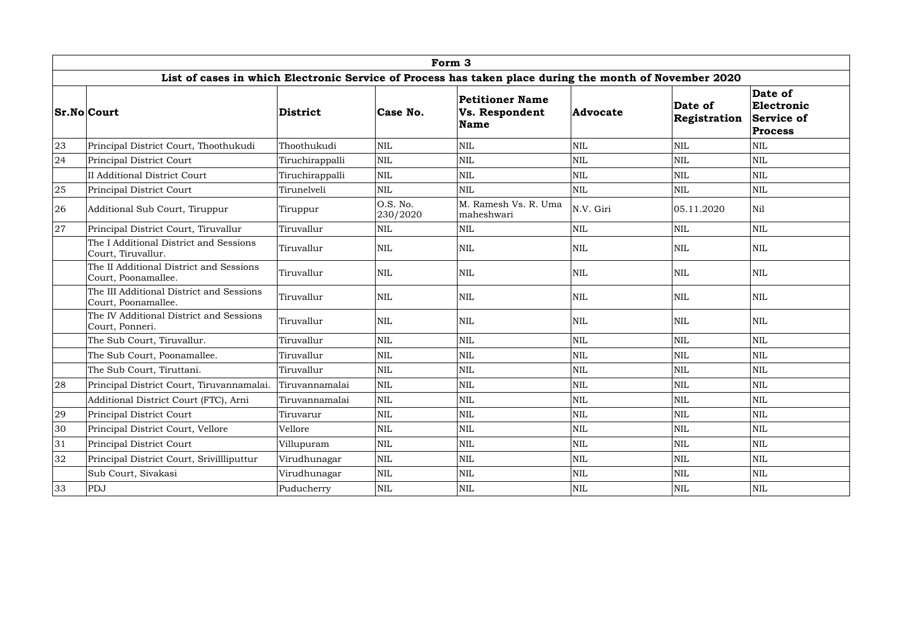|    | Form 3                                                          |                 |                      |                                                                                                        |                 |                         |                                                       |  |  |  |  |  |
|----|-----------------------------------------------------------------|-----------------|----------------------|--------------------------------------------------------------------------------------------------------|-----------------|-------------------------|-------------------------------------------------------|--|--|--|--|--|
|    |                                                                 |                 |                      | List of cases in which Electronic Service of Process has taken place during the month of November 2020 |                 |                         |                                                       |  |  |  |  |  |
|    | <b>Sr.No Court</b>                                              | <b>District</b> | Case No.             | <b>Petitioner Name</b><br><b>Vs. Respondent</b><br><b>Name</b>                                         | <b>Advocate</b> | Date of<br>Registration | Date of<br>Electronic<br>Service of<br><b>Process</b> |  |  |  |  |  |
| 23 | Principal District Court, Thoothukudi                           | Thoothukudi     | <b>NIL</b>           | <b>NIL</b>                                                                                             | $\mbox{NIL}$    | NIL                     | NIL                                                   |  |  |  |  |  |
| 24 | Principal District Court                                        | Tiruchirappalli | <b>NIL</b>           | $\mbox{NIL}$                                                                                           | $\text{NIL}$    | <b>NIL</b>              | NIL                                                   |  |  |  |  |  |
|    | II Additional District Court                                    | Tiruchirappalli | <b>NIL</b>           | <b>NIL</b>                                                                                             | $\text{NIL}$    | NIL                     | <b>NIL</b>                                            |  |  |  |  |  |
| 25 | Principal District Court                                        | Tirunelveli     | <b>NIL</b>           | <b>NIL</b>                                                                                             | NIL             | <b>NIL</b>              | <b>NIL</b>                                            |  |  |  |  |  |
| 26 | Additional Sub Court, Tiruppur                                  | Tiruppur        | O.S. No.<br>230/2020 | M. Ramesh Vs. R. Uma<br>maheshwari                                                                     | N.V. Giri       | 05.11.2020              | Nil                                                   |  |  |  |  |  |
| 27 | Principal District Court, Tiruvallur                            | Tiruvallur      | NIL                  | <b>NIL</b>                                                                                             | $\text{NIL}$    | NIL                     | NIL                                                   |  |  |  |  |  |
|    | The I Additional District and Sessions<br>Court, Tiruvallur.    | Tiruvallur      | NIL                  | <b>NIL</b>                                                                                             | $\mbox{NIL}$    | NIL                     | <b>NIL</b>                                            |  |  |  |  |  |
|    | The II Additional District and Sessions<br>Court, Poonamallee.  | Tiruvallur      | <b>NIL</b>           | <b>NIL</b>                                                                                             | NIL             | NIL                     | <b>NIL</b>                                            |  |  |  |  |  |
|    | The III Additional District and Sessions<br>Court, Poonamallee. | Tiruvallur      | <b>NIL</b>           | <b>NIL</b>                                                                                             | $\text{NIL}$    | NIL                     | <b>NIL</b>                                            |  |  |  |  |  |
|    | The IV Additional District and Sessions<br>Court, Ponneri.      | Tiruvallur      | NIL                  | <b>NIL</b>                                                                                             | $\text{NIL}$    | NIL                     | <b>NIL</b>                                            |  |  |  |  |  |
|    | The Sub Court, Tiruvallur.                                      | Tiruvallur      | <b>NIL</b>           | <b>NIL</b>                                                                                             | <b>NIL</b>      | NIL                     | <b>NIL</b>                                            |  |  |  |  |  |
|    | The Sub Court, Poonamallee.                                     | Tiruvallur      | <b>NIL</b>           | <b>NIL</b>                                                                                             | $\mbox{NIL}$    | <b>NIL</b>              | <b>NIL</b>                                            |  |  |  |  |  |
|    | The Sub Court, Tiruttani.                                       | Tiruvallur      | <b>NIL</b>           | <b>NIL</b>                                                                                             | $\text{NIL}$    | NIL                     | <b>NIL</b>                                            |  |  |  |  |  |
| 28 | Principal District Court, Tiruvannamalai.                       | Tiruvannamalai  | NIL                  | <b>NIL</b>                                                                                             | $\mbox{NIL}$    | NIL                     | NIL                                                   |  |  |  |  |  |
|    | Additional District Court (FTC), Arni                           | Tiruvannamalai  | $\mbox{NIL}$         | NIL                                                                                                    | $\mbox{NIL}$    | NIL                     | <b>NIL</b>                                            |  |  |  |  |  |
| 29 | Principal District Court                                        | Tiruvarur       | $\mbox{NIL}$         | NIL                                                                                                    | $\mbox{NIL}$    | NIL                     | NIL                                                   |  |  |  |  |  |
| 30 | Principal District Court, Vellore                               | Vellore         | $\mbox{NIL}$         | NIL                                                                                                    | <b>NIL</b>      | NIL                     | $\mbox{NIL}$                                          |  |  |  |  |  |
| 31 | Principal District Court                                        | Villupuram      | NIL                  | <b>NIL</b>                                                                                             | $\mbox{NIL}$    | <b>NIL</b>              | NIL                                                   |  |  |  |  |  |
| 32 | Principal District Court, Srivillliputtur                       | Virudhunagar    | $\mbox{NIL}$         | <b>NIL</b>                                                                                             | $\mbox{NIL}$    | NIL                     | <b>NIL</b>                                            |  |  |  |  |  |
|    | Sub Court, Sivakasi                                             | Virudhunagar    | NIL                  | $\mbox{NIL}$                                                                                           | $\mbox{NIL}$    | NIL                     | <b>NIL</b>                                            |  |  |  |  |  |
| 33 | PDJ                                                             | Puducherry      | NIL                  | <b>NIL</b>                                                                                             | NIL             | $\mbox{NIL}$            | <b>NIL</b>                                            |  |  |  |  |  |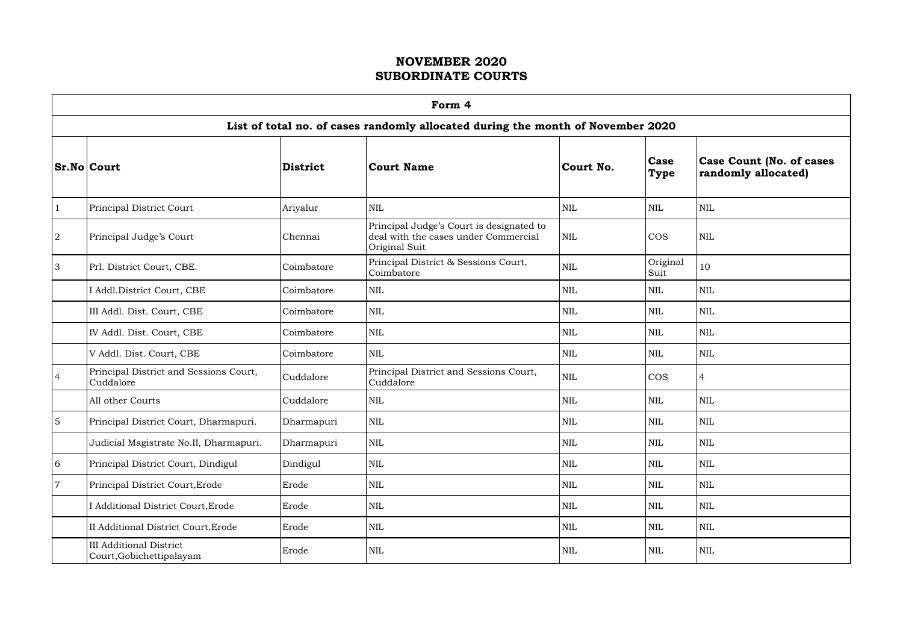$\Gamma$ 

|                | Form 4                                                                          |                 |                                                                                                   |              |                     |                                                        |  |  |  |  |  |
|----------------|---------------------------------------------------------------------------------|-----------------|---------------------------------------------------------------------------------------------------|--------------|---------------------|--------------------------------------------------------|--|--|--|--|--|
|                | List of total no. of cases randomly allocated during the month of November 2020 |                 |                                                                                                   |              |                     |                                                        |  |  |  |  |  |
|                | <b>Sr.No Court</b>                                                              | <b>District</b> | <b>Court Name</b>                                                                                 | Court No.    | Case<br><b>Type</b> | <b>Case Count (No. of cases</b><br>randomly allocated) |  |  |  |  |  |
|                | Principal District Court                                                        | Ariyalur        | <b>NIL</b>                                                                                        | <b>NIL</b>   | <b>NIL</b>          | <b>NIL</b>                                             |  |  |  |  |  |
| $\overline{2}$ | Principal Judge's Court                                                         | Chennai         | Principal Judge's Court is designated to<br>deal with the cases under Commercial<br>Original Suit | <b>NIL</b>   | <b>COS</b>          | <b>NIL</b>                                             |  |  |  |  |  |
| $\overline{3}$ | Prl. District Court, CBE.                                                       | Coimbatore      | Principal District & Sessions Court,<br>Coimbatore                                                | NIL          | Original<br>Suit    | 10                                                     |  |  |  |  |  |
|                | I Addl.District Court, CBE                                                      | Coimbatore      | <b>NIL</b>                                                                                        | $\mbox{NIL}$ | <b>NIL</b>          | <b>NIL</b>                                             |  |  |  |  |  |
|                | III Addl. Dist. Court, CBE                                                      | Coimbatore      | <b>NIL</b>                                                                                        | <b>NIL</b>   | <b>NIL</b>          | <b>NIL</b>                                             |  |  |  |  |  |
|                | IV Addl. Dist. Court, CBE                                                       | Coimbatore      | <b>NIL</b>                                                                                        | NIL          | <b>NIL</b>          | <b>NIL</b>                                             |  |  |  |  |  |
|                | V Addl. Dist. Court, CBE                                                        | Coimbatore      | <b>NIL</b>                                                                                        | $\mbox{NIL}$ | <b>NIL</b>          | <b>NIL</b>                                             |  |  |  |  |  |
| $\overline{4}$ | Principal District and Sessions Court,<br>Cuddalore                             | Cuddalore       | Principal District and Sessions Court,<br>Cuddalore                                               | NIL          | <b>COS</b>          | 4                                                      |  |  |  |  |  |
|                | All other Courts                                                                | Cuddalore       | <b>NIL</b>                                                                                        | $\text{NIL}$ | $\mbox{NIL}$        | <b>NIL</b>                                             |  |  |  |  |  |
| <sup>5</sup>   | Principal District Court, Dharmapuri.                                           | Dharmapuri      | <b>NIL</b>                                                                                        | <b>NIL</b>   | <b>NIL</b>          | <b>NIL</b>                                             |  |  |  |  |  |
|                | Judicial Magistrate No.II, Dharmapuri.                                          | Dharmapuri      | NIL                                                                                               | NIL          | NIL                 | NIL                                                    |  |  |  |  |  |
| 6              | Principal District Court, Dindigul                                              | Dindigul        | <b>NIL</b>                                                                                        | <b>NIL</b>   | <b>NIL</b>          | <b>NIL</b>                                             |  |  |  |  |  |
| $\overline{7}$ | Principal District Court, Erode                                                 | Erode           | <b>NIL</b>                                                                                        | <b>NIL</b>   | <b>NIL</b>          | $\mbox{NIL}$                                           |  |  |  |  |  |
|                | I Additional District Court, Erode                                              | Erode           | <b>NIL</b>                                                                                        | <b>NIL</b>   | <b>NIL</b>          | <b>NIL</b>                                             |  |  |  |  |  |
|                | II Additional District Court, Erode                                             | Erode           | <b>NIL</b>                                                                                        | $\mbox{NIL}$ | <b>NIL</b>          | <b>NIL</b>                                             |  |  |  |  |  |
|                | <b>III Additional District</b><br>Court, Gobichettipalayam                      | Erode           | <b>NIL</b>                                                                                        | <b>NIL</b>   | <b>NIL</b>          | <b>NIL</b>                                             |  |  |  |  |  |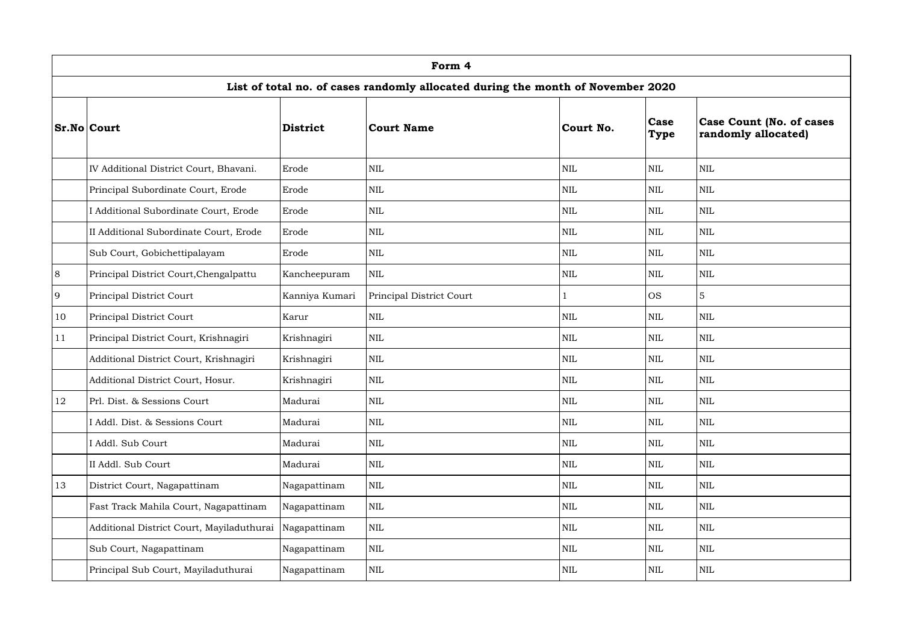|    | Form 4                                                                          |                 |                          |              |                     |                                                         |  |  |  |  |  |
|----|---------------------------------------------------------------------------------|-----------------|--------------------------|--------------|---------------------|---------------------------------------------------------|--|--|--|--|--|
|    | List of total no. of cases randomly allocated during the month of November 2020 |                 |                          |              |                     |                                                         |  |  |  |  |  |
|    | <b>Sr.No Court</b>                                                              | <b>District</b> | <b>Court Name</b>        | Court No.    | Case<br><b>Type</b> | <b>Case Count (No. of cases)</b><br>randomly allocated) |  |  |  |  |  |
|    | IV Additional District Court, Bhavani.                                          | Erode           | <b>NIL</b>               | $\mbox{NIL}$ | <b>NIL</b>          | $\mbox{NIL}$                                            |  |  |  |  |  |
|    | Principal Subordinate Court, Erode                                              | Erode           | $\text{NIL}$             | $\mbox{NIL}$ | <b>NIL</b>          | $\mbox{NIL}$                                            |  |  |  |  |  |
|    | I Additional Subordinate Court, Erode                                           | Erode           | <b>NIL</b>               | <b>NIL</b>   | <b>NIL</b>          | $\mbox{NIL}$                                            |  |  |  |  |  |
|    | II Additional Subordinate Court, Erode                                          | Erode           | <b>NIL</b>               | $\mbox{NIL}$ | <b>NIL</b>          | $\mbox{NIL}$                                            |  |  |  |  |  |
|    | Sub Court, Gobichettipalayam                                                    | Erode           | <b>NIL</b>               | $\mbox{NIL}$ | <b>NIL</b>          | <b>NIL</b>                                              |  |  |  |  |  |
| 8  | Principal District Court, Chengalpattu                                          | Kancheepuram    | <b>NIL</b>               | <b>NIL</b>   | <b>NIL</b>          | $\mbox{NIL}$                                            |  |  |  |  |  |
| 9  | Principal District Court                                                        | Kanniya Kumari  | Principal District Court |              | <b>OS</b>           | 5                                                       |  |  |  |  |  |
| 10 | Principal District Court                                                        | Karur           | <b>NIL</b>               | NIL          | <b>NIL</b>          | <b>NIL</b>                                              |  |  |  |  |  |
| 11 | Principal District Court, Krishnagiri                                           | Krishnagiri     | <b>NIL</b>               | NIL          | NIL                 | $\mbox{NIL}$                                            |  |  |  |  |  |
|    | Additional District Court, Krishnagiri                                          | Krishnagiri     | $\text{NIL}$             | $\mbox{NIL}$ | <b>NIL</b>          | <b>NIL</b>                                              |  |  |  |  |  |
|    | Additional District Court, Hosur.                                               | Krishnagiri     | <b>NIL</b>               | <b>NIL</b>   | <b>NIL</b>          | <b>NIL</b>                                              |  |  |  |  |  |
| 12 | Prl. Dist. & Sessions Court                                                     | Madurai         | $\rm NIL$                | $\mbox{NIL}$ | $\mbox{NIL}$        | $\mbox{NIL}$                                            |  |  |  |  |  |
|    | I Addl. Dist. & Sessions Court                                                  | Madurai         | $\text{NIL}$             | <b>NIL</b>   | <b>NIL</b>          | $\mbox{NIL}$                                            |  |  |  |  |  |
|    | I Addl. Sub Court                                                               | Madurai         | $\text{NIL}$             | $\mbox{NIL}$ | <b>NIL</b>          | <b>NIL</b>                                              |  |  |  |  |  |
|    | II Addl. Sub Court                                                              | Madurai         | $\text{NIL}$             | $\mbox{NIL}$ | <b>NIL</b>          | <b>NIL</b>                                              |  |  |  |  |  |
| 13 | District Court, Nagapattinam                                                    | Nagapattinam    | <b>NIL</b>               | $\mbox{NIL}$ | <b>NIL</b>          | $\mbox{NIL}$                                            |  |  |  |  |  |
|    | Fast Track Mahila Court, Nagapattinam                                           | Nagapattinam    | <b>NIL</b>               | <b>NIL</b>   | <b>NIL</b>          | <b>NIL</b>                                              |  |  |  |  |  |
|    | Additional District Court, Mayiladuthurai                                       | Nagapattinam    | $\text{NIL}$             | $\mbox{NIL}$ | <b>NIL</b>          | <b>NIL</b>                                              |  |  |  |  |  |
|    | Sub Court, Nagapattinam                                                         | Nagapattinam    | <b>NIL</b>               | $\mbox{NIL}$ | <b>NIL</b>          | <b>NIL</b>                                              |  |  |  |  |  |
|    | Principal Sub Court, Mayiladuthurai                                             | Nagapattinam    | <b>NIL</b>               | <b>NIL</b>   | <b>NIL</b>          | <b>NIL</b>                                              |  |  |  |  |  |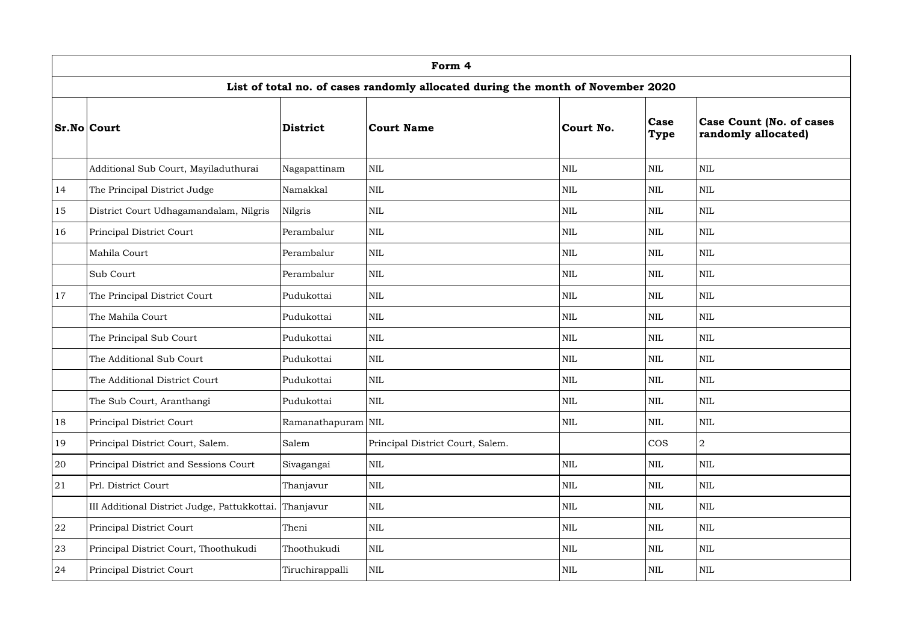|    | Form 4                                                                          |                    |                                  |              |                            |                                                        |  |  |  |  |  |
|----|---------------------------------------------------------------------------------|--------------------|----------------------------------|--------------|----------------------------|--------------------------------------------------------|--|--|--|--|--|
|    | List of total no. of cases randomly allocated during the month of November 2020 |                    |                                  |              |                            |                                                        |  |  |  |  |  |
|    | <b>Sr.No Court</b>                                                              | <b>District</b>    | <b>Court Name</b>                | Court No.    | <b>Case</b><br><b>Type</b> | <b>Case Count (No. of cases</b><br>randomly allocated) |  |  |  |  |  |
|    | Additional Sub Court, Mayiladuthurai                                            | Nagapattinam       | $\text{NIL}$                     | $\mbox{NIL}$ | <b>NIL</b>                 | $\mbox{NIL}$                                           |  |  |  |  |  |
| 14 | The Principal District Judge                                                    | Namakkal           | <b>NIL</b>                       | $\mbox{NIL}$ | <b>NIL</b>                 | $\mbox{NIL}$                                           |  |  |  |  |  |
| 15 | District Court Udhagamandalam, Nilgris                                          | Nilgris            | <b>NIL</b>                       | <b>NIL</b>   | <b>NIL</b>                 | $\mbox{NIL}$                                           |  |  |  |  |  |
| 16 | Principal District Court                                                        | Perambalur         | $\text{NIL}$                     | $\mbox{NIL}$ | <b>NIL</b>                 | $\mbox{NIL}$                                           |  |  |  |  |  |
|    | Mahila Court                                                                    | Perambalur         | $\text{NIL}$                     | $\mbox{NIL}$ | <b>NIL</b>                 | <b>NIL</b>                                             |  |  |  |  |  |
|    | Sub Court                                                                       | Perambalur         | <b>NIL</b>                       | <b>NIL</b>   | <b>NIL</b>                 | $\mbox{NIL}$                                           |  |  |  |  |  |
| 17 | The Principal District Court                                                    | Pudukottai         | <b>NIL</b>                       | $\mbox{NIL}$ | <b>NIL</b>                 | $\mbox{NIL}$                                           |  |  |  |  |  |
|    | The Mahila Court                                                                | Pudukottai         | <b>NIL</b>                       | $\mbox{NIL}$ | <b>NIL</b>                 | <b>NIL</b>                                             |  |  |  |  |  |
|    | The Principal Sub Court                                                         | Pudukottai         | <b>NIL</b>                       | <b>NIL</b>   | NIL                        | $\mbox{NIL}$                                           |  |  |  |  |  |
|    | The Additional Sub Court                                                        | Pudukottai         | $\text{NIL}$                     | $\mbox{NIL}$ | <b>NIL</b>                 | <b>NIL</b>                                             |  |  |  |  |  |
|    | The Additional District Court                                                   | Pudukottai         | <b>NIL</b>                       | <b>NIL</b>   | <b>NIL</b>                 | <b>NIL</b>                                             |  |  |  |  |  |
|    | The Sub Court, Aranthangi                                                       | Pudukottai         | $\rm NIL$                        | $\mbox{NIL}$ | $\mbox{NIL}$               | $\mbox{NIL}$                                           |  |  |  |  |  |
| 18 | Principal District Court                                                        | Ramanathapuram NIL |                                  | $\mbox{NIL}$ | <b>NIL</b>                 | $\mbox{NIL}$                                           |  |  |  |  |  |
| 19 | Principal District Court, Salem.                                                | Salem              | Principal District Court, Salem. |              | <b>COS</b>                 | $\overline{2}$                                         |  |  |  |  |  |
| 20 | Principal District and Sessions Court                                           | Sivagangai         | $\mbox{NIL}$                     | $\mbox{NIL}$ | <b>NIL</b>                 | $\mbox{NIL}$                                           |  |  |  |  |  |
| 21 | Prl. District Court                                                             | Thanjavur          | $\text{NIL}$                     | $\mbox{NIL}$ | <b>NIL</b>                 | <b>NIL</b>                                             |  |  |  |  |  |
|    | III Additional District Judge, Pattukkottai.                                    | Thanjavur          | $\text{NIL}$                     | <b>NIL</b>   | <b>NIL</b>                 | <b>NIL</b>                                             |  |  |  |  |  |
| 22 | Principal District Court                                                        | Theni              | $\text{NIL}$                     | $\mbox{NIL}$ | <b>NIL</b>                 | $\mbox{NIL}$                                           |  |  |  |  |  |
| 23 | Principal District Court, Thoothukudi                                           | Thoothukudi        | $\text{NIL}$                     | $\mbox{NIL}$ | $\mbox{NIL}$               | <b>NIL</b>                                             |  |  |  |  |  |
| 24 | Principal District Court                                                        | Tiruchirappalli    | <b>NIL</b>                       | <b>NIL</b>   | <b>NIL</b>                 | <b>NIL</b>                                             |  |  |  |  |  |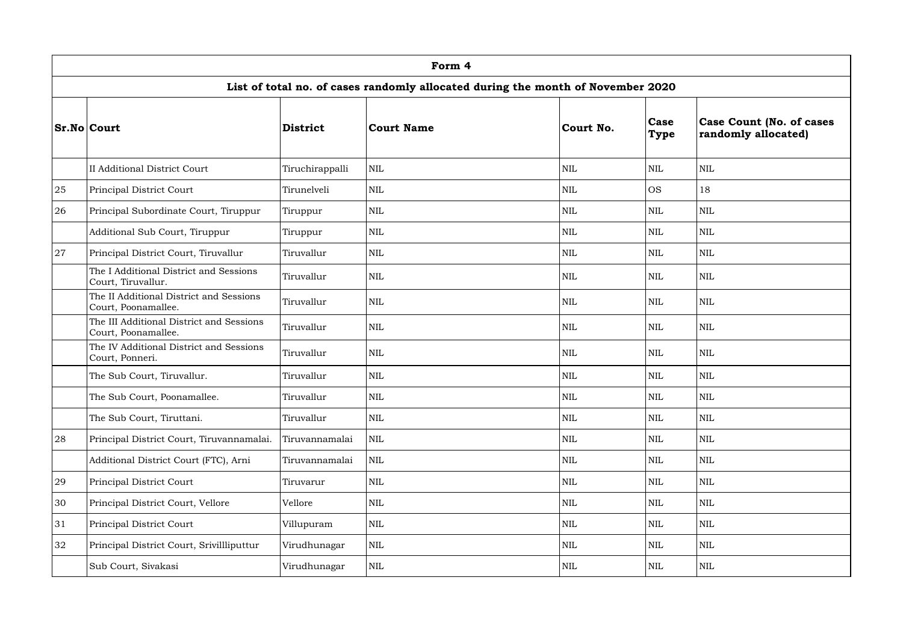|    | Form 4                                                                          |                 |                   |              |                     |                                                         |  |  |  |  |  |
|----|---------------------------------------------------------------------------------|-----------------|-------------------|--------------|---------------------|---------------------------------------------------------|--|--|--|--|--|
|    | List of total no. of cases randomly allocated during the month of November 2020 |                 |                   |              |                     |                                                         |  |  |  |  |  |
|    | <b>Sr.No Court</b>                                                              | <b>District</b> | <b>Court Name</b> | Court No.    | Case<br><b>Type</b> | <b>Case Count (No. of cases)</b><br>randomly allocated) |  |  |  |  |  |
|    | <b>II Additional District Court</b>                                             | Tiruchirappalli | <b>NIL</b>        | $\mbox{NIL}$ | <b>NIL</b>          | <b>NIL</b>                                              |  |  |  |  |  |
| 25 | Principal District Court                                                        | Tirunelveli     | <b>NIL</b>        | $\mbox{NIL}$ | <b>OS</b>           | 18                                                      |  |  |  |  |  |
| 26 | Principal Subordinate Court, Tiruppur                                           | Tiruppur        | <b>NIL</b>        | <b>NIL</b>   | <b>NIL</b>          | $\mbox{NIL}$                                            |  |  |  |  |  |
|    | Additional Sub Court, Tiruppur                                                  | Tiruppur        | <b>NIL</b>        | $\mbox{NIL}$ | <b>NIL</b>          | <b>NIL</b>                                              |  |  |  |  |  |
| 27 | Principal District Court, Tiruvallur                                            | Tiruvallur      | $\text{NIL}$      | NIL          | <b>NIL</b>          | <b>NIL</b>                                              |  |  |  |  |  |
|    | The I Additional District and Sessions<br>Court, Tiruvallur.                    | Tiruvallur      | <b>NIL</b>        | $\mbox{NIL}$ | <b>NIL</b>          | $\mbox{NIL}$                                            |  |  |  |  |  |
|    | The II Additional District and Sessions<br>Court, Poonamallee.                  | Tiruvallur      | $\text{NIL}$      | $\mbox{NIL}$ | NIL                 | $\mbox{NIL}$                                            |  |  |  |  |  |
|    | The III Additional District and Sessions<br>Court, Poonamallee.                 | Tiruvallur      | <b>NIL</b>        | NIL          | <b>NIL</b>          | $\mbox{NIL}$                                            |  |  |  |  |  |
|    | The IV Additional District and Sessions<br>Court, Ponneri.                      | Tiruvallur      | $\text{NIL}$      | $\mbox{NIL}$ | <b>NIL</b>          | <b>NIL</b>                                              |  |  |  |  |  |
|    | The Sub Court, Tiruvallur.                                                      | Tiruvallur      | <b>NIL</b>        | <b>NIL</b>   | <b>NIL</b>          | <b>NIL</b>                                              |  |  |  |  |  |
|    | The Sub Court, Poonamallee.                                                     | Tiruvallur      | $\text{NIL}$      | $\mbox{NIL}$ | $\mbox{NIL}$        | $\mbox{NIL}$                                            |  |  |  |  |  |
|    | The Sub Court, Tiruttani.                                                       | Tiruvallur      | $\text{NIL}$      | $\mbox{NIL}$ | <b>NIL</b>          | <b>NIL</b>                                              |  |  |  |  |  |
| 28 | Principal District Court, Tiruvannamalai.                                       | Tiruvannamalai  | <b>NIL</b>        | <b>NIL</b>   | <b>NIL</b>          | <b>NIL</b>                                              |  |  |  |  |  |
|    | Additional District Court (FTC), Arni                                           | Tiruvannamalai  | $\text{NIL}$      | $\mbox{NIL}$ | <b>NIL</b>          | <b>NIL</b>                                              |  |  |  |  |  |
| 29 | Principal District Court                                                        | Tiruvarur       | $\mbox{NIL}$      | $\mbox{NIL}$ | <b>NIL</b>          | $\mbox{NIL}$                                            |  |  |  |  |  |
| 30 | Principal District Court, Vellore                                               | Vellore         | $\text{NIL}$      | <b>NIL</b>   | <b>NIL</b>          | <b>NIL</b>                                              |  |  |  |  |  |
| 31 | Principal District Court                                                        | Villupuram      | $\text{NIL}$      | <b>NIL</b>   | <b>NIL</b>          | $\mbox{NIL}$                                            |  |  |  |  |  |
| 32 | Principal District Court, Srivillliputtur                                       | Virudhunagar    | $\text{NIL}$      | $\mbox{NIL}$ | <b>NIL</b>          | $\mbox{NIL}$                                            |  |  |  |  |  |
|    | Sub Court, Sivakasi                                                             | Virudhunagar    | <b>NIL</b>        | <b>NIL</b>   | <b>NIL</b>          | $\mbox{NIL}$                                            |  |  |  |  |  |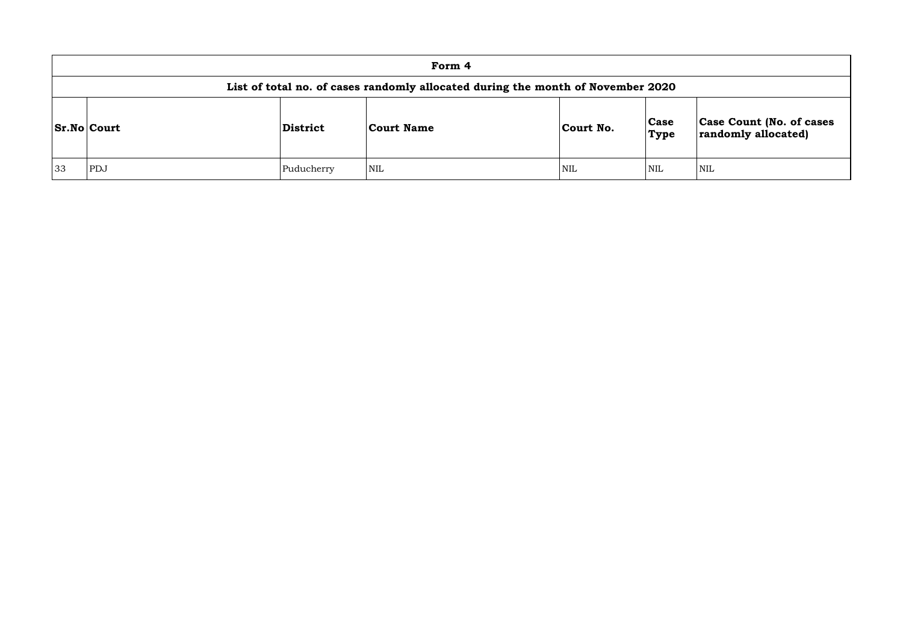|    |                                                                                 |            | Form 4     |            |                     |            |  |  |  |  |  |
|----|---------------------------------------------------------------------------------|------------|------------|------------|---------------------|------------|--|--|--|--|--|
|    | List of total no. of cases randomly allocated during the month of November 2020 |            |            |            |                     |            |  |  |  |  |  |
|    | <b>Sr.No Court</b>                                                              | District   | Court Name | Court No.  | <b>Case</b><br>Type | Ca<br>rar  |  |  |  |  |  |
| 33 | PDJ                                                                             | Puducherry | <b>NIL</b> | <b>NIL</b> | <b>NIL</b>          | <b>NIL</b> |  |  |  |  |  |

| Case Count (No. of cases<br>randomly allocated) |
|-------------------------------------------------|
|                                                 |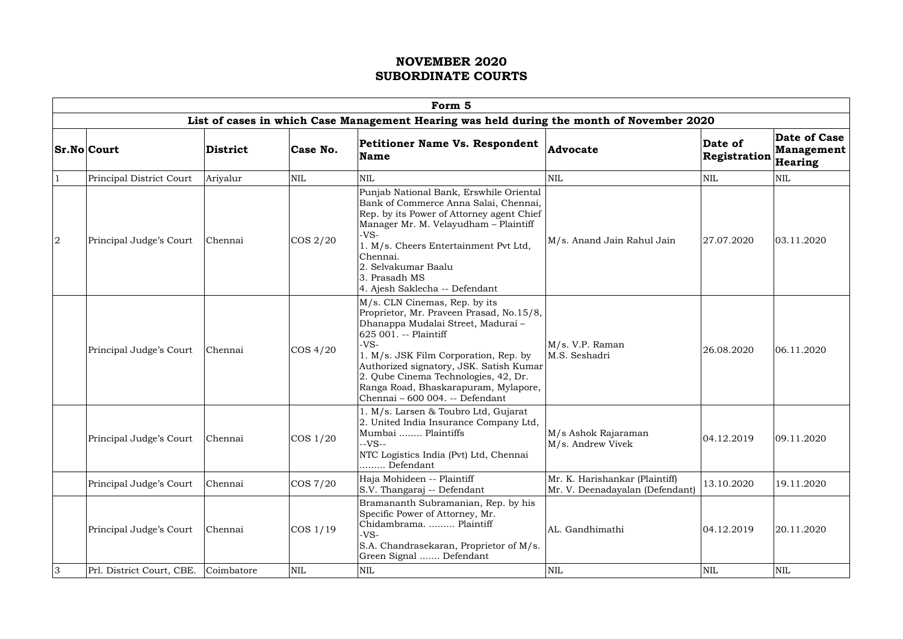|                | Form 5                    |                 |              |                                                                                                                                                                                                                                                                                                                                                          |                                                                   |                         |                                              |  |  |  |  |  |
|----------------|---------------------------|-----------------|--------------|----------------------------------------------------------------------------------------------------------------------------------------------------------------------------------------------------------------------------------------------------------------------------------------------------------------------------------------------------------|-------------------------------------------------------------------|-------------------------|----------------------------------------------|--|--|--|--|--|
|                |                           |                 |              | List of cases in which Case Management Hearing was held during the month of November 2020                                                                                                                                                                                                                                                                |                                                                   |                         |                                              |  |  |  |  |  |
|                | <b>Sr.No Court</b>        | <b>District</b> | Case No.     | <b>Petitioner Name Vs. Respondent</b><br><b>Name</b>                                                                                                                                                                                                                                                                                                     | <b>Advocate</b>                                                   | Date of<br>Registration | Date of Case<br><b>Management</b><br>Hearing |  |  |  |  |  |
|                | Principal District Court  | Ariyalur        | $\mbox{NIL}$ | <b>NIL</b>                                                                                                                                                                                                                                                                                                                                               | <b>NIL</b>                                                        | <b>NIL</b>              | NIL                                          |  |  |  |  |  |
| $\overline{2}$ | Principal Judge's Court   | Chennai         | $\cos 2/20$  | Punjab National Bank, Erswhile Oriental<br>Bank of Commerce Anna Salai, Chennai,<br>Rep. by its Power of Attorney agent Chief<br>Manager Mr. M. Velayudham - Plaintiff<br>$-VS-$<br>1. M/s. Cheers Entertainment Pvt Ltd,<br>Chennai.<br>2. Selvakumar Baalu<br>3. Prasadh MS<br>4. Ajesh Saklecha -- Defendant                                          | M/s. Anand Jain Rahul Jain                                        | 27.07.2020              | 03.11.2020                                   |  |  |  |  |  |
|                | Principal Judge's Court   | Chennai         | COS 4/20     | M/s. CLN Cinemas, Rep. by its<br>Proprietor, Mr. Praveen Prasad, No.15/8,<br>Dhanappa Mudalai Street, Madurai-<br>625 001. -- Plaintiff<br>$-VS-$<br>1. M/s. JSK Film Corporation, Rep. by<br>Authorized signatory, JSK. Satish Kumar<br>2. Qube Cinema Technologies, 42, Dr.<br>Ranga Road, Bhaskarapuram, Mylapore,<br>Chennai - 600 004. -- Defendant | M/s. V.P. Raman<br>M.S. Seshadri                                  | 26.08.2020              | 06.11.2020                                   |  |  |  |  |  |
|                | Principal Judge's Court   | Chennai         | $\cos 1/20$  | l. M/s. Larsen & Toubro Ltd, Gujarat<br>2. United India Insurance Company Ltd,<br>Mumbai  Plaintiffs<br>$-VS-$<br>NTC Logistics India (Pvt) Ltd, Chennai<br>Defendant                                                                                                                                                                                    | M/s Ashok Rajaraman<br>M/s. Andrew Vivek                          | 04.12.2019              | 09.11.2020                                   |  |  |  |  |  |
|                | Principal Judge's Court   | Chennai         | COS 7/20     | Haja Mohideen -- Plaintiff<br>S.V. Thangaraj -- Defendant                                                                                                                                                                                                                                                                                                | Mr. K. Harishankar (Plaintiff)<br>Mr. V. Deenadayalan (Defendant) | 13.10.2020              | 19.11.2020                                   |  |  |  |  |  |
|                | Principal Judge's Court   | Chennai         | $\cos 1/19$  | Bramananth Subramanian, Rep. by his<br>Specific Power of Attorney, Mr.<br>Chidambrama.  Plaintiff<br>$-VS-$<br>S.A. Chandrasekaran, Proprietor of M/s.<br>Green Signal  Defendant                                                                                                                                                                        | AL. Gandhimathi                                                   | 04.12.2019              | 20.11.2020                                   |  |  |  |  |  |
| $\overline{3}$ | Prl. District Court, CBE. | Coimbatore      | $\mbox{NIL}$ | NIL                                                                                                                                                                                                                                                                                                                                                      | <b>NIL</b>                                                        | NIL                     | <b>NIL</b>                                   |  |  |  |  |  |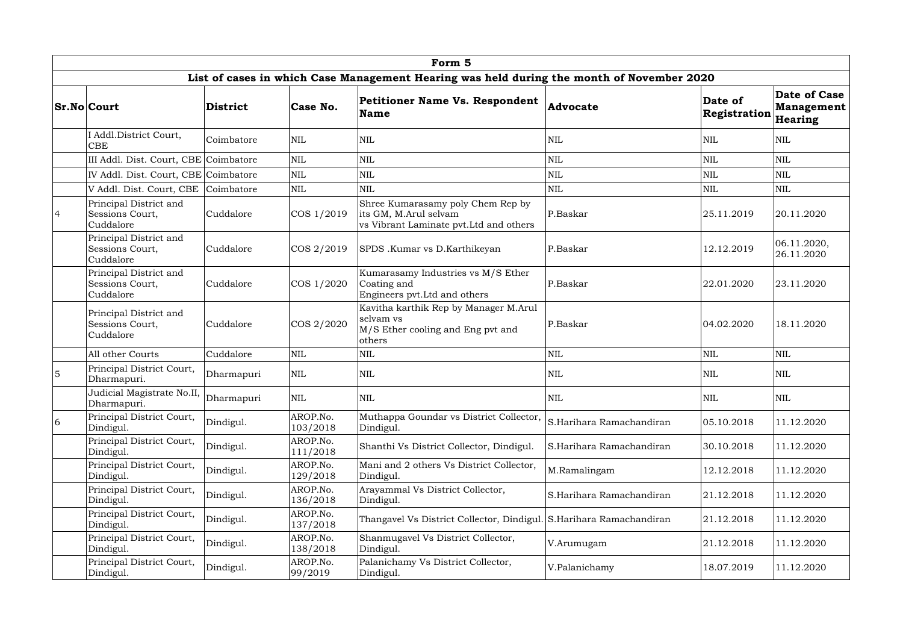|                 | Form 5                                                 |            |                      |                                                                                                       |                          |                         |                                              |  |  |  |  |
|-----------------|--------------------------------------------------------|------------|----------------------|-------------------------------------------------------------------------------------------------------|--------------------------|-------------------------|----------------------------------------------|--|--|--|--|
|                 |                                                        |            |                      | List of cases in which Case Management Hearing was held during the month of November 2020             |                          |                         |                                              |  |  |  |  |
|                 | <b>Sr.No Court</b>                                     | District   | Case No.             | <b>Petitioner Name Vs. Respondent</b><br>Name                                                         | <b>Advocate</b>          | Date of<br>Registration | <b>Date of Case</b><br>Management<br>Hearing |  |  |  |  |
|                 | I Addl.District Court,<br><b>CBE</b>                   | Coimbatore | <b>NIL</b>           | <b>NIL</b>                                                                                            | NIL                      | NIL                     | <b>NIL</b>                                   |  |  |  |  |
|                 | III Addl. Dist. Court, CBE Coimbatore                  |            | <b>NIL</b>           | <b>NIL</b>                                                                                            | NIL                      | <b>NIL</b>              | <b>NIL</b>                                   |  |  |  |  |
|                 | IV Addl. Dist. Court, CBE Coimbatore                   |            | $\mbox{NIL}$         | $\mbox{NIL}$                                                                                          | NIL                      | <b>NIL</b>              | $\mbox{NIL}$                                 |  |  |  |  |
|                 | V Addl. Dist. Court, CBE Coimbatore                    |            | <b>NIL</b>           | $\mbox{NIL}$                                                                                          | NIL                      | NIL                     | NIL                                          |  |  |  |  |
| $\overline{4}$  | Principal District and<br>Sessions Court,<br>Cuddalore | Cuddalore  | $\cos 1/2019$        | Shree Kumarasamy poly Chem Rep by<br>its GM, M.Arul selvam<br>vs Vibrant Laminate pvt. Ltd and others | P.Baskar                 | 25.11.2019              | 20.11.2020                                   |  |  |  |  |
|                 | Principal District and<br>Sessions Court,<br>Cuddalore | Cuddalore  | COS 2/2019           | SPDS .Kumar vs D.Karthikeyan                                                                          | P.Baskar                 | 12.12.2019              | 06.11.2020,<br>26.11.2020                    |  |  |  |  |
|                 | Principal District and<br>Sessions Court,<br>Cuddalore | Cuddalore  | COS 1/2020           | Kumarasamy Industries vs M/S Ether<br>Coating and<br>Engineers pvt. Ltd and others                    | P.Baskar                 | 22.01.2020              | 23.11.2020                                   |  |  |  |  |
|                 | Principal District and<br>Sessions Court,<br>Cuddalore | Cuddalore  | COS 2/2020           | Kavitha karthik Rep by Manager M.Arul<br>selvam vs<br>M/S Ether cooling and Eng pvt and<br>others     | P.Baskar                 | 04.02.2020              | 18.11.2020                                   |  |  |  |  |
|                 | All other Courts                                       | Cuddalore  | <b>NIL</b>           | <b>NIL</b>                                                                                            | NIL                      | $\mbox{NIL}$            | <b>NIL</b>                                   |  |  |  |  |
| $5\overline{5}$ | Principal District Court,<br>Dharmapuri.               | Dharmapuri | <b>NIL</b>           | <b>NIL</b>                                                                                            | NIL                      | NIL                     | <b>NIL</b>                                   |  |  |  |  |
|                 | Judicial Magistrate No.II,<br>Dharmapuri.              | Dharmapuri | NIL                  | <b>NIL</b>                                                                                            | <b>NIL</b>               | $\mbox{NIL}$            | <b>NIL</b>                                   |  |  |  |  |
| 6               | Principal District Court,<br>Dindigul.                 | Dindigul.  | AROP.No.<br>103/2018 | Muthappa Goundar vs District Collector,<br>Dindigul.                                                  | S.Harihara Ramachandiran | 05.10.2018              | 11.12.2020                                   |  |  |  |  |
|                 | Principal District Court,<br>Dindigul.                 | Dindigul.  | AROP.No.<br>111/2018 | Shanthi Vs District Collector, Dindigul.                                                              | S.Harihara Ramachandiran | 30.10.2018              | 11.12.2020                                   |  |  |  |  |
|                 | Principal District Court,<br>Dindigul.                 | Dindigul.  | AROP.No.<br>129/2018 | Mani and 2 others Vs District Collector,<br>Dindigul.                                                 | M.Ramalingam             | 12.12.2018              | 11.12.2020                                   |  |  |  |  |
|                 | Principal District Court,<br>Dindigul.                 | Dindigul.  | AROP.No.<br>136/2018 | Arayammal Vs District Collector,<br>Dindigul.                                                         | S.Harihara Ramachandiran | 21.12.2018              | 11.12.2020                                   |  |  |  |  |
|                 | Principal District Court,<br>Dindigul.                 | Dindigul.  | AROP.No.<br>137/2018 | Thangavel Vs District Collector, Dindigul. S.Harihara Ramachandiran                                   |                          | 21.12.2018              | 11.12.2020                                   |  |  |  |  |
|                 | Principal District Court,<br>Dindigul.                 | Dindigul.  | AROP.No.<br>138/2018 | Shanmugavel Vs District Collector,<br>Dindigul.                                                       | V.Arumugam               | 21.12.2018              | 11.12.2020                                   |  |  |  |  |
|                 | Principal District Court,<br>Dindigul.                 | Dindigul.  | AROP.No.<br>99/2019  | Palanichamy Vs District Collector,<br>Dindigul.                                                       | V.Palanichamy            | 18.07.2019              | 11.12.2020                                   |  |  |  |  |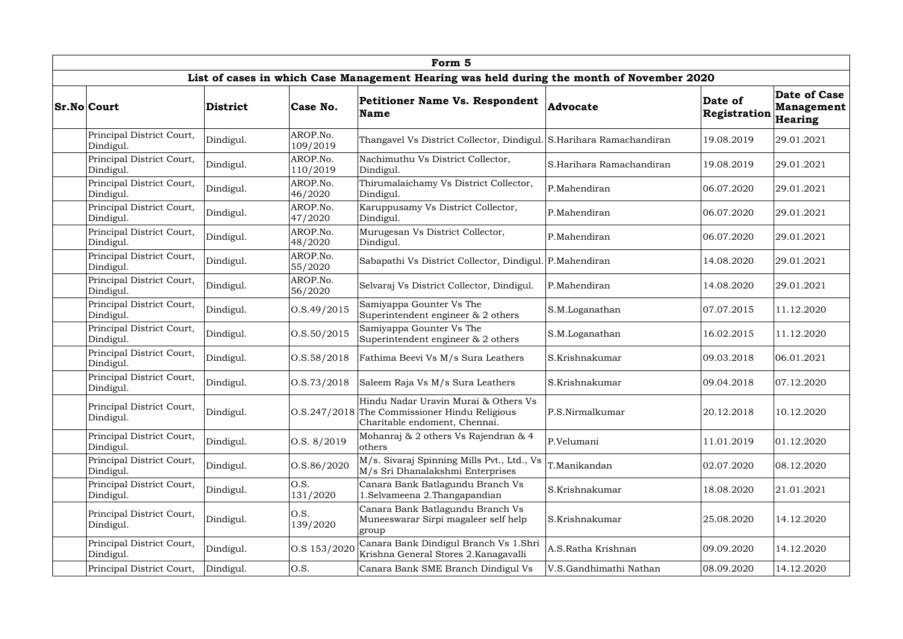| Form 5                                 |                 |                      |                                                                                                                        |                          |                         |                                                     |  |  |  |  |
|----------------------------------------|-----------------|----------------------|------------------------------------------------------------------------------------------------------------------------|--------------------------|-------------------------|-----------------------------------------------------|--|--|--|--|
|                                        |                 |                      | List of cases in which Case Management Hearing was held during the month of November 2020                              |                          |                         |                                                     |  |  |  |  |
| <b>Sr.No Court</b>                     | <b>District</b> | Case No.             | <b>Petitioner Name Vs. Respondent</b><br><b>Name</b>                                                                   | Advocate                 | Date of<br>Registration | <b>Date of Case</b><br><b>Management</b><br>Hearing |  |  |  |  |
| Principal District Court,<br>Dindigul. | Dindigul.       | AROP.No.<br>109/2019 | Thangavel Vs District Collector, Dindigul. S.Harihara Ramachandiran                                                    |                          | 19.08.2019              | 29.01.2021                                          |  |  |  |  |
| Principal District Court,<br>Dindigul. | Dindigul.       | AROP.No.<br>110/2019 | Nachimuthu Vs District Collector,<br>Dindigul.                                                                         | S.Harihara Ramachandiran | 19.08.2019              | 29.01.2021                                          |  |  |  |  |
| Principal District Court,<br>Dindigul. | Dindigul.       | AROP.No.<br>46/2020  | Thirumalaichamy Vs District Collector,<br>Dindigul.                                                                    | P.Mahendiran             | 06.07.2020              | 29.01.2021                                          |  |  |  |  |
| Principal District Court,<br>Dindigul. | Dindigul.       | AROP.No.<br>47/2020  | Karuppusamy Vs District Collector,<br>Dindigul.                                                                        | P.Mahendiran             | 06.07.2020              | 29.01.2021                                          |  |  |  |  |
| Principal District Court,<br>Dindigul. | Dindigul.       | AROP.No.<br>48/2020  | Murugesan Vs District Collector,<br>Dindigul.                                                                          | P.Mahendiran             | 06.07.2020              | 29.01.2021                                          |  |  |  |  |
| Principal District Court,<br>Dindigul. | Dindigul.       | AROP.No.<br>55/2020  | Sabapathi Vs District Collector, Dindigul. P.Mahendiran                                                                |                          | 14.08.2020              | 29.01.2021                                          |  |  |  |  |
| Principal District Court,<br>Dindigul. | Dindigul.       | AROP.No.<br>56/2020  | Selvaraj Vs District Collector, Dindigul.                                                                              | P.Mahendiran             | 14.08.2020              | 29.01.2021                                          |  |  |  |  |
| Principal District Court,<br>Dindigul. | Dindigul.       | 0. S.49/2015         | Samiyappa Gounter Vs The<br>Superintendent engineer & 2 others                                                         | S.M.Loganathan           | 07.07.2015              | 11.12.2020                                          |  |  |  |  |
| Principal District Court,<br>Dindigul. | Dindigul.       | O.S.50/2015          | Samiyappa Gounter Vs The<br>Superintendent engineer $\&$ 2 others                                                      | S.M.Loganathan           | 16.02.2015              | 11.12.2020                                          |  |  |  |  |
| Principal District Court,<br>Dindigul. | Dindigul.       | 0. S. 58 / 2018      | Fathima Beevi Vs M/s Sura Leathers                                                                                     | S.Krishnakumar           | 09.03.2018              | 06.01.2021                                          |  |  |  |  |
| Principal District Court,<br>Dindigul. | Dindigul.       | 0. S. 73/2018        | Saleem Raja Vs M/s Sura Leathers                                                                                       | S.Krishnakumar           | 09.04.2018              | 07.12.2020                                          |  |  |  |  |
| Principal District Court,<br>Dindigul. | Dindigul.       |                      | Hindu Nadar Uravin Murai & Others Vs<br>O.S.247/2018 The Commissioner Hindu Religious<br>Charitable endoment, Chennai. | P.S.Nirmalkumar          | 20.12.2018              | 10.12.2020                                          |  |  |  |  |
| Principal District Court,<br>Dindigul. | Dindigul.       | O.S. 8/2019          | Mohanraj & 2 others Vs Rajendran & 4<br>others                                                                         | P.Velumani               | 11.01.2019              | 01.12.2020                                          |  |  |  |  |
| Principal District Court,<br>Dindigul. | Dindigul.       | O.S.86/2020          | M/s. Sivaraj Spinning Mills Pvt., Ltd., Vs<br>M/s Sri Dhanalakshmi Enterprises                                         | T.Manikandan             | 02.07.2020              | 08.12.2020                                          |  |  |  |  |
| Principal District Court,<br>Dindigul. | Dindigul.       | O.S.<br>131/2020     | Canara Bank Batlagundu Branch Vs<br>1.Selvameena 2.Thangapandian                                                       | S.Krishnakumar           | 18.08.2020              | 21.01.2021                                          |  |  |  |  |
| Principal District Court,<br>Dindigul. | Dindigul.       | O.S.<br>139/2020     | Canara Bank Batlagundu Branch Vs<br>Muneeswarar Sirpi magaleer self help<br>group                                      | S.Krishnakumar           | 25.08.2020              | 14.12.2020                                          |  |  |  |  |
| Principal District Court,<br>Dindigul. | Dindigul.       | O.S 153/2020         | Canara Bank Dindigul Branch Vs 1.Shri<br>Krishna General Stores 2. Kanagavalli                                         | A.S.Ratha Krishnan       | 09.09.2020              | 14.12.2020                                          |  |  |  |  |
| Principal District Court,              | Dindigul.       | O.S.                 | Canara Bank SME Branch Dindigul Vs                                                                                     | V.S.Gandhimathi Nathan   | 08.09.2020              | 14.12.2020                                          |  |  |  |  |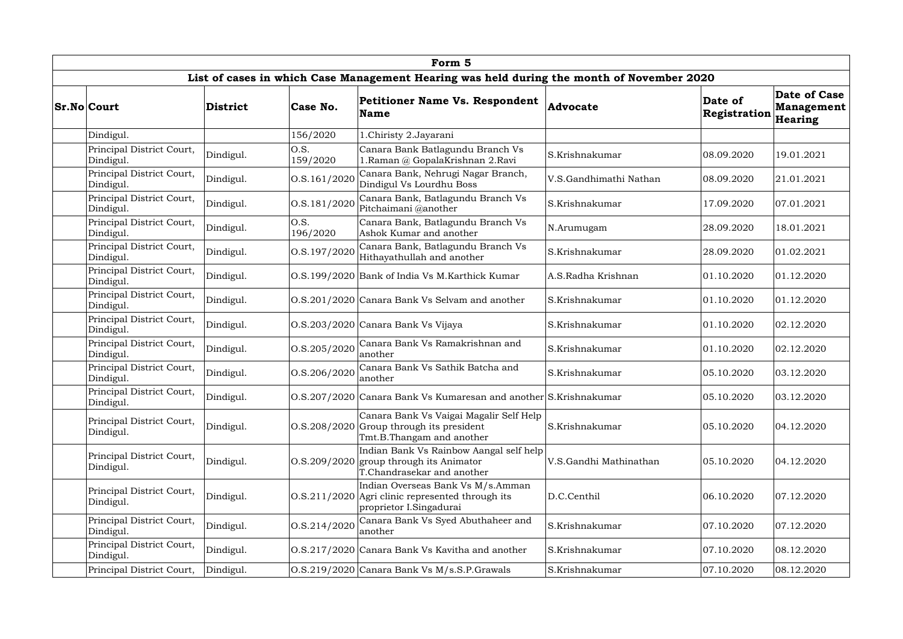|                                        | Form 5          |                      |                                                                                                                                |                        |                         |                                              |  |  |  |  |
|----------------------------------------|-----------------|----------------------|--------------------------------------------------------------------------------------------------------------------------------|------------------------|-------------------------|----------------------------------------------|--|--|--|--|
|                                        |                 |                      | List of cases in which Case Management Hearing was held during the month of November 2020                                      |                        |                         |                                              |  |  |  |  |
| <b>Sr.No Court</b>                     | <b>District</b> | Case No.             | <b>Petitioner Name Vs. Respondent</b><br>Name                                                                                  | Advocate               | Date of<br>Registration | Date of Case<br><b>Management</b><br>Hearing |  |  |  |  |
| Dindigul.                              |                 | 156/2020             | 1.Chiristy 2.Jayarani                                                                                                          |                        |                         |                                              |  |  |  |  |
| Principal District Court,<br>Dindigul. | Dindigul.       | O.S.<br>159/2020     | Canara Bank Batlagundu Branch Vs<br>1.Raman @ GopalaKrishnan 2.Ravi                                                            | S.Krishnakumar         | 08.09.2020              | 19.01.2021                                   |  |  |  |  |
| Principal District Court,<br>Dindigul. | Dindigul.       | O.S.161/2020         | Canara Bank, Nehrugi Nagar Branch,<br>Dindigul Vs Lourdhu Boss                                                                 | V.S.Gandhimathi Nathan | 08.09.2020              | 21.01.2021                                   |  |  |  |  |
| Principal District Court,<br>Dindigul. | Dindigul.       | O.S.181/2020         | Canara Bank, Batlagundu Branch Vs<br>Pitchaimani @another                                                                      | S.Krishnakumar         | 17.09.2020              | 07.01.2021                                   |  |  |  |  |
| Principal District Court,<br>Dindigul. | Dindigul.       | O.S.<br>196/2020     | Canara Bank, Batlagundu Branch Vs<br>Ashok Kumar and another                                                                   | N.Arumugam             | 28.09.2020              | 18.01.2021                                   |  |  |  |  |
| Principal District Court,<br>Dindigul. | Dindigul.       | $\vert$ O.S.197/2020 | Canara Bank, Batlagundu Branch Vs<br>Hithayathullah and another                                                                | S.Krishnakumar         | 28.09.2020              | 01.02.2021                                   |  |  |  |  |
| Principal District Court,<br>Dindigul. | Dindigul.       |                      | O.S.199/2020 Bank of India Vs M.Karthick Kumar                                                                                 | A.S.Radha Krishnan     | 01.10.2020              | 01.12.2020                                   |  |  |  |  |
| Principal District Court,<br>Dindigul. | Dindigul.       |                      | O.S.201/2020 Canara Bank Vs Selvam and another                                                                                 | S.Krishnakumar         | 01.10.2020              | 01.12.2020                                   |  |  |  |  |
| Principal District Court,<br>Dindigul. | Dindigul.       |                      | O.S.203/2020 Canara Bank Vs Vijaya                                                                                             | S.Krishnakumar         | 01.10.2020              | 02.12.2020                                   |  |  |  |  |
| Principal District Court,<br>Dindigul. | Dindigul.       | O.S.205/2020         | Canara Bank Vs Ramakrishnan and<br>another                                                                                     | S.Krishnakumar         | 01.10.2020              | 02.12.2020                                   |  |  |  |  |
| Principal District Court,<br>Dindigul. | Dindigul.       | O.S.206/2020         | Canara Bank Vs Sathik Batcha and<br>another                                                                                    | S.Krishnakumar         | 05.10.2020              | 03.12.2020                                   |  |  |  |  |
| Principal District Court,<br>Dindigul. | Dindigul.       |                      | O.S.207/2020 Canara Bank Vs Kumaresan and another S.Krishnakumar                                                               |                        | 05.10.2020              | 03.12.2020                                   |  |  |  |  |
| Principal District Court,<br>Dindigul. | Dindigul.       |                      | Canara Bank Vs Vaigai Magalir Self Help<br>O.S.208/2020 Group through its president<br>Tmt.B.Thangam and another               | S.Krishnakumar         | 05.10.2020              | 04.12.2020                                   |  |  |  |  |
| Principal District Court,<br>Dindigul. | Dindigul.       |                      | Indian Bank Vs Rainbow Aangal self help<br>$\vert$ O.S.209/2020 group through its Animator<br>T.Chandrasekar and another       | V.S.Gandhi Mathinathan | 05.10.2020              | 04.12.2020                                   |  |  |  |  |
| Principal District Court,<br>Dindigul. | Dindigul.       |                      | Indian Overseas Bank Vs M/s.Amman<br>$\vert 0.8.211/2020 \vert$ Agri clinic represented through its<br>proprietor I.Singadurai | D.C.Centhil            | 06.10.2020              | 07.12.2020                                   |  |  |  |  |
| Principal District Court,<br>Dindigul. | Dindigul.       | O.S.214/2020         | Canara Bank Vs Syed Abuthaheer and<br>another                                                                                  | S.Krishnakumar         | 07.10.2020              | 07.12.2020                                   |  |  |  |  |
| Principal District Court,<br>Dindigul. | Dindigul.       |                      | O.S.217/2020 Canara Bank Vs Kavitha and another                                                                                | S.Krishnakumar         | 07.10.2020              | 08.12.2020                                   |  |  |  |  |
| Principal District Court,              | Dindigul.       |                      | O.S.219/2020 Canara Bank Vs M/s.S.P.Grawals                                                                                    | S.Krishnakumar         | 07.10.2020              | 08.12.2020                                   |  |  |  |  |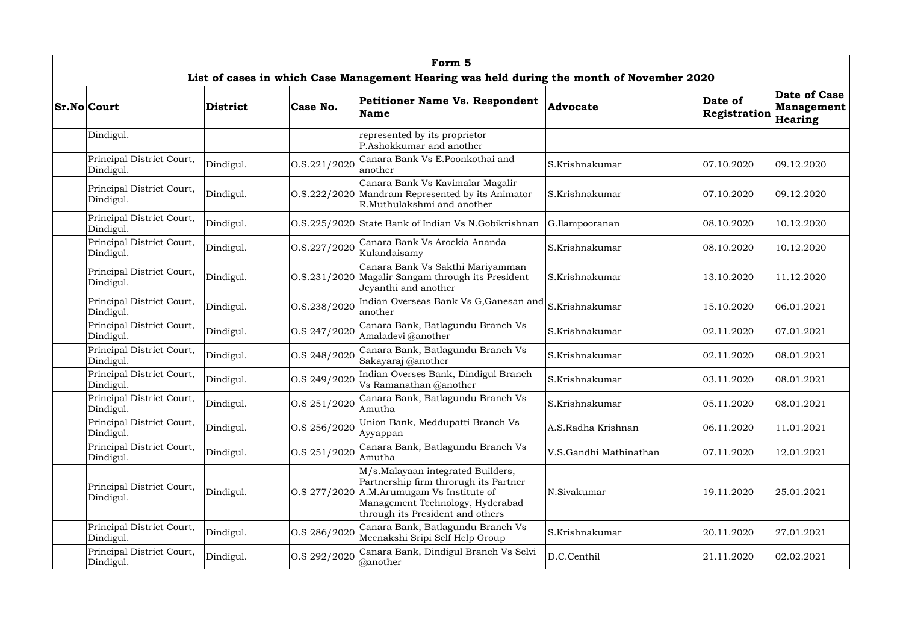| Form <sub>5</sub>                      |           |                      |                                                                                                                                                                                                     |                        |                         |                                              |  |  |  |  |
|----------------------------------------|-----------|----------------------|-----------------------------------------------------------------------------------------------------------------------------------------------------------------------------------------------------|------------------------|-------------------------|----------------------------------------------|--|--|--|--|
|                                        |           |                      | List of cases in which Case Management Hearing was held during the month of November 2020                                                                                                           |                        |                         |                                              |  |  |  |  |
| <b>Sr.No Court</b>                     | District  | Case No.             | <b>Petitioner Name Vs. Respondent</b><br><b>Name</b>                                                                                                                                                | Advocate               | Date of<br>Registration | Date of Case<br><b>Management</b><br>Hearing |  |  |  |  |
| Dindigul.                              |           |                      | represented by its proprietor<br>P.Ashokkumar and another                                                                                                                                           |                        |                         |                                              |  |  |  |  |
| Principal District Court,<br>Dindigul. | Dindigul. | 0. S. 221 / 2020     | Canara Bank Vs E.Poonkothai and<br>another                                                                                                                                                          | S.Krishnakumar         | 07.10.2020              | 09.12.2020                                   |  |  |  |  |
| Principal District Court,<br>Dindigul. | Dindigul. |                      | Canara Bank Vs Kavimalar Magalir<br>O.S.222/2020 Mandram Represented by its Animator<br>R.Muthulakshmi and another                                                                                  | S.Krishnakumar         | 07.10.2020              | 09.12.2020                                   |  |  |  |  |
| Principal District Court,<br>Dindigul. | Dindigul. |                      | O.S.225/2020 State Bank of Indian Vs N.Gobikrishnan                                                                                                                                                 | G.Ilampooranan         | 08.10.2020              | 10.12.2020                                   |  |  |  |  |
| Principal District Court,<br>Dindigul. | Dindigul. | 0. S. 227 / 2020     | Canara Bank Vs Arockia Ananda<br>Kulandaisamy                                                                                                                                                       | S.Krishnakumar         | 08.10.2020              | 10.12.2020                                   |  |  |  |  |
| Principal District Court,<br>Dindigul. | Dindigul. | 0. S. 231/2020       | Canara Bank Vs Sakthi Mariyamman<br>Magalir Sangam through its President<br>Jeyanthi and another                                                                                                    | S.Krishnakumar         | 13.10.2020              | 11.12.2020                                   |  |  |  |  |
| Principal District Court,<br>Dindigul. | Dindigul. | O.S.238/2020         | Indian Overseas Bank Vs G, Ganesan and<br>another                                                                                                                                                   | S.Krishnakumar         | 15.10.2020              | 06.01.2021                                   |  |  |  |  |
| Principal District Court,<br>Dindigul. | Dindigul. | O.S 247/2020         | Canara Bank, Batlagundu Branch Vs<br>Amaladevi @another                                                                                                                                             | S.Krishnakumar         | 02.11.2020              | 07.01.2021                                   |  |  |  |  |
| Principal District Court,<br>Dindigul. | Dindigul. | $\vert$ O.S 248/2020 | Canara Bank, Batlagundu Branch Vs<br>Sakayaraj @another                                                                                                                                             | S.Krishnakumar         | 02.11.2020              | 08.01.2021                                   |  |  |  |  |
| Principal District Court,<br>Dindigul. | Dindigul. | O.S 249/2020         | Indian Overses Bank, Dindigul Branch<br>Vs Ramanathan @another                                                                                                                                      | S.Krishnakumar         | 03.11.2020              | 08.01.2021                                   |  |  |  |  |
| Principal District Court,<br>Dindigul. | Dindigul. | O.S 251/2020         | Canara Bank, Batlagundu Branch Vs<br>Amutha                                                                                                                                                         | S.Krishnakumar         | 05.11.2020              | 08.01.2021                                   |  |  |  |  |
| Principal District Court,<br>Dindigul. | Dindigul. | O.S 256/2020         | Union Bank, Meddupatti Branch Vs<br>Ayyappan                                                                                                                                                        | A.S.Radha Krishnan     | 06.11.2020              | 11.01.2021                                   |  |  |  |  |
| Principal District Court,<br>Dindigul. | Dindigul. | $\vert$ O.S 251/2020 | Canara Bank, Batlagundu Branch Vs<br>Amutha                                                                                                                                                         | V.S.Gandhi Mathinathan | 07.11.2020              | 12.01.2021                                   |  |  |  |  |
| Principal District Court,<br>Dindigul. | Dindigul. |                      | M/s.Malayaan integrated Builders,<br>Partnership firm throrugh its Partner<br>$\cos 277/2020$ A.M. Arumugam Vs Institute of<br>Management Technology, Hyderabad<br>through its President and others | N.Sivakumar            | 19.11.2020              | 25.01.2021                                   |  |  |  |  |
| Principal District Court,<br>Dindigul. | Dindigul. | O.S 286/2020         | Canara Bank, Batlagundu Branch Vs<br>Meenakshi Sripi Self Help Group                                                                                                                                | S.Krishnakumar         | 20.11.2020              | 27.01.2021                                   |  |  |  |  |
| Principal District Court,<br>Dindigul. | Dindigul. | O.S 292/2020         | Canara Bank, Dindigul Branch Vs Selvi<br>@another                                                                                                                                                   | D.C.Centhil            | 21.11.2020              | 02.02.2021                                   |  |  |  |  |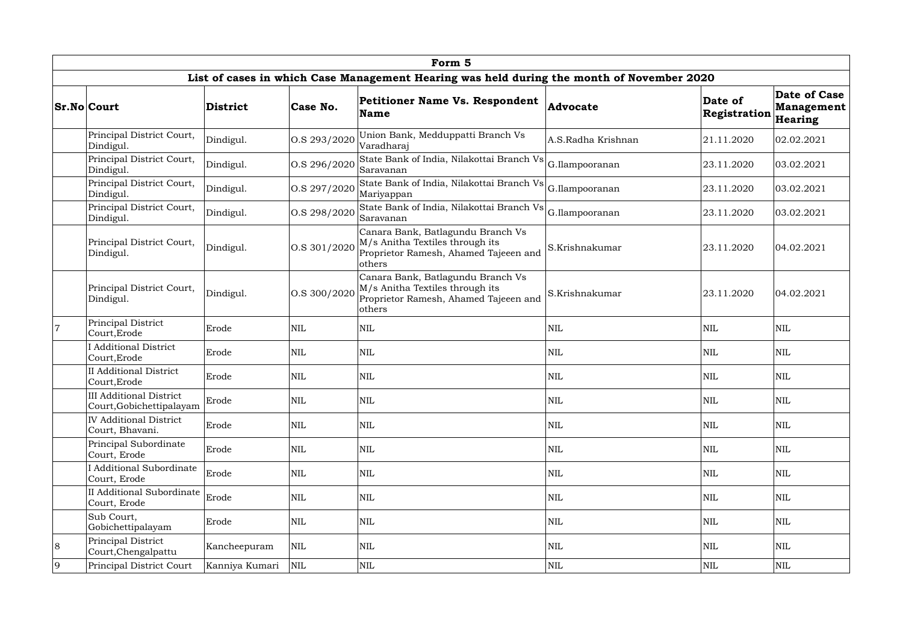|   | Form 5                                                     |                |              |                                                                                                                         |                    |                         |                                              |  |  |  |  |  |
|---|------------------------------------------------------------|----------------|--------------|-------------------------------------------------------------------------------------------------------------------------|--------------------|-------------------------|----------------------------------------------|--|--|--|--|--|
|   |                                                            |                |              | List of cases in which Case Management Hearing was held during the month of November 2020                               |                    |                         |                                              |  |  |  |  |  |
|   | Sr.No Court                                                | District       | Case No.     | <b>Petitioner Name Vs. Respondent</b><br><b>Name</b>                                                                    | Advocate           | Date of<br>Registration | Date of Case<br><b>Management</b><br>Hearing |  |  |  |  |  |
|   | Principal District Court,<br>Dindigul.                     | Dindigul.      | O.S 293/2020 | Union Bank, Medduppatti Branch Vs<br>Varadharaj                                                                         | A.S.Radha Krishnan | 21.11.2020              | 02.02.2021                                   |  |  |  |  |  |
|   | Principal District Court,<br>Dindigul.                     | Dindigul.      | O.S 296/2020 | State Bank of India, Nilakottai Branch Vs<br>Saravanan                                                                  | G.Ilampooranan     | 23.11.2020              | 03.02.2021                                   |  |  |  |  |  |
|   | Principal District Court,<br>Dindigul.                     | Dindigul.      | O.S 297/2020 | State Bank of India, Nilakottai Branch Vs G.Ilampooranan<br>Mariyappan                                                  |                    | 23.11.2020              | 03.02.2021                                   |  |  |  |  |  |
|   | Principal District Court,<br>Dindigul.                     | Dindigul.      | O.S 298/2020 | State Bank of India, Nilakottai Branch Vs G.Ilampooranan<br>Saravanan                                                   |                    | 23.11.2020              | 03.02.2021                                   |  |  |  |  |  |
|   | Principal District Court,<br>Dindigul.                     | Dindigul.      | O.S 301/2020 | Canara Bank, Batlagundu Branch Vs<br>M/s Anitha Textiles through its<br>Proprietor Ramesh, Ahamed Tajeeen and<br>others | S.Krishnakumar     | 23.11.2020              | 04.02.2021                                   |  |  |  |  |  |
|   | Principal District Court,<br>Dindigul.                     | Dindigul.      | O.S 300/2020 | Canara Bank, Batlagundu Branch Vs<br>M/s Anitha Textiles through its<br>Proprietor Ramesh, Ahamed Tajeeen and<br>others | S.Krishnakumar     | 23.11.2020              | 04.02.2021                                   |  |  |  |  |  |
|   | Principal District<br>Court, Erode                         | Erode          | <b>NIL</b>   | $\mbox{NIL}$                                                                                                            | NIL                | <b>NIL</b>              | <b>NIL</b>                                   |  |  |  |  |  |
|   | <b>Additional District</b><br>Court, Erode                 | Erode          | NIL          | $\mbox{NIL}$                                                                                                            | NIL                | $\mbox{NIL}$            | <b>NIL</b>                                   |  |  |  |  |  |
|   | <b>II</b> Additional District<br>Court, Erode              | Erode          | <b>NIL</b>   | <b>NIL</b>                                                                                                              | NIL                | NIL                     | <b>NIL</b>                                   |  |  |  |  |  |
|   | <b>III Additional District</b><br>Court, Gobichettipalayam | Erode          | <b>NIL</b>   | $\mbox{NIL}$                                                                                                            | $\mbox{NIL}$       | NIL                     | $\mbox{NIL}$                                 |  |  |  |  |  |
|   | <b>IV Additional District</b><br>Court, Bhavani.           | Erode          | <b>NIL</b>   | <b>NIL</b>                                                                                                              | NIL                | NIL                     | <b>NIL</b>                                   |  |  |  |  |  |
|   | Principal Subordinate<br>Court, Erode                      | Erode          | $\mbox{NIL}$ | <b>NIL</b>                                                                                                              | NIL                | NIL                     | <b>NIL</b>                                   |  |  |  |  |  |
|   | <b>I</b> Additional Subordinate<br>Court, Erode            | Erode          | $\mbox{NIL}$ | $\mbox{NIL}$                                                                                                            | NIL                | NIL                     | <b>NIL</b>                                   |  |  |  |  |  |
|   | II Additional Subordinate<br>Court, Erode                  | Erode          | NIL          | <b>NIL</b>                                                                                                              | NIL                | <b>NIL</b>              | <b>NIL</b>                                   |  |  |  |  |  |
|   | Sub Court,<br>Gobichettipalayam                            | Erode          | $\mbox{NIL}$ | <b>NIL</b>                                                                                                              | NIL                | <b>NIL</b>              | <b>NIL</b>                                   |  |  |  |  |  |
| 8 | Principal District<br>Court, Chengalpattu                  | Kancheepuram   | NIL          | $\mbox{NIL}$                                                                                                            | NIL                | NIL                     | <b>NIL</b>                                   |  |  |  |  |  |
| 9 | Principal District Court                                   | Kanniya Kumari | <b>NIL</b>   | $\mbox{NIL}$                                                                                                            | NIL                | <b>NIL</b>              | <b>NIL</b>                                   |  |  |  |  |  |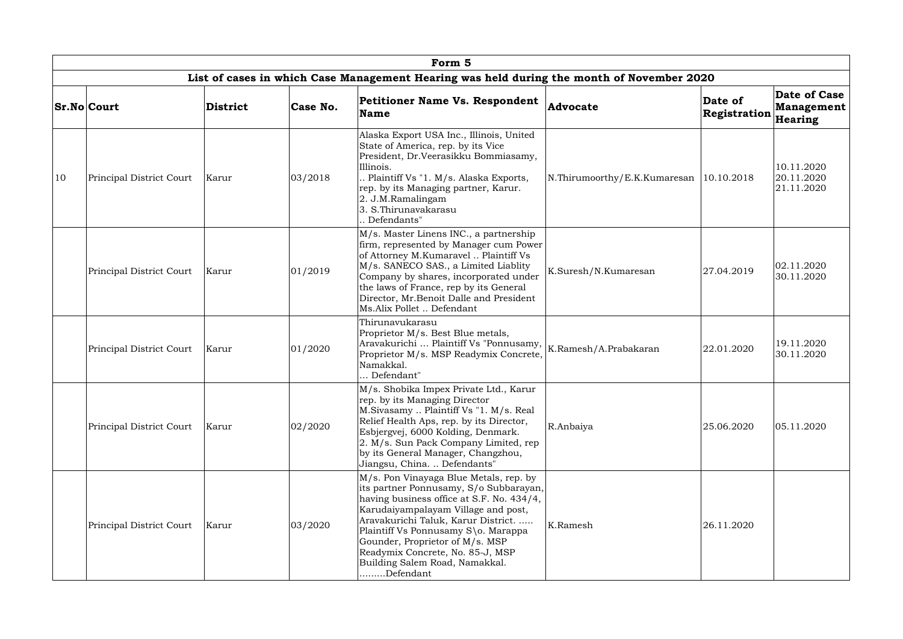|    | Form 5                   |                 |          |                                                                                                                                                                                                                                                                                                                                                                          |                                           |                         |                                              |  |  |  |
|----|--------------------------|-----------------|----------|--------------------------------------------------------------------------------------------------------------------------------------------------------------------------------------------------------------------------------------------------------------------------------------------------------------------------------------------------------------------------|-------------------------------------------|-------------------------|----------------------------------------------|--|--|--|
|    |                          |                 |          | List of cases in which Case Management Hearing was held during the month of November 2020                                                                                                                                                                                                                                                                                |                                           |                         |                                              |  |  |  |
|    | <b>Sr.No Court</b>       | <b>District</b> | Case No. | Petitioner Name Vs. Respondent<br><b>Name</b>                                                                                                                                                                                                                                                                                                                            | Advocate                                  | Date of<br>Registration | Date of Case<br><b>Management</b><br>Hearing |  |  |  |
| 10 | Principal District Court | Karur           | 03/2018  | Alaska Export USA Inc., Illinois, United<br>State of America, rep. by its Vice<br>President, Dr.Veerasikku Bommiasamy,<br>Illinois.<br>. Plaintiff Vs "1. M/s. Alaska Exports,<br>rep. by its Managing partner, Karur.<br>2. J.M.Ramalingam<br>3. S. Thirunavakarasu<br>. Defendants"                                                                                    | N.Thirumoorthy/E.K.Kumaresan   10.10.2018 |                         | 10.11.2020<br>20.11.2020<br>21.11.2020       |  |  |  |
|    | Principal District Court | Karur           | 01/2019  | M/s. Master Linens INC., a partnership<br>firm, represented by Manager cum Power<br>of Attorney M.Kumaravel  Plaintiff Vs<br>M/s. SANECO SAS., a Limited Liablity<br>Company by shares, incorporated under<br>the laws of France, rep by its General<br>Director, Mr.Benoit Dalle and President<br>Ms.Alix Pollet  Defendant                                             | K.Suresh/N.Kumaresan                      | 27.04.2019              | 02.11.2020<br>30.11.2020                     |  |  |  |
|    | Principal District Court | Karur           | 01/2020  | Thirunavukarasu<br>Proprietor M/s. Best Blue metals,<br>Aravakurichi  Plaintiff Vs "Ponnusamy,<br>Proprietor M/s. MSP Readymix Concrete,<br>Namakkal.<br>Defendant"                                                                                                                                                                                                      | K.Ramesh/A.Prabakaran                     | 22.01.2020              | 19.11.2020<br>30.11.2020                     |  |  |  |
|    | Principal District Court | Karur           | 02/2020  | M/s. Shobika Impex Private Ltd., Karur<br>rep. by its Managing Director<br>M.Sivasamy  Plaintiff Vs "1. M/s. Real<br>Relief Health Aps, rep. by its Director,<br>Esbjergvej, 6000 Kolding, Denmark.<br>2. M/s. Sun Pack Company Limited, rep<br>by its General Manager, Changzhou,<br>Jiangsu, China.  Defendants"                                                       | R.Anbaiya                                 | 25.06.2020              | 05.11.2020                                   |  |  |  |
|    | Principal District Court | Karur           | 03/2020  | M/s. Pon Vinayaga Blue Metals, rep. by<br>its partner Ponnusamy, S/o Subbarayan,<br>having business office at S.F. No. 434/4,<br>Karudaiyampalayam Village and post,<br>Aravakurichi Taluk, Karur District.<br>Plaintiff Vs Ponnusamy S\o. Marappa<br>Gounder, Proprietor of M/s. MSP<br>Readymix Concrete, No. 85-J, MSP<br>Building Salem Road, Namakkal.<br>Defendant | K.Ramesh                                  | 26.11.2020              |                                              |  |  |  |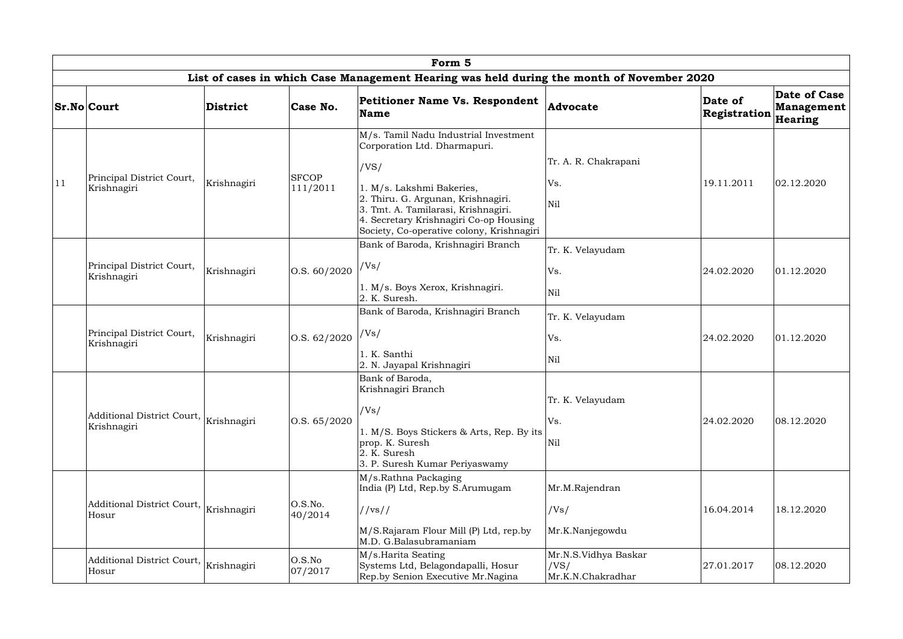|    | Form 5                                                |             |                          |                                                                                                                                                                                                                                                                                |                                                   |                         |                                                     |  |  |  |  |
|----|-------------------------------------------------------|-------------|--------------------------|--------------------------------------------------------------------------------------------------------------------------------------------------------------------------------------------------------------------------------------------------------------------------------|---------------------------------------------------|-------------------------|-----------------------------------------------------|--|--|--|--|
|    |                                                       |             |                          | List of cases in which Case Management Hearing was held during the month of November 2020                                                                                                                                                                                      |                                                   |                         |                                                     |  |  |  |  |
|    | <b>Sr.No Court</b>                                    | District    | Case No.                 | <b>Petitioner Name Vs. Respondent</b><br><b>Name</b>                                                                                                                                                                                                                           | <b>Advocate</b>                                   | Date of<br>Registration | Date of Case<br><b>Management</b><br><b>Hearing</b> |  |  |  |  |
| 11 | Principal District Court,<br>Krishnagiri              | Krishnagiri | <b>SFCOP</b><br>111/2011 | M/s. Tamil Nadu Industrial Investment<br>Corporation Ltd. Dharmapuri.<br>/VS/<br>1. M/s. Lakshmi Bakeries,<br>2. Thiru. G. Argunan, Krishnagiri.<br>3. Tmt. A. Tamilarasi, Krishnagiri.<br>4. Secretary Krishnagiri Co-op Housing<br>Society, Co-operative colony, Krishnagiri | Tr. A. R. Chakrapani<br>Vs.<br>Nil                | 19.11.2011              | 02.12.2020                                          |  |  |  |  |
|    | Principal District Court,<br>Krishnagiri              | Krishnagiri | O.S. 60/2020             | Bank of Baroda, Krishnagiri Branch<br>/Vs/<br>1. M/s. Boys Xerox, Krishnagiri.<br>2. K. Suresh.                                                                                                                                                                                | Tr. K. Velayudam<br>Vs.<br>Nil                    | 24.02.2020              | 01.12.2020                                          |  |  |  |  |
|    | Principal District Court,<br>Krishnagiri              | Krishnagiri | 0.S. 62/2020             | Bank of Baroda, Krishnagiri Branch<br>/Vs/<br>1. K. Santhi<br>2. N. Jayapal Krishnagiri                                                                                                                                                                                        | Tr. K. Velayudam<br>Vs.<br>Nil                    | 24.02.2020              | 01.12.2020                                          |  |  |  |  |
|    | Additional District Court, Krishnagiri<br>Krishnagiri |             | O.S. 65/2020             | Bank of Baroda,<br>Krishnagiri Branch<br>/Vs/<br>1. M/S. Boys Stickers & Arts, Rep. By its<br>prop. K. Suresh<br>2. K. Suresh<br>3. P. Suresh Kumar Periyaswamy                                                                                                                | Tr. K. Velayudam<br>Vs.<br>Nil                    | 24.02.2020              | 08.12.2020                                          |  |  |  |  |
|    | Additional District Court,<br>Hosur                   | Krishnagiri | O.S.No.<br>40/2014       | M/s.Rathna Packaging<br>India (P) Ltd, Rep.by S.Arumugam<br>//vs//<br>M/S.Rajaram Flour Mill (P) Ltd, rep.by<br>M.D. G.Balasubramaniam                                                                                                                                         | Mr.M.Rajendran<br>/Vs/<br>Mr.K.Nanjegowdu         | 16.04.2014              | 18.12.2020                                          |  |  |  |  |
|    | Additional District Court,<br>Hosur                   | Krishnagiri | O.S.No<br>07/2017        | M/s.Harita Seating<br>Systems Ltd, Belagondapalli, Hosur<br>Rep.by Senion Executive Mr.Nagina                                                                                                                                                                                  | Mr.N.S.Vidhya Baskar<br>/VS/<br>Mr.K.N.Chakradhar | 27.01.2017              | 08.12.2020                                          |  |  |  |  |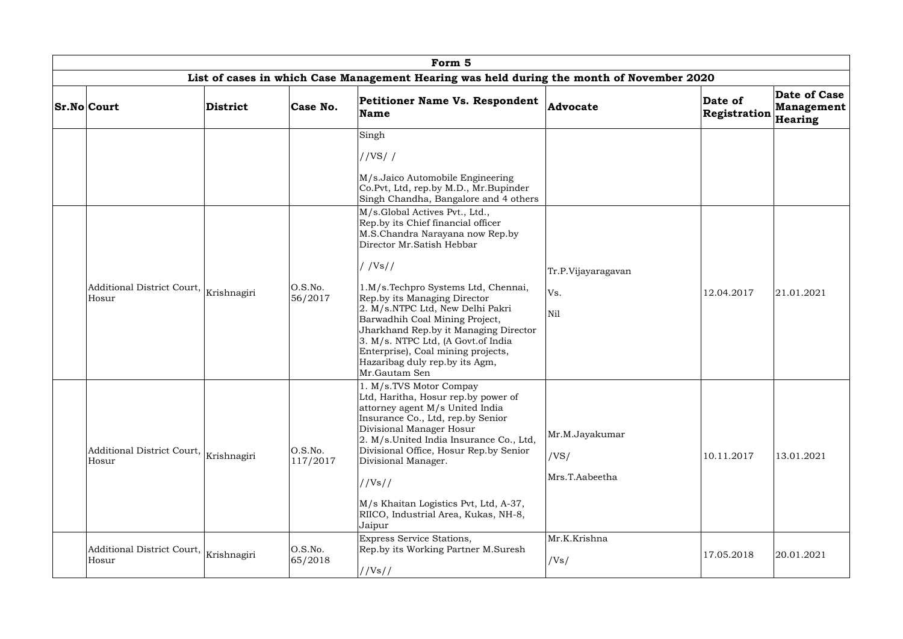| Form 5                                                        |                 |                     |                                                                                                                                                                                                                                                                                                                                                                                                                                                                                                                                                           |                                          |                         |                                              |  |  |  |
|---------------------------------------------------------------|-----------------|---------------------|-----------------------------------------------------------------------------------------------------------------------------------------------------------------------------------------------------------------------------------------------------------------------------------------------------------------------------------------------------------------------------------------------------------------------------------------------------------------------------------------------------------------------------------------------------------|------------------------------------------|-------------------------|----------------------------------------------|--|--|--|
|                                                               |                 |                     | List of cases in which Case Management Hearing was held during the month of November 2020                                                                                                                                                                                                                                                                                                                                                                                                                                                                 |                                          |                         |                                              |  |  |  |
| <b>Sr.No Court</b>                                            | <b>District</b> | Case No.            | Petitioner Name Vs. Respondent<br><b>Name</b>                                                                                                                                                                                                                                                                                                                                                                                                                                                                                                             | Advocate                                 | Date of<br>Registration | Date of Case<br><b>Management</b><br>Hearing |  |  |  |
| Additional District Court, $\big _{\rm Krishnagiri}$<br>Hosur |                 | O.S.No.<br>56/2017  | Singh<br>//VS//<br>M/s.Jaico Automobile Engineering<br>Co.Pvt, Ltd, rep.by M.D., Mr.Bupinder<br>Singh Chandha, Bangalore and 4 others<br>M/s.Global Actives Pvt., Ltd.,<br>Rep.by its Chief financial officer<br>M.S.Chandra Narayana now Rep.by<br>Director Mr.Satish Hebbar<br>//Vs//<br>1.M/s.Techpro Systems Ltd, Chennai,<br>Rep.by its Managing Director<br>2. M/s.NTPC Ltd, New Delhi Pakri<br>Barwadhih Coal Mining Project,<br>Jharkhand Rep.by it Managing Director<br>3. M/s. NTPC Ltd, (A Govt.of India<br>Enterprise), Coal mining projects, | Tr.P.Vijayaragavan<br>Vs.<br>Nil         | 12.04.2017              | 21.01.2021                                   |  |  |  |
| Additional District Court, $\big _{\rm Krishnagiri}$<br>Hosur |                 | O.S.No.<br>117/2017 | Hazaribag duly rep.by its Agm,<br>Mr.Gautam Sen<br>1. M/s.TVS Motor Compay<br>Ltd, Haritha, Hosur rep.by power of<br>attorney agent M/s United India<br>Insurance Co., Ltd, rep.by Senior<br>Divisional Manager Hosur<br>2. M/s.United India Insurance Co., Ltd,<br>Divisional Office, Hosur Rep.by Senior<br>Divisional Manager.<br>//Vs//<br>M/s Khaitan Logistics Pvt, Ltd, A-37,<br>RIICO, Industrial Area, Kukas, NH-8,<br>Jaipur                                                                                                                    | Mr.M.Jayakumar<br>/VS/<br>Mrs.T.Aabeetha | 10.11.2017              | 13.01.2021                                   |  |  |  |
| Additional District Court,<br>Hosur                           | Krishnagiri     | O.S.No.<br>65/2018  | Express Service Stations,<br>Rep.by its Working Partner M.Suresh<br>//Vs//                                                                                                                                                                                                                                                                                                                                                                                                                                                                                | Mr.K.Krishna<br>/Vs/                     | 17.05.2018              | 20.01.2021                                   |  |  |  |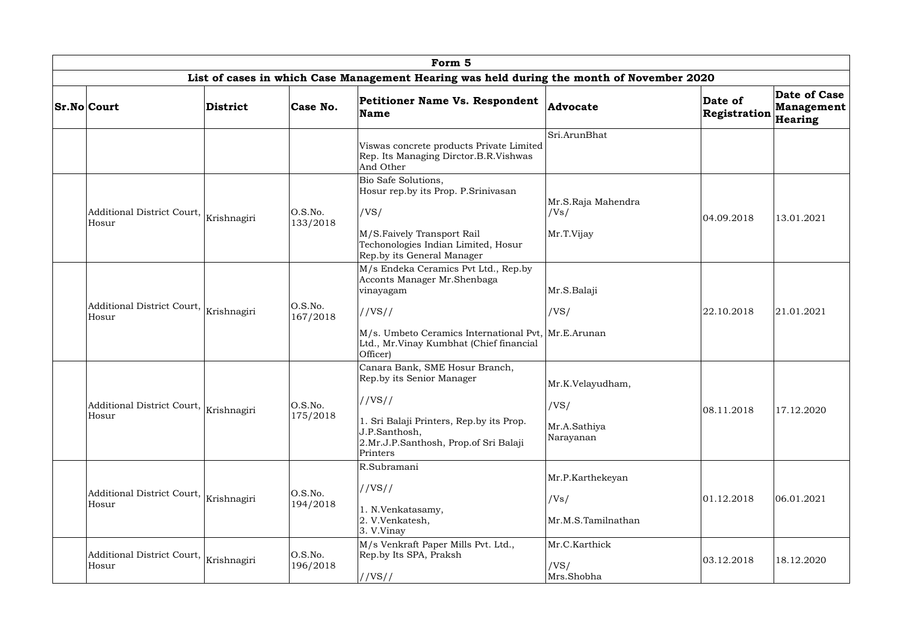| Form 5                                                        |             |                     |                                                                                                                                                                                                           |                                                       |                         |                                              |  |  |  |  |
|---------------------------------------------------------------|-------------|---------------------|-----------------------------------------------------------------------------------------------------------------------------------------------------------------------------------------------------------|-------------------------------------------------------|-------------------------|----------------------------------------------|--|--|--|--|
|                                                               |             |                     | List of cases in which Case Management Hearing was held during the month of November 2020                                                                                                                 |                                                       |                         |                                              |  |  |  |  |
| <b>Sr.No Court</b>                                            | District    | Case No.            | Petitioner Name Vs. Respondent<br>Name                                                                                                                                                                    | Advocate                                              | Date of<br>Registration | Date of Case<br>Management<br><b>Hearing</b> |  |  |  |  |
|                                                               |             |                     | Viswas concrete products Private Limited<br>Rep. Its Managing Dirctor.B.R.Vishwas<br>And Other                                                                                                            | Sri.ArunBhat                                          |                         |                                              |  |  |  |  |
| Additional District Court,<br>Hosur                           | Krishnagiri | O.S.No.<br>133/2018 | Bio Safe Solutions,<br>Hosur rep.by its Prop. P.Srinivasan<br>/VS/<br>M/S.Faively Transport Rail<br>Techonologies Indian Limited, Hosur<br>Rep.by its General Manager                                     | Mr.S.Raja Mahendra<br>/Vs/<br>Mr.T.Vijay              | 04.09.2018              | 13.01.2021                                   |  |  |  |  |
| Additional District Court, Krishnagiri<br>Hosur               |             | O.S.No.<br>167/2018 | M/s Endeka Ceramics Pvt Ltd., Rep.by<br>Acconts Manager Mr.Shenbaga<br>vinayagam<br>//VS//<br>M/s. Umbeto Ceramics International Pvt,  Mr.E.Arunan<br>Ltd., Mr.Vinay Kumbhat (Chief financial<br>Officer) | Mr.S.Balaji<br>/VS/                                   | 22.10.2018              | 21.01.2021                                   |  |  |  |  |
| Additional District Court, $\big _{\rm Krishnagiri}$<br>Hosur |             | O.S.No.<br>175/2018 | Canara Bank, SME Hosur Branch,<br>Rep.by its Senior Manager<br>//VS//<br>1. Sri Balaji Printers, Rep.by its Prop.<br>J.P.Santhosh,<br>2.Mr.J.P.Santhosh, Prop.of Sri Balaji<br>Printers                   | Mr.K.Velayudham,<br>/VS/<br>Mr.A.Sathiya<br>Narayanan | 08.11.2018              | 17.12.2020                                   |  |  |  |  |
| Additional District Court,   Krishnagiri<br>Hosur             |             | O.S.No.<br>194/2018 | R.Subramani<br>//VS//<br>1. N.Venkatasamy,<br>2. V.Venkatesh,<br>3. V.Vinay                                                                                                                               | Mr.P.Karthekeyan<br>/Vs/<br>Mr.M.S.Tamilnathan        | 01.12.2018              | 06.01.2021                                   |  |  |  |  |
| Additional District Court,<br>Hosur                           | Krishnagiri | O.S.No.<br>196/2018 | M/s Venkraft Paper Mills Pvt. Ltd.,<br>Rep.by Its SPA, Praksh<br>//VS//                                                                                                                                   | Mr.C.Karthick<br>/VS/<br>Mrs.Shobha                   | 03.12.2018              | 18.12.2020                                   |  |  |  |  |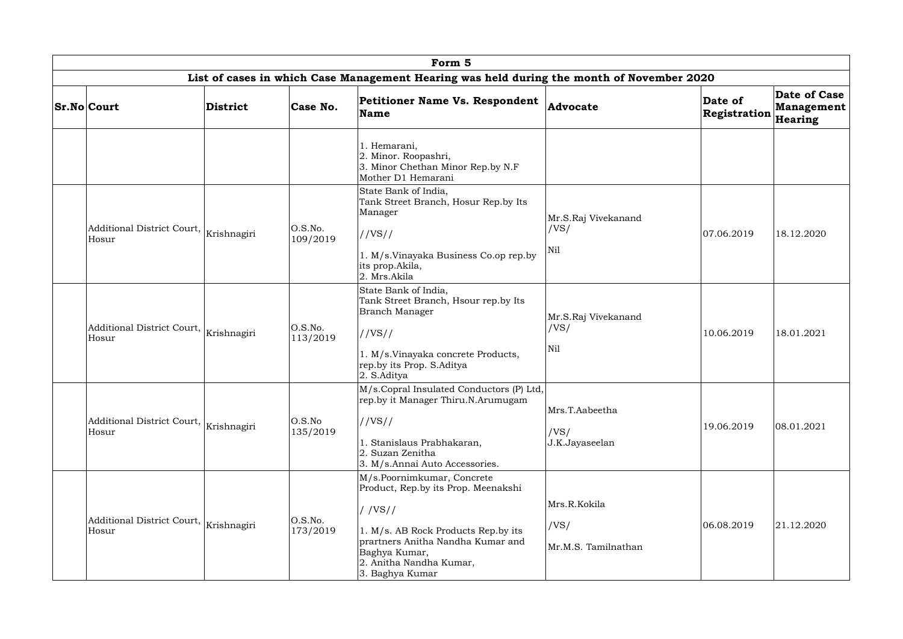| Form 5                                                        |                 |                     |                                                                                                                                                                                                                           |                                             |                         |                                       |  |  |  |  |
|---------------------------------------------------------------|-----------------|---------------------|---------------------------------------------------------------------------------------------------------------------------------------------------------------------------------------------------------------------------|---------------------------------------------|-------------------------|---------------------------------------|--|--|--|--|
|                                                               |                 |                     | List of cases in which Case Management Hearing was held during the month of November 2020                                                                                                                                 |                                             |                         |                                       |  |  |  |  |
| <b>Sr.No Court</b>                                            | <b>District</b> | Case No.            | Petitioner Name Vs. Respondent<br>Name                                                                                                                                                                                    | <b>Advocate</b>                             | Date of<br>Registration | Date of Case<br>Management<br>Hearing |  |  |  |  |
|                                                               |                 |                     | 1. Hemarani,<br>2. Minor. Roopashri,<br>3. Minor Chethan Minor Rep.by N.F<br>Mother D1 Hemarani                                                                                                                           |                                             |                         |                                       |  |  |  |  |
| Additional District Court, Krishnagiri<br>Hosur               |                 | O.S.No.<br>109/2019 | State Bank of India,<br>Tank Street Branch, Hosur Rep.by Its<br>Manager<br>//VS//<br>1. M/s.Vinayaka Business Co.op rep.by                                                                                                | Mr.S.Raj Vivekanand<br>/VS/<br>Nil          | 07.06.2019              | 18.12.2020                            |  |  |  |  |
|                                                               |                 | O.S.No.             | its prop. Akila,<br>2. Mrs.Akila<br>State Bank of India,<br>Tank Street Branch, Hsour rep.by Its<br><b>Branch Manager</b>                                                                                                 | Mr.S.Raj Vivekanand<br>/VS/                 |                         |                                       |  |  |  |  |
| Additional District Court, $\big _{\rm Krishnagiri}$<br>Hosur |                 | 113/2019            | //VS//<br>1. M/s.Vinayaka concrete Products,<br>rep.by its Prop. S.Aditya<br>2. S.Aditya                                                                                                                                  | Nil                                         | 10.06.2019              | 18.01.2021                            |  |  |  |  |
| Additional District Court, $\big _{\rm Krishnagiri}$<br>Hosur |                 | O.S.No<br>135/2019  | M/s.Copral Insulated Conductors (P) Ltd,<br>rep.by it Manager Thiru.N.Arumugam<br>//VS//<br>1. Stanislaus Prabhakaran,<br>2. Suzan Zenitha<br>3. M/s.Annai Auto Accessories.                                              | Mrs.T.Aabeetha<br>/VS/<br>J.K.Jayaseelan    | 19.06.2019              | 08.01.2021                            |  |  |  |  |
| Additional District Court, $\big _{\rm Krishnagiri}$<br>Hosur |                 | O.S.No.<br>173/2019 | M/s.Poornimkumar, Concrete<br>Product, Rep.by its Prop. Meenakshi<br>$/$ /VS//<br>1. M/s. AB Rock Products Rep.by its<br>prartners Anitha Nandha Kumar and<br>Baghya Kumar,<br>2. Anitha Nandha Kumar,<br>3. Baghya Kumar | Mrs.R.Kokila<br>/VS/<br>Mr.M.S. Tamilnathan | 06.08.2019              | 21.12.2020                            |  |  |  |  |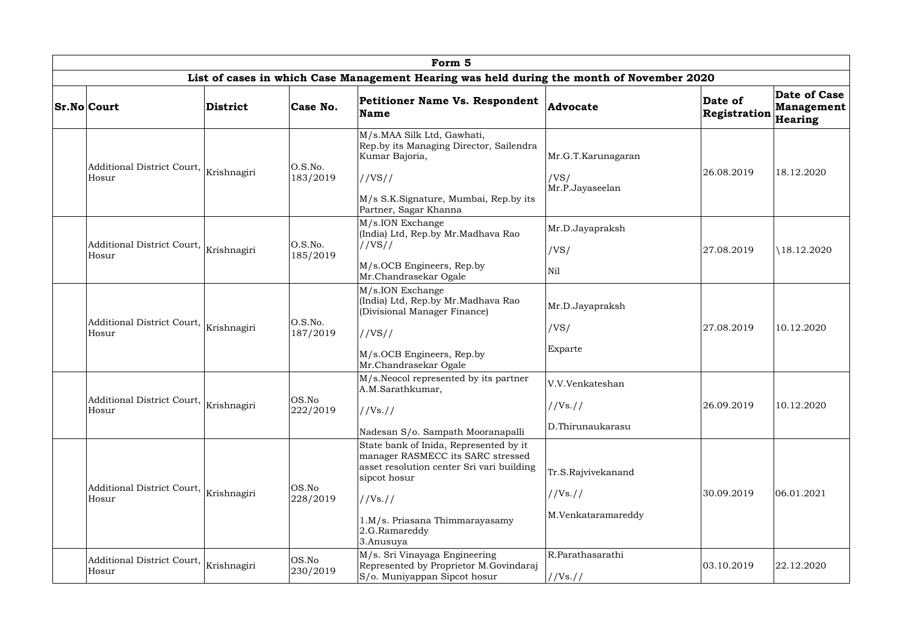|                                                               |                 |                     | Form 5                                                                                                                                                                                                               |                                                      |                         |                                       |
|---------------------------------------------------------------|-----------------|---------------------|----------------------------------------------------------------------------------------------------------------------------------------------------------------------------------------------------------------------|------------------------------------------------------|-------------------------|---------------------------------------|
|                                                               |                 |                     | List of cases in which Case Management Hearing was held during the month of November 2020                                                                                                                            |                                                      |                         |                                       |
| <b>Sr.No Court</b>                                            | <b>District</b> | Case No.            | <b>Petitioner Name Vs. Respondent</b><br><b>Name</b>                                                                                                                                                                 | <b>Advocate</b>                                      | Date of<br>Registration | Date of Case<br>Management<br>Hearing |
| Additional District Court,<br>Hosur                           | Krishnagiri     | O.S.No.<br>183/2019 | M/s.MAA Silk Ltd, Gawhati,<br>Rep.by its Managing Director, Sailendra<br>Kumar Bajoria,<br>//VS//<br>M/s S.K.Signature, Mumbai, Rep.by its<br>Partner, Sagar Khanna                                                  | Mr.G.T.Karunagaran<br>/VS/<br>Mr.P.Jayaseelan        | 26.08.2019              | 18.12.2020                            |
| Additional District Court,  <br>Hosur                         | Krishnagiri     | O.S.No.<br>185/2019 | M/s.ION Exchange<br>(India) Ltd, Rep.by Mr.Madhava Rao<br>//VS//<br>M/s.OCB Engineers, Rep.by<br>Mr.Chandrasekar Ogale                                                                                               | Mr.D.Jayapraksh<br>/VS/<br>Nil                       | 27.08.2019              | \18.12.2020                           |
| Additional District Court, $\big _{\rm Krishnagiri}$<br>Hosur |                 | O.S.No.<br>187/2019 | M/s.ION Exchange<br>(India) Ltd, Rep.by Mr.Madhava Rao<br>(Divisional Manager Finance)<br>//VS//<br>M/s.OCB Engineers, Rep.by<br>Mr.Chandrasekar Ogale                                                               | Mr.D.Jayapraksh<br>/VS/<br>Exparte                   | 27.08.2019              | 10.12.2020                            |
| Additional District Court, $\big _{\rm Krishnagiri}$<br>Hosur |                 | OS.No<br>222/2019   | M/s. Neocol represented by its partner<br>A.M.Sarathkumar,<br>//Vs. //<br>Nadesan S/o. Sampath Mooranapalli                                                                                                          | V.V.Venkateshan<br>//Vs. //<br>D.Thirunaukarasu      | 26.09.2019              | 10.12.2020                            |
| Additional District Court, $\big _{\rm Krishnagiri}$<br>Hosur |                 | OS.No<br>228/2019   | State bank of Inida, Represented by it<br>manager RASMECC its SARC stressed<br>asset resolution center Sri vari building<br>sipcot hosur<br>//Vs. //<br>1.M/s. Priasana Thimmarayasamy<br>2.G.Ramareddy<br>3.Anusuya | Tr.S.Rajvivekanand<br>//Vs. //<br>M.Venkataramareddy | 30.09.2019              | 06.01.2021                            |
| Additional District Court,<br>Hosur                           | Krishnagiri     | OS.No<br>230/2019   | M/s. Sri Vinayaga Engineering<br>Represented by Proprietor M.Govindaraj<br>S/o. Muniyappan Sipcot hosur                                                                                                              | R.Parathasarathi<br>//Vs://                          | 03.10.2019              | 22.12.2020                            |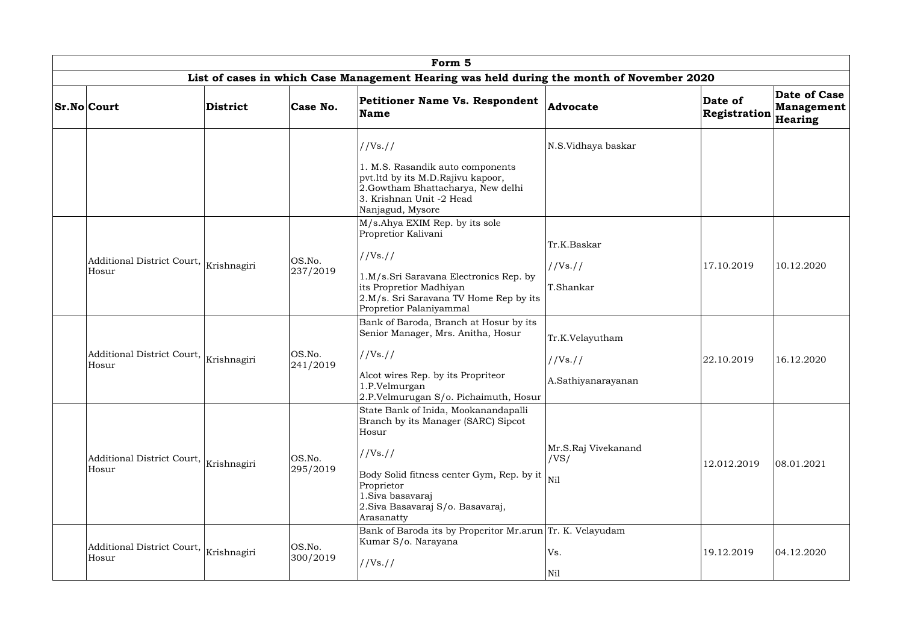|  | Form 5                                                        |                 |                                                                                                                                        |                                                                                                                                                                                                                                    |                                                   |                         |                                              |  |  |  |
|--|---------------------------------------------------------------|-----------------|----------------------------------------------------------------------------------------------------------------------------------------|------------------------------------------------------------------------------------------------------------------------------------------------------------------------------------------------------------------------------------|---------------------------------------------------|-------------------------|----------------------------------------------|--|--|--|
|  |                                                               |                 |                                                                                                                                        | List of cases in which Case Management Hearing was held during the month of November 2020                                                                                                                                          |                                                   |                         |                                              |  |  |  |
|  | <b>Sr.No Court</b>                                            | <b>District</b> | Case No.                                                                                                                               | Petitioner Name Vs. Respondent<br><b>Name</b>                                                                                                                                                                                      | <b>Advocate</b>                                   | Date of<br>Registration | Date of Case<br><b>Management</b><br>Hearing |  |  |  |
|  |                                                               |                 |                                                                                                                                        | //Vs. //                                                                                                                                                                                                                           | N.S.Vidhaya baskar                                |                         |                                              |  |  |  |
|  |                                                               |                 |                                                                                                                                        | 1. M.S. Rasandik auto components<br>pvt.ltd by its M.D.Rajivu kapoor,<br>2.Gowtham Bhattacharya, New delhi<br>3. Krishnan Unit -2 Head<br>Nanjagud, Mysore                                                                         |                                                   |                         |                                              |  |  |  |
|  | Additional District Court, Krishnagiri<br>Hosur               | OS.No.          | M/s.Ahya EXIM Rep. by its sole<br>Propretior Kalivani<br>//Vs. //                                                                      | Tr.K.Baskar                                                                                                                                                                                                                        |                                                   |                         |                                              |  |  |  |
|  |                                                               | 237/2019        | 1.M/s.Sri Saravana Electronics Rep. by<br>its Propretior Madhiyan<br>2.M/s. Sri Saravana TV Home Rep by its<br>Propretior Palaniyammal | //Vs. //<br>T.Shankar                                                                                                                                                                                                              | 17.10.2019                                        | 10.12.2020              |                                              |  |  |  |
|  | Additional District Court, Krishnagiri<br>Hosur               |                 | OS.No.<br>241/2019                                                                                                                     | Bank of Baroda, Branch at Hosur by its<br>Senior Manager, Mrs. Anitha, Hosur<br>//Vs. //<br>Alcot wires Rep. by its Propriteor<br>1.P.Velmurgan<br>2.P.Velmurugan S/o. Pichaimuth, Hosur                                           | Tr.K.Velayutham<br>//Vs. //<br>A.Sathiyanarayanan | 22.10.2019              | 16.12.2020                                   |  |  |  |
|  | Additional District Court,<br>Hosur                           | Krishnagiri     | OS.No.<br>295/2019                                                                                                                     | State Bank of Inida, Mookanandapalli<br>Branch by its Manager (SARC) Sipcot<br>Hosur<br>//Vs. //<br>Body Solid fitness center Gym, Rep. by it<br>Proprietor<br>1.Siva basavaraj<br>2. Siva Basavaraj S/o. Basavaraj,<br>Arasanatty | Mr.S.Raj Vivekanand<br>/VS/<br>Nil                | 12.012.2019             | 08.01.2021                                   |  |  |  |
|  | Additional District Court, $\big _{\rm Krishnagiri}$<br>Hosur |                 | OS.No.<br>300/2019                                                                                                                     | Bank of Baroda its by Properitor Mr.arun Tr. K. Velayudam<br>Kumar S/o. Narayana<br>//Vs. //                                                                                                                                       | Vs.<br>Nil                                        | 19.12.2019              | 04.12.2020                                   |  |  |  |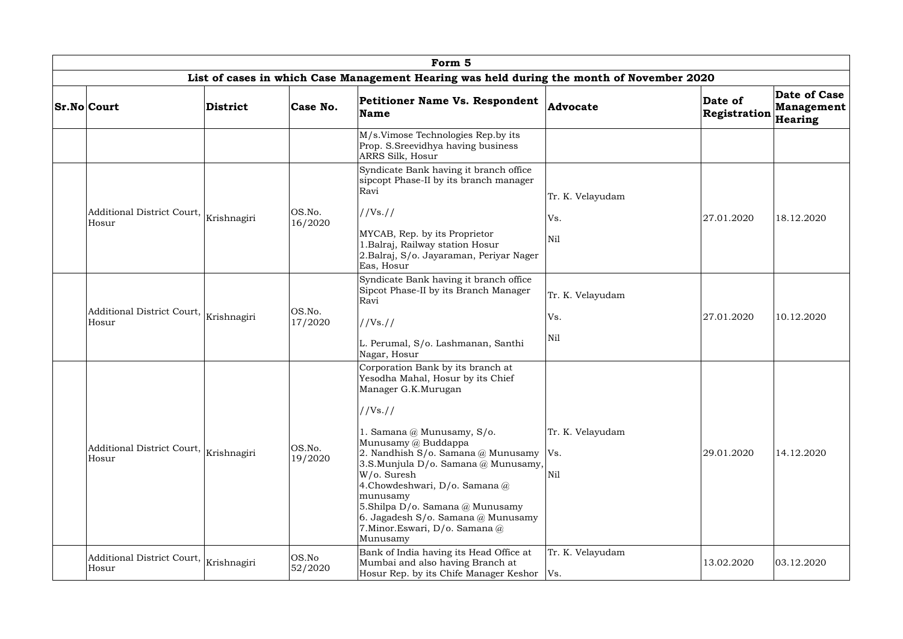|  |                                                 |                                                             |                                                    | Form 5                                                                                                                                                                                                                                                                                                                                      |                                                                                         |                         |                                              |  |
|--|-------------------------------------------------|-------------------------------------------------------------|----------------------------------------------------|---------------------------------------------------------------------------------------------------------------------------------------------------------------------------------------------------------------------------------------------------------------------------------------------------------------------------------------------|-----------------------------------------------------------------------------------------|-------------------------|----------------------------------------------|--|
|  |                                                 |                                                             |                                                    | List of cases in which Case Management Hearing was held during the month of November 2020                                                                                                                                                                                                                                                   |                                                                                         |                         |                                              |  |
|  | <b>Sr.No Court</b>                              | District                                                    | Case No.                                           | Petitioner Name Vs. Respondent<br><b>Name</b>                                                                                                                                                                                                                                                                                               | Advocate                                                                                | Date of<br>Registration | Date of Case<br><b>Management</b><br>Hearing |  |
|  |                                                 |                                                             |                                                    | M/s.Vimose Technologies Rep.by its<br>Prop. S.Sreevidhya having business<br>ARRS Silk, Hosur                                                                                                                                                                                                                                                |                                                                                         |                         |                                              |  |
|  | Additional District Court,  <br>Hosur           |                                                             |                                                    | Syndicate Bank having it branch office<br>sipcopt Phase-II by its branch manager<br>Ravi                                                                                                                                                                                                                                                    | Tr. K. Velayudam                                                                        |                         |                                              |  |
|  |                                                 | Krishnagiri                                                 | OS.No.<br>16/2020                                  | //Vs. //                                                                                                                                                                                                                                                                                                                                    | Vs.                                                                                     | 27.01.2020              | 18.12.2020                                   |  |
|  |                                                 |                                                             |                                                    | MYCAB, Rep. by its Proprietor<br>1.Balraj, Railway station Hosur<br>2.Balraj, S/o. Jayaraman, Periyar Nager<br>Eas, Hosur                                                                                                                                                                                                                   | N <sub>il</sub>                                                                         |                         |                                              |  |
|  | Hosur                                           | Additional District Court, Krishnagiri<br>OS.No.<br>17/2020 |                                                    |                                                                                                                                                                                                                                                                                                                                             | Syndicate Bank having it branch office<br>Sipcot Phase-II by its Branch Manager<br>Ravi | Tr. K. Velayudam        |                                              |  |
|  |                                                 |                                                             |                                                    | //Vs. //                                                                                                                                                                                                                                                                                                                                    | Vs.                                                                                     | 27.01.2020              | 10.12.2020                                   |  |
|  |                                                 |                                                             | L. Perumal, S/o. Lashmanan, Santhi<br>Nagar, Hosur | Nil                                                                                                                                                                                                                                                                                                                                         |                                                                                         |                         |                                              |  |
|  | Additional District Court, Krishnagiri<br>Hosur |                                                             | OS.No.<br>19/2020                                  | Corporation Bank by its branch at<br>Yesodha Mahal, Hosur by its Chief<br>Manager G.K.Murugan<br>//Vs. //<br>1. Samana @ Munusamy, S/o.<br>Munusamy @ Buddappa<br>2. Nandhish S/o. Samana @ Munusamy<br>3.S.Munjula D/o. Samana @ Munusamy,<br>W/o. Suresh<br>4. Chowdeshwari, D/o. Samana @<br>munusamy<br>5.Shilpa D/o. Samana @ Munusamy | Tr. K. Velayudam<br>Vs.<br>Nil                                                          | 29.01.2020              | 14.12.2020                                   |  |
|  | Additional District Court,                      | Krishnagiri                                                 | OS.No                                              | 6. Jagadesh S/o. Samana @ Munusamy<br>7. Minor. Eswari, D/o. Samana @<br>Munusamy<br>Bank of India having its Head Office at<br>Mumbai and also having Branch at                                                                                                                                                                            | Tr. K. Velayudam                                                                        | 13.02.2020              | 03.12.2020                                   |  |
|  | Hosur                                           |                                                             | 52/2020                                            | Hosur Rep. by its Chife Manager Keshor   Vs.                                                                                                                                                                                                                                                                                                |                                                                                         |                         |                                              |  |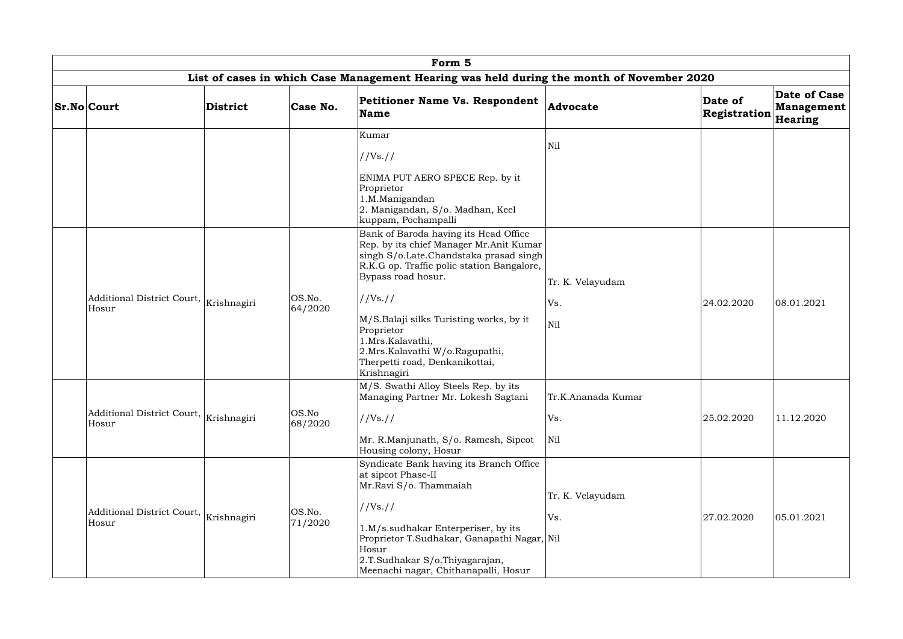| Form 5                                                        |                 |                   |                                                                                                                                                                                                                                                                                                                                                                              |                                  |                         |                                       |  |  |  |  |
|---------------------------------------------------------------|-----------------|-------------------|------------------------------------------------------------------------------------------------------------------------------------------------------------------------------------------------------------------------------------------------------------------------------------------------------------------------------------------------------------------------------|----------------------------------|-------------------------|---------------------------------------|--|--|--|--|
|                                                               |                 |                   | List of cases in which Case Management Hearing was held during the month of November 2020                                                                                                                                                                                                                                                                                    |                                  |                         |                                       |  |  |  |  |
| <b>Sr.No Court</b>                                            | <b>District</b> | Case No.          | <b>Petitioner Name Vs. Respondent</b><br>Name                                                                                                                                                                                                                                                                                                                                | Advocate                         | Date of<br>Registration | Date of Case<br>Management<br>Hearing |  |  |  |  |
|                                                               |                 |                   | Kumar<br>//Vs. //<br>ENIMA PUT AERO SPECE Rep. by it<br>Proprietor<br>1.M.Manigandan<br>2. Manigandan, S/o. Madhan, Keel<br>kuppam, Pochampalli                                                                                                                                                                                                                              | Nil                              |                         |                                       |  |  |  |  |
| Additional District Court, Krishnagiri<br>Hosur               |                 | OS.No.<br>64/2020 | Bank of Baroda having its Head Office<br>Rep. by its chief Manager Mr.Anit Kumar<br>singh S/o.Late.Chandstaka prasad singh<br>R.K.G op. Traffic polic station Bangalore,<br>Bypass road hosur.<br>//Vs. //<br>M/S.Balaji silks Turisting works, by it<br>Proprietor<br>1.Mrs.Kalavathi,<br>2.Mrs. Kalavathi W/o. Ragupathi,<br>Therpetti road, Denkanikottai,<br>Krishnagiri | Tr. K. Velayudam<br>Vs.<br>Nil   | 24.02.2020              | 08.01.2021                            |  |  |  |  |
| Additional District Court, $\big _{\rm Krishnagiri}$<br>Hosur |                 | OS.No<br>68/2020  | M/S. Swathi Alloy Steels Rep. by its<br>Managing Partner Mr. Lokesh Sagtani<br>//Vs. //<br>Mr. R.Manjunath, S/o. Ramesh, Sipcot<br>Housing colony, Hosur                                                                                                                                                                                                                     | Tr.K.Ananada Kumar<br>Vs.<br>Nil | 25.02.2020              | 11.12.2020                            |  |  |  |  |
| Additional District Court,<br>Hosur                           | Krishnagiri     | OS.No.<br>71/2020 | Syndicate Bank having its Branch Office<br>at sipcot Phase-II<br>Mr.Ravi S/o. Thammaiah<br>//Vs. //<br>1.M/s.sudhakar Enterperiser, by its<br>Proprietor T.Sudhakar, Ganapathi Nagar, Nil<br>Hosur<br>2.T.Sudhakar S/o.Thiyagarajan,<br>Meenachi nagar, Chithanapalli, Hosur                                                                                                 | Tr. K. Velayudam<br>Vs.          | 27.02.2020              | 05.01.2021                            |  |  |  |  |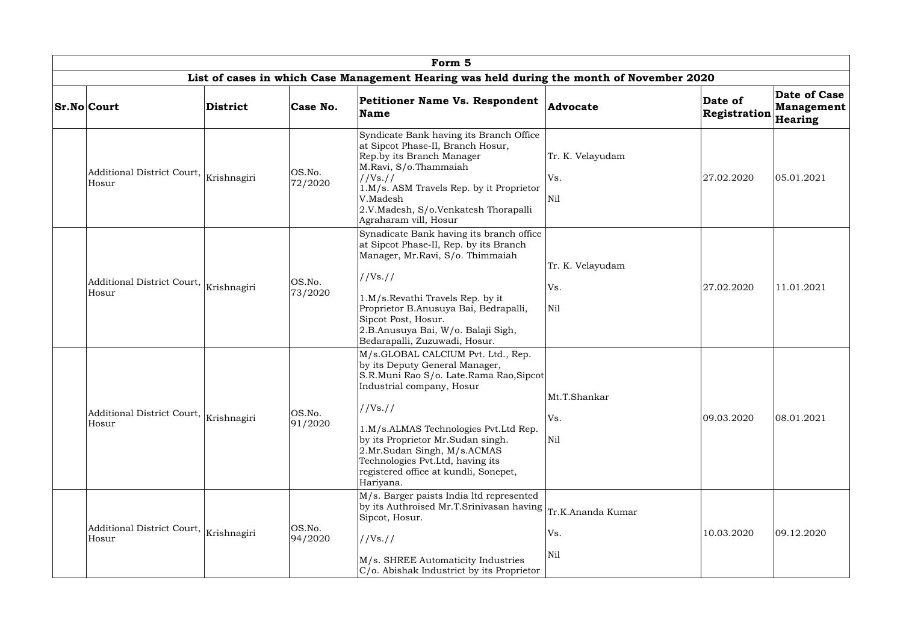|                                                               |                 |                   | Form 5                                                                                                                                                                                                                                                                                                                                                         |                                            |                         |                                              |
|---------------------------------------------------------------|-----------------|-------------------|----------------------------------------------------------------------------------------------------------------------------------------------------------------------------------------------------------------------------------------------------------------------------------------------------------------------------------------------------------------|--------------------------------------------|-------------------------|----------------------------------------------|
|                                                               |                 |                   | List of cases in which Case Management Hearing was held during the month of November 2020                                                                                                                                                                                                                                                                      |                                            |                         |                                              |
| <b>Sr.No Court</b>                                            | <b>District</b> | Case No.          | Petitioner Name Vs. Respondent<br><b>Name</b>                                                                                                                                                                                                                                                                                                                  | Advocate                                   | Date of<br>Registration | Date of Case<br><b>Management</b><br>Hearing |
| Additional District Court, Krishnagiri<br>Hosur               |                 | OS.No.<br>72/2020 | Syndicate Bank having its Branch Office<br>at Sipcot Phase-II, Branch Hosur,<br>Rep.by its Branch Manager<br>M.Ravi, S/o.Thammaiah<br>//Vs. //<br>1.M/s. ASM Travels Rep. by it Proprietor<br>V.Madesh<br>2.V.Madesh, S/o.Venkatesh Thorapalli<br>Agraharam vill, Hosur                                                                                        | Tr. K. Velayudam<br>Vs.<br>N <sub>il</sub> | 27.02.2020              | 05.01.2021                                   |
| Additional District Court, Krishnagiri<br>Hosur               |                 | OS.No.<br>73/2020 | Synadicate Bank having its branch office<br>at Sipcot Phase-II, Rep. by its Branch<br>Manager, Mr.Ravi, S/o. Thimmaiah<br>//Vs. //<br>1.M/s.Revathi Travels Rep. by it<br>Proprietor B.Anusuya Bai, Bedrapalli,<br>Sipcot Post, Hosur.<br>2.B.Anusuya Bai, W/o. Balaji Sigh,<br>Bedarapalli, Zuzuwadi, Hosur.                                                  | Tr. K. Velayudam<br>Vs.<br>Nil             | 27.02.2020              | 11.01.2021                                   |
| Additional District Court,<br>Hosur                           | Krishnagiri     | OS.No.<br>91/2020 | M/s.GLOBAL CALCIUM Pvt. Ltd., Rep.<br>by its Deputy General Manager,<br>S.R.Muni Rao S/o. Late.Rama Rao,Sipcot<br>Industrial company, Hosur<br>//Vs. //<br>1.M/s.ALMAS Technologies Pvt.Ltd Rep.<br>by its Proprietor Mr.Sudan singh.<br>2.Mr.Sudan Singh, M/s.ACMAS<br>Technologies Pvt.Ltd, having its<br>registered office at kundli, Sonepet,<br>Hariyana. | Mt.T.Shankar<br>Vs.<br>Nil                 | 09.03.2020              | 08.01.2021                                   |
| Additional District Court, $\big _{\rm Krishnagiri}$<br>Hosur |                 | OS.No.<br>94/2020 | M/s. Barger paists India ltd represented<br>by its Authroised Mr.T.Srinivasan having $ $<br>Sipcot, Hosur.<br>//Vs. //<br>M/s. SHREE Automaticity Industries<br>C/o. Abishak Industrict by its Proprietor                                                                                                                                                      | Tr.K.Ananda Kumar<br>Vs.<br>Nil            | 10.03.2020              | 09.12.2020                                   |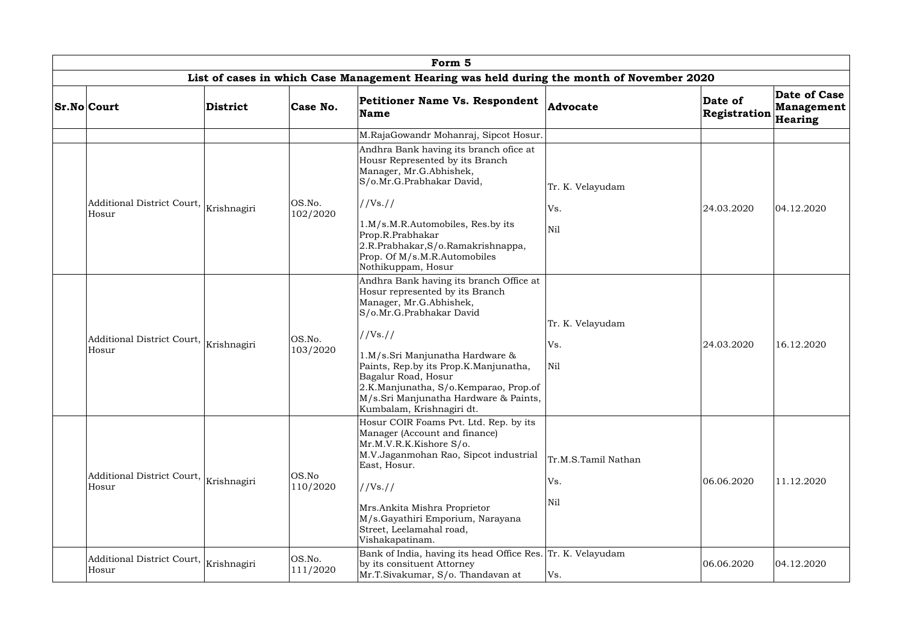| Form 5                              |             |                    |                                                                                                                                                                                                                                                                                                                                                                 |                                   |                         |                                              |  |  |  |
|-------------------------------------|-------------|--------------------|-----------------------------------------------------------------------------------------------------------------------------------------------------------------------------------------------------------------------------------------------------------------------------------------------------------------------------------------------------------------|-----------------------------------|-------------------------|----------------------------------------------|--|--|--|
|                                     |             |                    | List of cases in which Case Management Hearing was held during the month of November 2020                                                                                                                                                                                                                                                                       |                                   |                         |                                              |  |  |  |
| <b>Sr.No Court</b>                  | District    | Case No.           | <b>Petitioner Name Vs. Respondent</b><br>Name                                                                                                                                                                                                                                                                                                                   | <b>Advocate</b>                   | Date of<br>Registration | Date of Case<br><b>Management</b><br>Hearing |  |  |  |
|                                     |             |                    | M.RajaGowandr Mohanraj, Sipcot Hosur.                                                                                                                                                                                                                                                                                                                           |                                   |                         |                                              |  |  |  |
|                                     |             |                    | Andhra Bank having its branch ofice at<br>Housr Represented by its Branch<br>Manager, Mr.G.Abhishek,<br>S/o.Mr.G.Prabhakar David,                                                                                                                                                                                                                               | Tr. K. Velayudam                  |                         |                                              |  |  |  |
| Additional District Court,          | Krishnagiri | OS.No.             | //Vs. //                                                                                                                                                                                                                                                                                                                                                        | Vs.                               | 24.03.2020              | 04.12.2020                                   |  |  |  |
| Hosur                               |             | 102/2020           | 1.M/s.M.R.Automobiles, Res.by its<br>Prop.R.Prabhakar<br>2.R.Prabhakar, S/o.Ramakrishnappa,<br>Prop. Of M/s.M.R.Automobiles<br>Nothikuppam, Hosur                                                                                                                                                                                                               | Nil                               |                         |                                              |  |  |  |
| Additional District Court,<br>Hosur | Krishnagiri | OS.No.<br>103/2020 | Andhra Bank having its branch Office at<br>Hosur represented by its Branch<br>Manager, Mr.G.Abhishek,<br>S/o.Mr.G.Prabhakar David<br>//Vs. //<br>1.M/s.Sri Manjunatha Hardware &<br>Paints, Rep.by its Prop.K.Manjunatha,<br>Bagalur Road, Hosur<br>2.K.Manjunatha, S/o.Kemparao, Prop.of<br>M/s.Sri Manjunatha Hardware & Paints,<br>Kumbalam, Krishnagiri dt. | Tr. K. Velayudam<br>Vs.<br>Nil    | 24.03.2020              | 16.12.2020                                   |  |  |  |
| Additional District Court,<br>Hosur | Krishnagiri | OS.No<br>110/2020  | Hosur COIR Foams Pvt. Ltd. Rep. by its<br>Manager (Account and finance)<br>Mr.M.V.R.K.Kishore S/o.<br>M.V.Jaganmohan Rao, Sipcot industrial<br>East, Hosur.<br>//Vs. //<br>Mrs.Ankita Mishra Proprietor<br>M/s.Gayathiri Emporium, Narayana<br>Street, Leelamahal road,<br>Vishakapatinam.                                                                      | Tr.M.S.Tamil Nathan<br>Vs.<br>Nil | 06.06.2020              | 11.12.2020                                   |  |  |  |
| Additional District Court,<br>Hosur | Krishnagiri | OS.No.<br>111/2020 | Bank of India, having its head Office Res. Tr. K. Velayudam<br>by its consituent Attorney<br>Mr.T.Sivakumar, S/o. Thandavan at                                                                                                                                                                                                                                  | Vs.                               | 06.06.2020              | 04.12.2020                                   |  |  |  |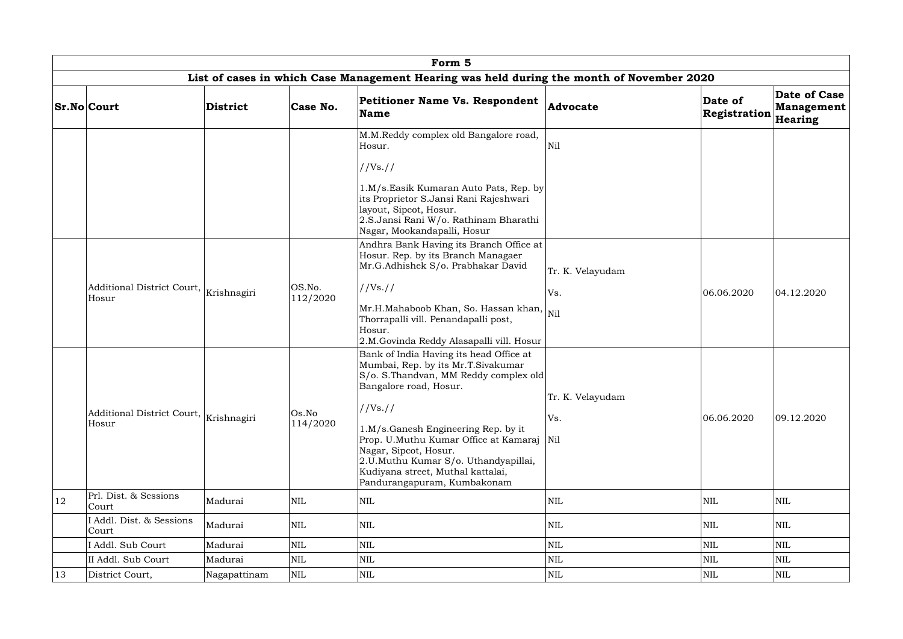|    |                                                                                           |                 |                                                                                                                                                                                                                                                                                                                                                                                    | Form 5                                                                                                                                                                                                                                                                                   |                         |                         |                                                |  |  |  |  |  |
|----|-------------------------------------------------------------------------------------------|-----------------|------------------------------------------------------------------------------------------------------------------------------------------------------------------------------------------------------------------------------------------------------------------------------------------------------------------------------------------------------------------------------------|------------------------------------------------------------------------------------------------------------------------------------------------------------------------------------------------------------------------------------------------------------------------------------------|-------------------------|-------------------------|------------------------------------------------|--|--|--|--|--|
|    | List of cases in which Case Management Hearing was held during the month of November 2020 |                 |                                                                                                                                                                                                                                                                                                                                                                                    |                                                                                                                                                                                                                                                                                          |                         |                         |                                                |  |  |  |  |  |
|    | <b>Sr.No Court</b>                                                                        | <b>District</b> | Case No.                                                                                                                                                                                                                                                                                                                                                                           | Petitioner Name Vs. Respondent<br><b>Name</b>                                                                                                                                                                                                                                            | Advocate                | Date of<br>Registration | Date of Case  <br><b>Management</b><br>Hearing |  |  |  |  |  |
|    |                                                                                           |                 |                                                                                                                                                                                                                                                                                                                                                                                    | M.M.Reddy complex old Bangalore road,<br>Hosur.<br>//Vs. //<br>1.M/s.Easik Kumaran Auto Pats, Rep. by<br>its Proprietor S.Jansi Rani Rajeshwari<br>layout, Sipcot, Hosur.<br>2.S.Jansi Rani W/o. Rathinam Bharathi<br>Nagar, Mookandapalli, Hosur                                        | Nil                     |                         |                                                |  |  |  |  |  |
|    | Additional District Court, $\big _{\rm Krishnagiri}$<br>Hosur                             |                 | OS.No.<br>112/2020                                                                                                                                                                                                                                                                                                                                                                 | Andhra Bank Having its Branch Office at<br>Hosur. Rep. by its Branch Managaer<br>Mr.G.Adhishek S/o. Prabhakar David<br>//Vs. //<br> Mr.H.Mahaboob Khan, So. Hassan khan, $\big _{\rm Nil}$<br>Thorrapalli vill. Penandapalli post,<br>Hosur.<br>2.M.Govinda Reddy Alasapalli vill. Hosur | Tr. K. Velayudam<br>Vs. | 06.06.2020              | 04.12.2020                                     |  |  |  |  |  |
|    | Os.No<br>Additional District Court,<br>Krishnagiri<br>114/2020<br>Hosur                   |                 | Bank of India Having its head Office at<br>Mumbai, Rep. by its Mr.T.Sivakumar<br>S/o. S. Thandvan, MM Reddy complex old<br>Bangalore road, Hosur.<br>//Vs. //<br>1.M/s.Ganesh Engineering Rep. by it<br>Prop. U.Muthu Kumar Office at Kamaraj<br>Nagar, Sipcot, Hosur.<br>2.U.Muthu Kumar S/o. Uthandyapillai,<br>Kudiyana street, Muthal kattalai,<br>Pandurangapuram, Kumbakonam | Tr. K. Velayudam<br>Vs.<br>Nil                                                                                                                                                                                                                                                           | 06.06.2020              | 09.12.2020              |                                                |  |  |  |  |  |
| 12 | Prl. Dist. & Sessions<br>Court                                                            | Madurai         | <b>NIL</b>                                                                                                                                                                                                                                                                                                                                                                         | <b>NIL</b>                                                                                                                                                                                                                                                                               | <b>NIL</b>              | <b>NIL</b>              | <b>NIL</b>                                     |  |  |  |  |  |
|    | I Addl. Dist. & Sessions<br>Court                                                         | Madurai         | <b>NIL</b>                                                                                                                                                                                                                                                                                                                                                                         | $\mbox{NIL}$                                                                                                                                                                                                                                                                             | <b>NIL</b>              | <b>NIL</b>              | <b>NIL</b>                                     |  |  |  |  |  |
|    | I Addl. Sub Court                                                                         | Madurai         | <b>NIL</b>                                                                                                                                                                                                                                                                                                                                                                         | $\mbox{NIL}$                                                                                                                                                                                                                                                                             | <b>NIL</b>              | <b>NIL</b>              | <b>NIL</b>                                     |  |  |  |  |  |
|    | II Addl. Sub Court                                                                        | Madurai         | <b>NIL</b>                                                                                                                                                                                                                                                                                                                                                                         | $\mbox{NIL}$                                                                                                                                                                                                                                                                             | $\mbox{NIL}$            | <b>NIL</b>              | <b>NIL</b>                                     |  |  |  |  |  |
| 13 | District Court,                                                                           | Nagapattinam    | <b>NIL</b>                                                                                                                                                                                                                                                                                                                                                                         | <b>NIL</b>                                                                                                                                                                                                                                                                               | <b>NIL</b>              | NIL                     | <b>NIL</b>                                     |  |  |  |  |  |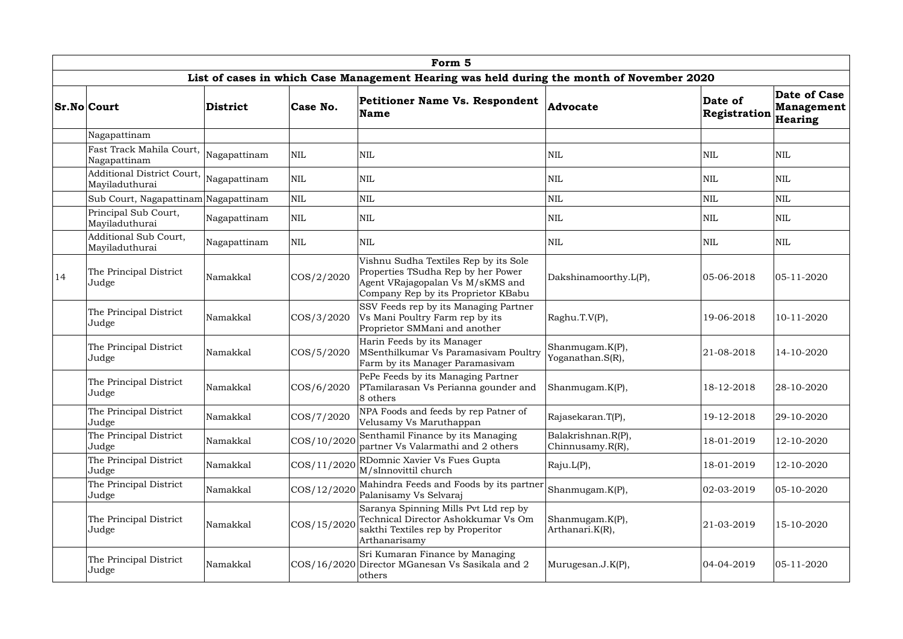|    | Form 5                                         |              |                |                                                                                                                                                        |                                        |                         |                                              |  |  |  |  |  |
|----|------------------------------------------------|--------------|----------------|--------------------------------------------------------------------------------------------------------------------------------------------------------|----------------------------------------|-------------------------|----------------------------------------------|--|--|--|--|--|
|    |                                                |              |                | List of cases in which Case Management Hearing was held during the month of November 2020                                                              |                                        |                         |                                              |  |  |  |  |  |
|    | <b>Sr.No Court</b>                             | District     | Case No.       | <b>Petitioner Name Vs. Respondent</b><br><b>Name</b>                                                                                                   | Advocate                               | Date of<br>Registration | Date of Case<br><b>Management</b><br>Hearing |  |  |  |  |  |
|    | Nagapattinam                                   |              |                |                                                                                                                                                        |                                        |                         |                                              |  |  |  |  |  |
|    | Fast Track Mahila Court,<br>Nagapattinam       | Nagapattinam | <b>NIL</b>     | $\mbox{NIL}$                                                                                                                                           | NIL                                    | <b>NIL</b>              | $\mbox{NIL}$                                 |  |  |  |  |  |
|    | Additional District Court,<br>Mayiladuthurai   | Nagapattinam | $\mbox{NIL}$   | $\mbox{NIL}$                                                                                                                                           | NIL                                    | <b>NIL</b>              | <b>NIL</b>                                   |  |  |  |  |  |
|    | Sub Court, Nagapattinam Nagapattinam           |              | <b>NIL</b>     | $\mbox{NIL}$                                                                                                                                           | <b>NIL</b>                             | NIL                     | NIL                                          |  |  |  |  |  |
|    | Principal Sub Court,<br>Mayiladuthurai         | Nagapattinam | <b>NIL</b>     | <b>NIL</b>                                                                                                                                             | NIL                                    | NIL                     | <b>NIL</b>                                   |  |  |  |  |  |
|    | <b>Additional Sub Court,</b><br>Mayiladuthurai | Nagapattinam | <b>NIL</b>     | <b>NIL</b>                                                                                                                                             | NIL                                    | <b>NIL</b>              | <b>NIL</b>                                   |  |  |  |  |  |
| 14 | The Principal District<br>Namakkal<br>Judge    |              | $\cos/2/2020$  | Vishnu Sudha Textiles Rep by its Sole<br>Properties TSudha Rep by her Power<br>Agent VRajagopalan Vs M/sKMS and<br>Company Rep by its Proprietor KBabu | Dakshinamoorthy.L(P),                  | 05-06-2018              | $ 05 - 11 - 2020 $                           |  |  |  |  |  |
|    | The Principal District<br>Judge                | Namakkal     | $\cos/3/2020$  | SSV Feeds rep by its Managing Partner<br>Vs Mani Poultry Farm rep by its<br>Proprietor SMMani and another                                              | Raghu.T.V(P),                          | 19-06-2018              | 10-11-2020                                   |  |  |  |  |  |
|    | The Principal District<br>Judge                | Namakkal     | $\cos/5/2020$  | Harin Feeds by its Manager<br>MSenthilkumar Vs Paramasivam Poultry<br>Farm by its Manager Paramasivam                                                  | Shanmugam.K(P),<br>Yoganathan.S(R),    | 21-08-2018              | 14-10-2020                                   |  |  |  |  |  |
|    | The Principal District<br>Judge                | Namakkal     | COS/6/2020     | PePe Feeds by its Managing Partner<br>PTamilarasan Vs Perianna gounder and<br>8 others                                                                 | Shanmugam.K(P),                        | 18-12-2018              | 28-10-2020                                   |  |  |  |  |  |
|    | The Principal District<br>Judge                | Namakkal     | COS/7/2020     | NPA Foods and feeds by rep Patner of<br>Velusamy Vs Maruthappan                                                                                        | Rajasekaran.T(P),                      | 19-12-2018              | 29-10-2020                                   |  |  |  |  |  |
|    | The Principal District<br>Judge                | Namakkal     | COS/10/2020    | Senthamil Finance by its Managing<br>partner Vs Valarmathi and 2 others                                                                                | Balakrishnan.R(P),<br>Chinnusamy.R(R), | 18-01-2019              | 12-10-2020                                   |  |  |  |  |  |
|    | The Principal District<br>Judge                | Namakkal     | $\cos/11/2020$ | RDomnic Xavier Vs Fues Gupta<br>M/sInnovittil church                                                                                                   | Raju.L(P),                             | 18-01-2019              | 12-10-2020                                   |  |  |  |  |  |
|    | The Principal District<br>Judge                | Namakkal     | COS/12/2020    | Mahindra Feeds and Foods by its partner<br>Palanisamy Vs Selvaraj                                                                                      | Shanmugam.K(P),                        | 02-03-2019              | 05-10-2020                                   |  |  |  |  |  |
|    | The Principal District<br>Namakkal<br>Judge    |              | $\cos/15/2020$ | Saranya Spinning Mills Pvt Ltd rep by<br>Technical Director Ashokkumar Vs Om<br>sakthi Textiles rep by Properitor<br>Arthanarisamy                     | Shanmugam.K(P),<br>Arthanari.K(R),     | 21-03-2019              | 15-10-2020                                   |  |  |  |  |  |
|    | The Principal District<br>Judge                | Namakkal     |                | Sri Kumaran Finance by Managing<br>COS/16/2020 Director MGanesan Vs Sasikala and 2<br>others                                                           | Murugesan.J.K(P),                      | 04-04-2019              | 05-11-2020                                   |  |  |  |  |  |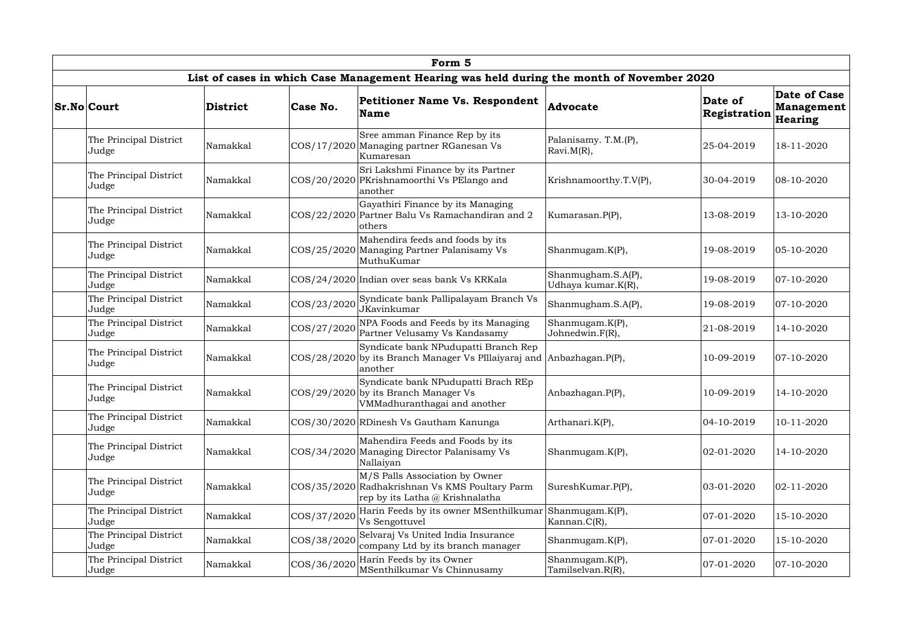|  |                                                                                            |                                                                                                         |             | Form 5                                                                                                              |                                          |                         |                                              |  |  |  |  |  |
|--|--------------------------------------------------------------------------------------------|---------------------------------------------------------------------------------------------------------|-------------|---------------------------------------------------------------------------------------------------------------------|------------------------------------------|-------------------------|----------------------------------------------|--|--|--|--|--|
|  | List of cases in which Case Management Hearing was held during the month of November 2020  |                                                                                                         |             |                                                                                                                     |                                          |                         |                                              |  |  |  |  |  |
|  | <b>Sr.No Court</b>                                                                         | <b>District</b>                                                                                         | Case No.    | <b>Petitioner Name Vs. Respondent</b><br><b>Name</b>                                                                | Advocate                                 | Date of<br>Registration | Date of Case<br><b>Management</b><br>Hearing |  |  |  |  |  |
|  | The Principal District<br>Judge                                                            | Namakkal                                                                                                |             | Sree amman Finance Rep by its<br>COS/17/2020 Managing partner RGanesan Vs<br>Kumaresan                              | Palanisamy. T.M.(P),<br>Ravi.M(R),       | 25-04-2019              | 18-11-2020                                   |  |  |  |  |  |
|  | The Principal District<br>Judge                                                            | Sri Lakshmi Finance by its Partner<br>COS/20/2020 PKrishnamoorthi Vs PElango and<br>Namakkal<br>another |             | Krishnamoorthy.T.V(P),                                                                                              | 30-04-2019                               | 08-10-2020              |                                              |  |  |  |  |  |
|  | The Principal District<br>Namakkal<br>Judge                                                |                                                                                                         |             | Gayathiri Finance by its Managing<br>COS/22/2020 Partner Balu Vs Ramachandiran and 2<br>others                      | Kumarasan.P(P),                          | 13-08-2019              | 13-10-2020                                   |  |  |  |  |  |
|  | The Principal District<br>Judge                                                            | Namakkal                                                                                                |             | Mahendira feeds and foods by its<br>COS/25/2020 Managing Partner Palanisamy Vs<br>MuthuKumar                        | Shanmugam.K(P),                          | 19-08-2019              | 05-10-2020                                   |  |  |  |  |  |
|  | The Principal District<br>Namakkal<br>Judge<br>The Principal District<br>Namakkal<br>Judge |                                                                                                         |             | COS/24/2020 Indian over seas bank Vs KRKala                                                                         | Shanmugham.S.A(P),<br>Udhaya kumar.K(R), | 19-08-2019              | $ 07 - 10 - 2020 $                           |  |  |  |  |  |
|  |                                                                                            |                                                                                                         | COS/23/2020 | Syndicate bank Pallipalayam Branch Vs<br>JKavinkumar                                                                | Shanmugham.S.A(P),                       | 19-08-2019              | 07-10-2020                                   |  |  |  |  |  |
|  | The Principal District<br>Judge                                                            | Namakkal                                                                                                | COS/27/2020 | NPA Foods and Feeds by its Managing<br>Partner Velusamy Vs Kandasamy                                                | Shanmugam.K(P),<br>Johnedwin.F(R),       | 21-08-2019              | 14-10-2020                                   |  |  |  |  |  |
|  | The Principal District<br>Judge                                                            | Namakkal                                                                                                |             | Syndicate bank NPudupatti Branch Rep<br>COS/28/2020 by its Branch Manager Vs PIllaiyaraj and<br>another             | Anbazhagan.P(P),                         | 10-09-2019              | $ 07 - 10 - 2020 $                           |  |  |  |  |  |
|  | The Principal District<br>Judge                                                            | Namakkal                                                                                                |             | Syndicate bank NPudupatti Brach REp<br>$ COS/29/2020 $ by its Branch Manager Vs<br>VMMadhuranthagai and another     | Anbazhagan.P(P),                         | 10-09-2019              | 14-10-2020                                   |  |  |  |  |  |
|  | The Principal District<br>Judge                                                            | Namakkal                                                                                                |             | COS/30/2020 RDinesh Vs Gautham Kanunga                                                                              | Arthanari.K(P),                          | 04-10-2019              | 10-11-2020                                   |  |  |  |  |  |
|  | The Principal District<br>Judge                                                            | Namakkal                                                                                                |             | Mahendira Feeds and Foods by its<br>COS/34/2020 Managing Director Palanisamy Vs<br>Nallaiyan                        | Shanmugam.K(P),                          | 02-01-2020              | 14-10-2020                                   |  |  |  |  |  |
|  | The Principal District<br>Judge                                                            | Namakkal                                                                                                |             | M/S Palls Association by Owner<br>COS/35/2020 Radhakrishnan Vs KMS Poultary Parm<br>rep by its Latha @ Krishnalatha | SureshKumar.P(P),                        | 03-01-2020              | $ 02 - 11 - 2020 $                           |  |  |  |  |  |
|  | The Principal District<br>Judge                                                            | Namakkal                                                                                                | COS/37/2020 | Harin Feeds by its owner MSenthilkumar<br>Vs Sengottuvel                                                            | Shanmugam.K(P),<br>Kannan. $C(R)$ ,      | 07-01-2020              | 15-10-2020                                   |  |  |  |  |  |
|  | The Principal District<br>Judge                                                            | Namakkal                                                                                                | COS/38/2020 | Selvaraj Vs United India Insurance<br>company Ltd by its branch manager                                             | Shanmugam.K(P),                          | 07-01-2020              | 15-10-2020                                   |  |  |  |  |  |
|  | The Principal District<br>Judge                                                            | Namakkal                                                                                                | COS/36/2020 | Harin Feeds by its Owner<br>MSenthilkumar Vs Chinnusamy                                                             | Shanmugam.K(P),<br>Tamilselvan.R(R),     | 07-01-2020              | $ 07 - 10 - 2020 $                           |  |  |  |  |  |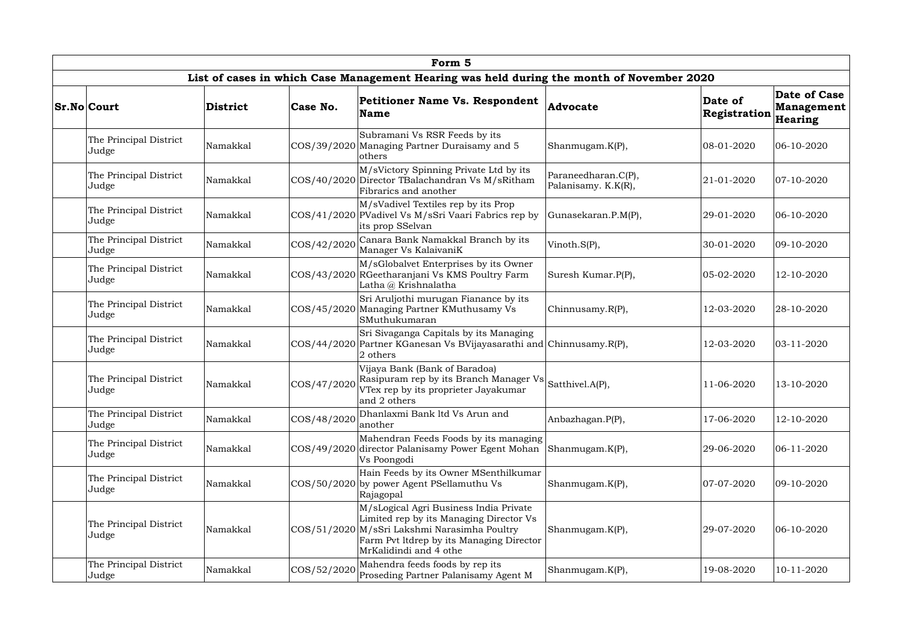| Form 5                          |                 |                     |                                                                                                                                                                                                         |                                            |                         |                                                     |  |  |  |  |  |
|---------------------------------|-----------------|---------------------|---------------------------------------------------------------------------------------------------------------------------------------------------------------------------------------------------------|--------------------------------------------|-------------------------|-----------------------------------------------------|--|--|--|--|--|
|                                 |                 |                     | List of cases in which Case Management Hearing was held during the month of November 2020                                                                                                               |                                            |                         |                                                     |  |  |  |  |  |
| <b>Sr.No Court</b>              | <b>District</b> | Case No.            | <b>Petitioner Name Vs. Respondent</b><br><b>Name</b>                                                                                                                                                    | Advocate                                   | Date of<br>Registration | <b>Date of Case</b><br><b>Management</b><br>Hearing |  |  |  |  |  |
| The Principal District<br>Judge | Namakkal        |                     | Subramani Vs RSR Feeds by its<br>COS/39/2020 Managing Partner Duraisamy and 5<br>others                                                                                                                 | Shanmugam.K(P),                            | 08-01-2020              | 06-10-2020                                          |  |  |  |  |  |
| The Principal District<br>Judge | Namakkal        |                     | M/sVictory Spinning Private Ltd by its<br>COS/40/2020 Director TBalachandran Vs M/sRitham<br>Fibrarics and another                                                                                      | Paraneedharan.C(P),<br>Palanisamy. K.K(R), | 21-01-2020              | $ 07 - 10 - 2020 $                                  |  |  |  |  |  |
| The Principal District<br>Judge | Namakkal        |                     | M/sVadivel Textiles rep by its Prop<br>COS/41/2020 PVadivel Vs M/sSri Vaari Fabrics rep by<br>its prop SSelvan                                                                                          | Gunasekaran.P.M(P),                        | 29-01-2020              | 06-10-2020                                          |  |  |  |  |  |
| The Principal District<br>Judge | Namakkal        | COS/42/2020         | Canara Bank Namakkal Branch by its<br>Manager Vs KalaivaniK                                                                                                                                             | Vinoth.S(P),                               | 30-01-2020              | 09-10-2020                                          |  |  |  |  |  |
| The Principal District<br>Judge | Namakkal        |                     | M/sGlobalvet Enterprises by its Owner<br>COS/43/2020 RGeetharanjani Vs KMS Poultry Farm<br>Latha @ Krishnalatha                                                                                         | Suresh Kumar.P(P),                         | 05-02-2020              | 12-10-2020                                          |  |  |  |  |  |
| The Principal District<br>Judge | Namakkal        |                     | Sri Aruljothi murugan Fianance by its<br>COS/45/2020 Managing Partner KMuthusamy Vs<br>SMuthukumaran                                                                                                    | Chinnusamy.R(P),                           | 12-03-2020              | 28-10-2020                                          |  |  |  |  |  |
| The Principal District<br>Judge | Namakkal        |                     | Sri Sivaganga Capitals by its Managing<br>COS/44/2020 Partner KGanesan Vs BVijayasarathi and Chinnusamy.R(P),<br>2 others                                                                               |                                            | 12-03-2020              | 03-11-2020                                          |  |  |  |  |  |
| The Principal District<br>Judge | Namakkal        | $\vert$ COS/47/2020 | Vijaya Bank (Bank of Baradoa)<br>Rasipuram rep by its Branch Manager Vs<br>VTex rep by its proprieter Jayakumar<br>and 2 others                                                                         | Satthivel.A(P),                            | 11-06-2020              | 13-10-2020                                          |  |  |  |  |  |
| The Principal District<br>Judge | Namakkal        | COS/48/2020         | Dhanlaxmi Bank ltd Vs Arun and<br>another                                                                                                                                                               | Anbazhagan.P(P),                           | 17-06-2020              | 12-10-2020                                          |  |  |  |  |  |
| The Principal District<br>Judge | Namakkal        |                     | Mahendran Feeds Foods by its managing<br>COS/49/2020 director Palanisamy Power Egent Mohan<br>Vs Poongodi                                                                                               | $\mathsf{Shanmugam.K(P)},$                 | 29-06-2020              | 06-11-2020                                          |  |  |  |  |  |
| The Principal District<br>Judge | Namakkal        |                     | Hain Feeds by its Owner MSenthilkumar<br>COS/50/2020 by power Agent PSellamuthu Vs<br>Rajagopal                                                                                                         | Shanmugam.K(P),                            | $ 07 - 07 - 2020$       | 09-10-2020                                          |  |  |  |  |  |
| The Principal District<br>Judge | Namakkal        |                     | M/sLogical Agri Business India Private<br>Limited rep by its Managing Director Vs<br>COS/51/2020 M/sSri Lakshmi Narasimha Poultry<br>Farm Pvt ltdrep by its Managing Director<br>MrKalidindi and 4 othe | Shanmugam.K(P),                            | 29-07-2020              | 06-10-2020                                          |  |  |  |  |  |
| The Principal District<br>Judge | Namakkal        | COS/52/2020         | Mahendra feeds foods by rep its<br>Proseding Partner Palanisamy Agent M                                                                                                                                 | Shanmugam.K(P),                            | 19-08-2020              | 10-11-2020                                          |  |  |  |  |  |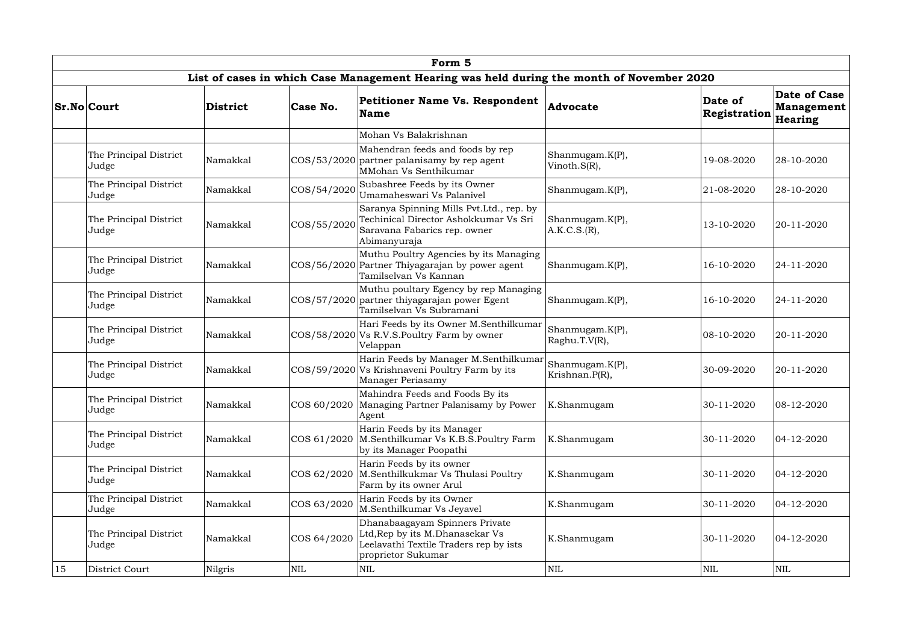|    |                                                                                           |                                                                                  |              | Form 5                                                                                                                            |                                   |                         |                                                     |  |  |  |  |  |
|----|-------------------------------------------------------------------------------------------|----------------------------------------------------------------------------------|--------------|-----------------------------------------------------------------------------------------------------------------------------------|-----------------------------------|-------------------------|-----------------------------------------------------|--|--|--|--|--|
|    | List of cases in which Case Management Hearing was held during the month of November 2020 |                                                                                  |              |                                                                                                                                   |                                   |                         |                                                     |  |  |  |  |  |
|    | <b>Sr.No Court</b>                                                                        | District                                                                         | Case No.     | <b>Petitioner Name Vs. Respondent</b><br><b>Name</b>                                                                              | Advocate                          | Date of<br>Registration | <b>Date of Case</b><br><b>Management</b><br>Hearing |  |  |  |  |  |
|    |                                                                                           |                                                                                  |              | Mohan Vs Balakrishnan                                                                                                             |                                   |                         |                                                     |  |  |  |  |  |
|    | The Principal District<br>Judge                                                           | Namakkal                                                                         |              | Mahendran feeds and foods by rep<br>$ COS/53/2020 $ partner palanisamy by rep agent<br>MMohan Vs Senthikumar                      | Shanmugam.K(P),<br>Vinoth.S(R),   | 19-08-2020              | 28-10-2020                                          |  |  |  |  |  |
|    | The Principal District<br>Judge                                                           | Namakkal                                                                         | COS/54/2020  | Subashree Feeds by its Owner<br>Umamaheswari Vs Palanivel                                                                         | Shanmugam.K(P),                   | 21-08-2020              | 28-10-2020                                          |  |  |  |  |  |
|    | The Principal District<br>Judge                                                           | Namakkal                                                                         | COS/55/2020  | Saranya Spinning Mills Pvt.Ltd., rep. by<br>Techinical Director Ashokkumar Vs Sri<br>Saravana Fabarics rep. owner<br>Abimanyuraja | Shanmugam.K(P),<br>A.K.C.S.(R),   | 13-10-2020              | 20-11-2020                                          |  |  |  |  |  |
|    | The Principal District<br>Judge                                                           | Namakkal                                                                         |              | Muthu Poultry Agencies by its Managing<br>COS/56/2020 Partner Thiyagarajan by power agent<br>Tamilselvan Vs Kannan                | Shanmugam.K(P),                   | 16-10-2020              | 24-11-2020                                          |  |  |  |  |  |
|    | The Principal District<br>Judge                                                           | Namakkal                                                                         |              | Muthu poultary Egency by rep Managing<br>COS/57/2020 partner thiyagarajan power Egent<br>Tamilselvan Vs Subramani                 | Shanmugam.K(P),                   | 16-10-2020              | 24-11-2020                                          |  |  |  |  |  |
|    | The Principal District<br>Judge                                                           | Namakkal                                                                         |              | Hari Feeds by its Owner M.Senthilkumar<br>COS/58/2020 Vs R.V.S.Poultry Farm by owner<br>Velappan                                  | Shanmugam.K(P),<br>Raghu.T.V(R),  | 08-10-2020              | 20-11-2020                                          |  |  |  |  |  |
|    | The Principal District<br>Judge                                                           | Namakkal                                                                         |              | Harin Feeds by Manager M.Senthilkumar<br>COS/59/2020 Vs Krishnaveni Poultry Farm by its<br>Manager Periasamy                      | Shanmugam.K(P),<br>Krishnan.P(R), | 30-09-2020              | 20-11-2020                                          |  |  |  |  |  |
|    | The Principal District<br>Judge                                                           | Namakkal                                                                         | COS 60/2020  | Mahindra Feeds and Foods By its<br>Managing Partner Palanisamy by Power<br>Agent                                                  | K.Shanmugam                       | 30-11-2020              | 08-12-2020                                          |  |  |  |  |  |
|    | The Principal District<br>Judge                                                           | Namakkal                                                                         | COS 61/2020  | Harin Feeds by its Manager<br>M.Senthilkumar Vs K.B.S.Poultry Farm<br>by its Manager Poopathi                                     | K.Shanmugam                       | 30-11-2020              | 04-12-2020                                          |  |  |  |  |  |
|    | The Principal District<br>Judge                                                           | Namakkal                                                                         | COS 62/2020  | Harin Feeds by its owner<br>M.Senthilkukmar Vs Thulasi Poultry<br>Farm by its owner Arul                                          | K.Shanmugam                       | 30-11-2020              | 04-12-2020                                          |  |  |  |  |  |
|    | The Principal District<br>Judge                                                           | Harin Feeds by its Owner<br>COS 63/2020<br>Namakkal<br>M.Senthilkumar Vs Jeyavel |              | K.Shanmugam                                                                                                                       | 30-11-2020                        | 04-12-2020              |                                                     |  |  |  |  |  |
|    | The Principal District<br>Judge                                                           | Namakkal                                                                         | COS 64/2020  | Dhanabaagayam Spinners Private<br>Ltd, Rep by its M.Dhanasekar Vs<br>Leelavathi Textile Traders rep by ists<br>proprietor Sukumar | K.Shanmugam                       | 30-11-2020              | 04-12-2020                                          |  |  |  |  |  |
| 15 | District Court                                                                            | Nilgris                                                                          | $\mbox{NIL}$ | NIL                                                                                                                               | NIL                               | $\mbox{NIL}$            | $\mbox{NIL}$                                        |  |  |  |  |  |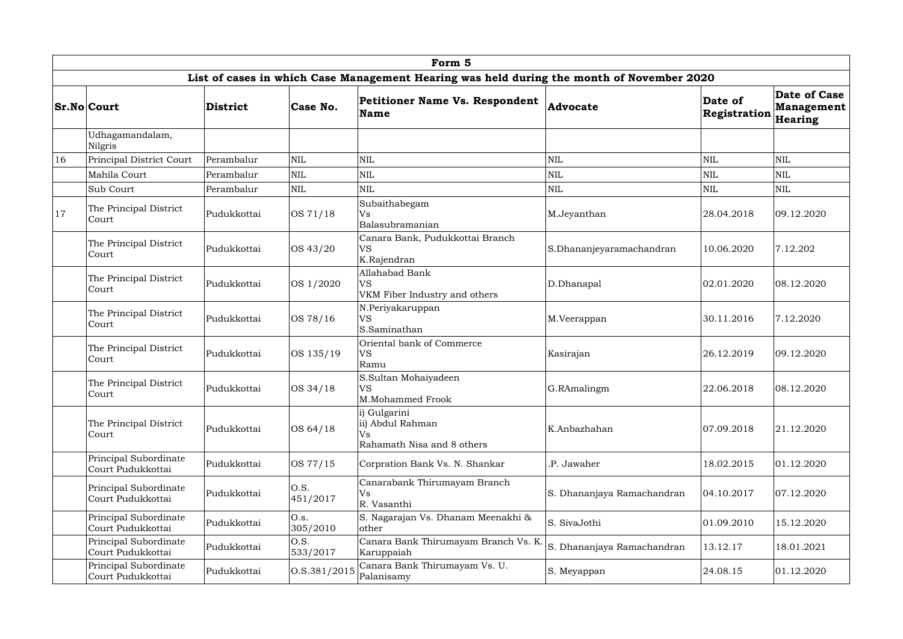|    | Form 5<br>List of cases in which Case Management Hearing was held during the month of November 2020         |                                                                                                                                                                               |                  |                                                                      |                            |                         |                                                     |  |  |  |  |  |  |
|----|-------------------------------------------------------------------------------------------------------------|-------------------------------------------------------------------------------------------------------------------------------------------------------------------------------|------------------|----------------------------------------------------------------------|----------------------------|-------------------------|-----------------------------------------------------|--|--|--|--|--|--|
|    |                                                                                                             |                                                                                                                                                                               |                  |                                                                      |                            |                         |                                                     |  |  |  |  |  |  |
|    | <b>Sr.No Court</b>                                                                                          | <b>District</b>                                                                                                                                                               | Case No.         | <b>Petitioner Name Vs. Respondent</b><br><b>Name</b>                 | Advocate                   | Date of<br>Registration | <b>Date of Case</b><br><b>Management</b><br>Hearing |  |  |  |  |  |  |
|    | Udhagamandalam,<br><b>Nilgris</b>                                                                           |                                                                                                                                                                               |                  |                                                                      |                            |                         |                                                     |  |  |  |  |  |  |
| 16 | Principal District Court                                                                                    | Perambalur                                                                                                                                                                    | <b>NIL</b>       | $\mbox{NIL}$                                                         | NIL                        | $\mbox{NIL}$            | <b>NIL</b>                                          |  |  |  |  |  |  |
|    | Mahila Court<br>Perambalur                                                                                  |                                                                                                                                                                               | $\mbox{NIL}$     | $\mbox{NIL}$                                                         | NIL                        | $\mbox{NIL}$            | $\mbox{NIL}$                                        |  |  |  |  |  |  |
|    | Sub Court                                                                                                   | Perambalur                                                                                                                                                                    | <b>NIL</b>       | $\mbox{NIL}$<br>NIL                                                  |                            | NIL                     | $\mbox{NIL}$                                        |  |  |  |  |  |  |
| 17 | The Principal District<br>Pudukkottai<br>Court                                                              |                                                                                                                                                                               | OS 71/18         | Subaithabegam<br>Vs<br>Balasubramanian                               | M.Jeyanthan                | 28.04.2018              | 09.12.2020                                          |  |  |  |  |  |  |
|    | The Principal District<br>Court                                                                             | Pudukkottai                                                                                                                                                                   | OS 43/20         | Canara Bank, Pudukkottai Branch<br><b>VS</b><br>K.Rajendran          | S.Dhananjeyaramachandran   | 10.06.2020              | 7.12.202                                            |  |  |  |  |  |  |
|    | The Principal District<br>Court                                                                             | Pudukkottai                                                                                                                                                                   | OS 1/2020        | <b>Allahabad Bank</b><br><b>VS</b><br>VKM Fiber Industry and others  | D.Dhanapal                 | 02.01.2020              | 08.12.2020                                          |  |  |  |  |  |  |
|    | N.Periyakaruppan<br>The Principal District<br><b>VS</b><br>OS 78/16<br>Pudukkottai<br>Court<br>S.Saminathan |                                                                                                                                                                               | M.Veerappan      | 30.11.2016                                                           | 7.12.2020                  |                         |                                                     |  |  |  |  |  |  |
|    | The Principal District<br>Court                                                                             | Oriental bank of Commerce<br>Pudukkottai<br>OS 135/19<br><b>VS</b><br>Ramu<br>S.Sultan Mohaiyadeen<br>The Principal District<br><b>VS</b><br>Pudukkottai<br>OS 34/18<br>Court |                  | Kasirajan                                                            | 26.12.2019                 | 09.12.2020              |                                                     |  |  |  |  |  |  |
|    |                                                                                                             |                                                                                                                                                                               |                  | M.Mohammed Frook                                                     | G.RAmalingm                | 22.06.2018              | 08.12.2020                                          |  |  |  |  |  |  |
|    | The Principal District<br>Court                                                                             | Pudukkottai                                                                                                                                                                   | OS 64/18         | i) Gulgarini<br>ii) Abdul Rahman<br>Vs<br>Rahamath Nisa and 8 others | K.Anbazhahan               | 07.09.2018              | 21.12.2020                                          |  |  |  |  |  |  |
|    | Principal Subordinate<br>Court Pudukkottai                                                                  | Pudukkottai                                                                                                                                                                   | OS 77/15         | Corpration Bank Vs. N. Shankar                                       | .P. Jawaher                | 18.02.2015              | 01.12.2020                                          |  |  |  |  |  |  |
|    | Principal Subordinate<br>Court Pudukkottai                                                                  | Pudukkottai                                                                                                                                                                   | O.S.<br>451/2017 | Canarabank Thirumayam Branch<br>Vs<br>R. Vasanthi                    | S. Dhananjaya Ramachandran | 04.10.2017              | 07.12.2020                                          |  |  |  |  |  |  |
|    | Principal Subordinate<br>O.s.<br>Pudukkottai<br>305/2010<br>Court Pudukkottai                               |                                                                                                                                                                               |                  | S. Nagarajan Vs. Dhanam Meenakhi &<br>other                          | S. SivaJothi               | 01.09.2010              | 15.12.2020                                          |  |  |  |  |  |  |
|    | Principal Subordinate<br>Court Pudukkottai                                                                  | Pudukkottai                                                                                                                                                                   | O.S.<br>533/2017 | Canara Bank Thirumayam Branch Vs. K.<br>Karuppaiah                   | S. Dhananjaya Ramachandran | 13.12.17                | 18.01.2021                                          |  |  |  |  |  |  |
|    | Principal Subordinate<br>Court Pudukkottai                                                                  | Pudukkottai                                                                                                                                                                   | O.S.381/2015     | Canara Bank Thirumayam Vs. U.<br>Palanisamy                          | S. Meyappan                | 24.08.15                | 01.12.2020                                          |  |  |  |  |  |  |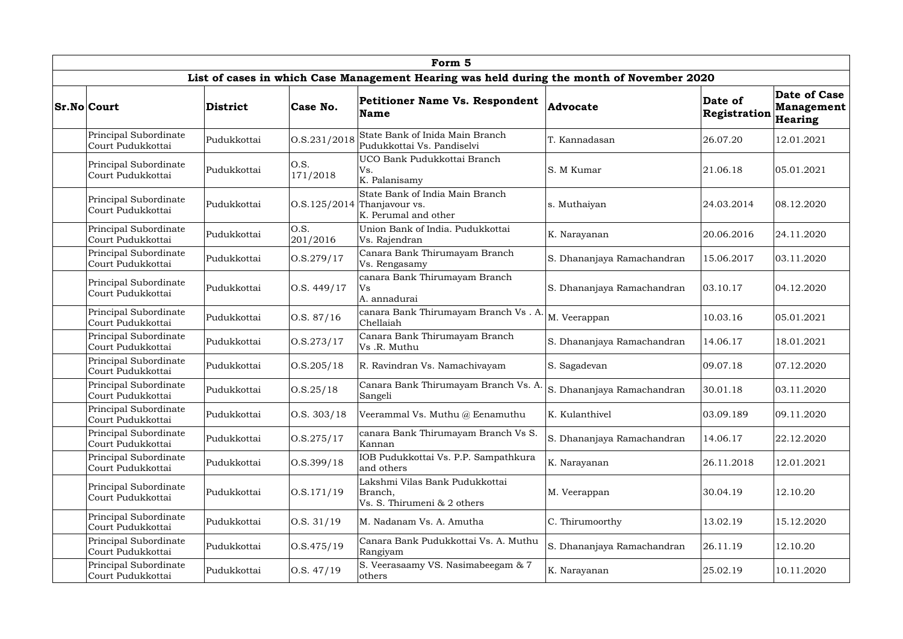|  |                                                                                                                        |                                                                           |                  | Form 5                                                                                    |                            |                         |                                              |
|--|------------------------------------------------------------------------------------------------------------------------|---------------------------------------------------------------------------|------------------|-------------------------------------------------------------------------------------------|----------------------------|-------------------------|----------------------------------------------|
|  |                                                                                                                        |                                                                           |                  | List of cases in which Case Management Hearing was held during the month of November 2020 |                            |                         |                                              |
|  | <b>Sr.No Court</b>                                                                                                     | <b>District</b>                                                           | Case No.         | <b>Petitioner Name Vs. Respondent</b><br><b>Name</b>                                      | Advocate                   | Date of<br>Registration | Date of Case<br><b>Management</b><br>Hearing |
|  | Principal Subordinate<br>Court Pudukkottai                                                                             | Pudukkottai                                                               | 0. S. 231 / 2018 | State Bank of Inida Main Branch<br>Pudukkottai Vs. Pandiselvi                             | T. Kannadasan              | 26.07.20                | 12.01.2021                                   |
|  | Principal Subordinate<br>Court Pudukkottai                                                                             | Pudukkottai                                                               | O.S.<br>171/2018 | UCO Bank Pudukkottai Branch<br>S. M Kumar<br>Vs.<br>K. Palanisamy                         |                            | 21.06.18                | 05.01.2021                                   |
|  | Principal Subordinate<br>Court Pudukkottai                                                                             | Pudukkottai                                                               | 0. S. 125 / 2014 | State Bank of India Main Branch<br>Thanjavour vs.<br>K. Perumal and other                 | s. Muthaiyan               | 24.03.2014              | 08.12.2020                                   |
|  | Principal Subordinate<br>Court Pudukkottai                                                                             | Pudukkottai                                                               | O.S.<br>201/2016 | Union Bank of India. Pudukkottai<br>Vs. Rajendran                                         | K. Narayanan               | 20.06.2016              | 24.11.2020                                   |
|  | Principal Subordinate<br>Court Pudukkottai                                                                             | Pudukkottai                                                               | O.S.279/17       | Canara Bank Thirumayam Branch<br>Vs. Rengasamy                                            | S. Dhananjaya Ramachandran | 15.06.2017              | 03.11.2020                                   |
|  | Principal Subordinate<br>Pudukkottai<br>Court Pudukkottai<br>Principal Subordinate<br>Pudukkottai<br>Court Pudukkottai |                                                                           | O.S. 449/17      | canara Bank Thirumayam Branch<br>Vs<br>A. annadurai                                       | S. Dhananjaya Ramachandran | 03.10.17                | 04.12.2020                                   |
|  |                                                                                                                        |                                                                           | 0. S. 87/16      | canara Bank Thirumayam Branch Vs. A.<br>Chellaiah                                         | M. Veerappan               | 10.03.16                | 05.01.2021                                   |
|  | Principal Subordinate<br>Court Pudukkottai                                                                             | Pudukkottai                                                               | 0. S. 273 / 17   | Canara Bank Thirumayam Branch<br>S. Dhananjaya Ramachandran<br>Vs.R. Muthu                |                            | 14.06.17                | 18.01.2021                                   |
|  | Principal Subordinate<br>Court Pudukkottai                                                                             | Pudukkottai                                                               | 0. S. 205 / 18   | R. Ravindran Vs. Namachivayam                                                             | S. Sagadevan               | 09.07.18                | 07.12.2020                                   |
|  | Principal Subordinate<br>Court Pudukkottai                                                                             | Pudukkottai                                                               | O.S.25/18        | Canara Bank Thirumayam Branch Vs. A.<br>Sangeli                                           | . Dhananjaya Ramachandran  | 30.01.18                | 03.11.2020                                   |
|  | Principal Subordinate<br>Court Pudukkottai                                                                             | Pudukkottai                                                               | 0. S. 303/18     | Veerammal Vs. Muthu @ Eenamuthu                                                           | K. Kulanthivel             | 03.09.189               | 09.11.2020                                   |
|  | Principal Subordinate<br>Court Pudukkottai                                                                             | Pudukkottai                                                               | 0. S. 275 / 17   | canara Bank Thirumayam Branch Vs S.<br>Kannan                                             | S. Dhananjaya Ramachandran | 14.06.17                | 22.12.2020                                   |
|  | Principal Subordinate<br>Court Pudukkottai                                                                             | Pudukkottai                                                               | O.S.399/18       | IOB Pudukkottai Vs. P.P. Sampathkura<br>and others                                        | K. Narayanan               | 26.11.2018              | 12.01.2021                                   |
|  | Principal Subordinate<br>Court Pudukkottai                                                                             | Pudukkottai                                                               | 0. S. 171/19     | Lakshmi Vilas Bank Pudukkottai<br>Branch,<br>Vs. S. Thirumeni & 2 others                  | M. Veerappan               | 30.04.19                | 12.10.20                                     |
|  | Principal Subordinate<br>O.S. 31/19<br>Pudukkottai<br>Court Pudukkottai                                                |                                                                           |                  | M. Nadanam Vs. A. Amutha                                                                  | C. Thirumoorthy            | 13.02.19                | 15.12.2020                                   |
|  | Principal Subordinate<br>Pudukkottai<br>Court Pudukkottai                                                              |                                                                           | 0. S.475/19      | Canara Bank Pudukkottai Vs. A. Muthu<br>Rangiyam                                          | S. Dhananjaya Ramachandran | 26.11.19                | 12.10.20                                     |
|  | Principal Subordinate<br>Court Pudukkottai                                                                             | S. Veerasaamy VS. Nasimabeegam & 7<br>O.S. 47/19<br>Pudukkottai<br>others |                  | K. Narayanan                                                                              | 25.02.19                   | 10.11.2020              |                                              |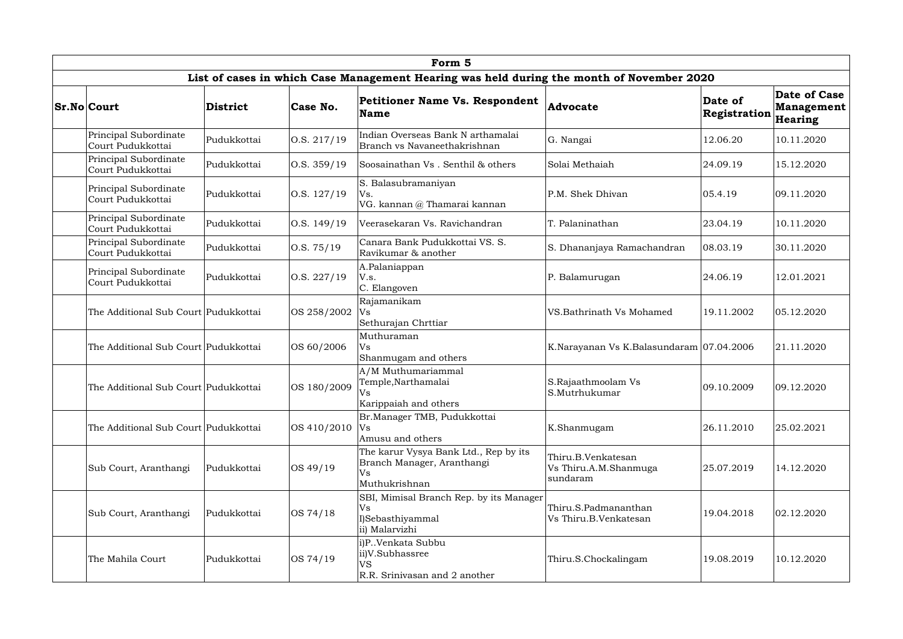| Form 5                                                                                    |                                                                                                                                                                                                                                                                                                                                                                                                                                                                                                      |              |                                                                                             |                                               |                         |                                              |  |  |  |  |  |
|-------------------------------------------------------------------------------------------|------------------------------------------------------------------------------------------------------------------------------------------------------------------------------------------------------------------------------------------------------------------------------------------------------------------------------------------------------------------------------------------------------------------------------------------------------------------------------------------------------|--------------|---------------------------------------------------------------------------------------------|-----------------------------------------------|-------------------------|----------------------------------------------|--|--|--|--|--|
| List of cases in which Case Management Hearing was held during the month of November 2020 |                                                                                                                                                                                                                                                                                                                                                                                                                                                                                                      |              |                                                                                             |                                               |                         |                                              |  |  |  |  |  |
| <b>Sr.No Court</b>                                                                        | <b>District</b>                                                                                                                                                                                                                                                                                                                                                                                                                                                                                      | Case No.     | <b>Petitioner Name Vs. Respondent</b><br><b>Name</b>                                        | Advocate                                      | Date of<br>Registration | Date of Case<br><b>Management</b><br>Hearing |  |  |  |  |  |
| Principal Subordinate<br>Court Pudukkottai                                                | Pudukkottai                                                                                                                                                                                                                                                                                                                                                                                                                                                                                          | O.S. 217/19  | Indian Overseas Bank N arthamalai<br>Branch vs Navaneethakrishnan                           | G. Nangai                                     | 12.06.20                | 10.11.2020                                   |  |  |  |  |  |
| Principal Subordinate<br>Court Pudukkottai                                                | Pudukkottai                                                                                                                                                                                                                                                                                                                                                                                                                                                                                          | O.S. 359/19  | Soosainathan Vs. Senthil & others                                                           | Solai Methaiah                                | 24.09.19                | 15.12.2020                                   |  |  |  |  |  |
| Principal Subordinate<br>Court Pudukkottai                                                | Pudukkottai                                                                                                                                                                                                                                                                                                                                                                                                                                                                                          | 0. S. 127/19 | S. Balasubramaniyan<br>Vs.<br>VG. kannan @ Thamarai kannan                                  | P.M. Shek Dhivan                              | 05.4.19                 | 09.11.2020                                   |  |  |  |  |  |
| Principal Subordinate<br>Court Pudukkottai                                                | Pudukkottai                                                                                                                                                                                                                                                                                                                                                                                                                                                                                          | O.S. 149/19  | Veerasekaran Vs. Ravichandran                                                               | T. Palaninathan                               | 23.04.19                | 10.11.2020                                   |  |  |  |  |  |
| Principal Subordinate<br>Pudukkottai<br>Court Pudukkottai                                 |                                                                                                                                                                                                                                                                                                                                                                                                                                                                                                      | O.S. 75/19   | Canara Bank Pudukkottai VS. S.<br>Ravikumar & another                                       | S. Dhananjaya Ramachandran                    | 08.03.19                | 30.11.2020                                   |  |  |  |  |  |
| Principal Subordinate<br>Court Pudukkottai                                                | A.Palaniappan<br>Pudukkottai<br>$\vert$ O.S. 227/19<br>V.s.<br>P. Balamurugan<br>C. Elangoven<br>Rajamanikam<br>The Additional Sub Court Pudukkottai<br>OS 258/2002<br>VS. Bathrinath Vs Mohamed<br>Vs<br>Sethurajan Chrttiar                                                                                                                                                                                                                                                                        |              |                                                                                             | 24.06.19                                      | 12.01.2021              |                                              |  |  |  |  |  |
|                                                                                           |                                                                                                                                                                                                                                                                                                                                                                                                                                                                                                      |              | 19.11.2002                                                                                  | 05.12.2020                                    |                         |                                              |  |  |  |  |  |
| The Additional Sub Court Pudukkottai                                                      |                                                                                                                                                                                                                                                                                                                                                                                                                                                                                                      | OS 60/2006   | Muthuraman<br><b>Vs</b><br>K.Narayanan Vs K.Balasundaram 07.04.2006<br>Shanmugam and others |                                               |                         | 21.11.2020                                   |  |  |  |  |  |
|                                                                                           | A/M Muthumariammal<br>Temple, Narthamalai<br>S.Rajaathmoolam Vs<br>OS 180/2009<br>The Additional Sub Court   Pudukkottai<br>Vs<br>S.Mutrhukumar<br>Karippaiah and others<br>Br.Manager TMB, Pudukkottai<br>The Additional Sub Court   Pudukkottai<br>OS 410/2010<br>K.Shanmugam<br>Vs<br>Amusu and others<br>The karur Vysya Bank Ltd., Rep by its<br>Thiru.B.Venkatesan<br>Branch Manager, Aranthangi<br>OS 49/19<br>Pudukkottai<br>Vs Thiru.A.M.Shanmuga<br><b>Vs</b><br>sundaram<br>Muthukrishnan |              |                                                                                             |                                               | 09.10.2009              | 09.12.2020                                   |  |  |  |  |  |
|                                                                                           |                                                                                                                                                                                                                                                                                                                                                                                                                                                                                                      |              |                                                                                             |                                               | 26.11.2010              | 25.02.2021                                   |  |  |  |  |  |
| Sub Court, Aranthangi                                                                     |                                                                                                                                                                                                                                                                                                                                                                                                                                                                                                      |              |                                                                                             | 25.07.2019                                    | 14.12.2020              |                                              |  |  |  |  |  |
| Sub Court, Aranthangi                                                                     | Pudukkottai                                                                                                                                                                                                                                                                                                                                                                                                                                                                                          | OS 74/18     | SBI, Mimisal Branch Rep. by its Manager<br>Vs<br>I)Sebasthiyammal<br>ii) Malarvizhi         | Thiru.S.Padmananthan<br>Vs Thiru.B.Venkatesan | 19.04.2018              | 02.12.2020                                   |  |  |  |  |  |
| The Mahila Court                                                                          | Pudukkottai                                                                                                                                                                                                                                                                                                                                                                                                                                                                                          | OS 74/19     | i)P. Venkata Subbu<br>ii)V.Subhassree<br><b>VS</b><br>R.R. Srinivasan and 2 another         | Thiru.S.Chockalingam                          | 19.08.2019              | 10.12.2020                                   |  |  |  |  |  |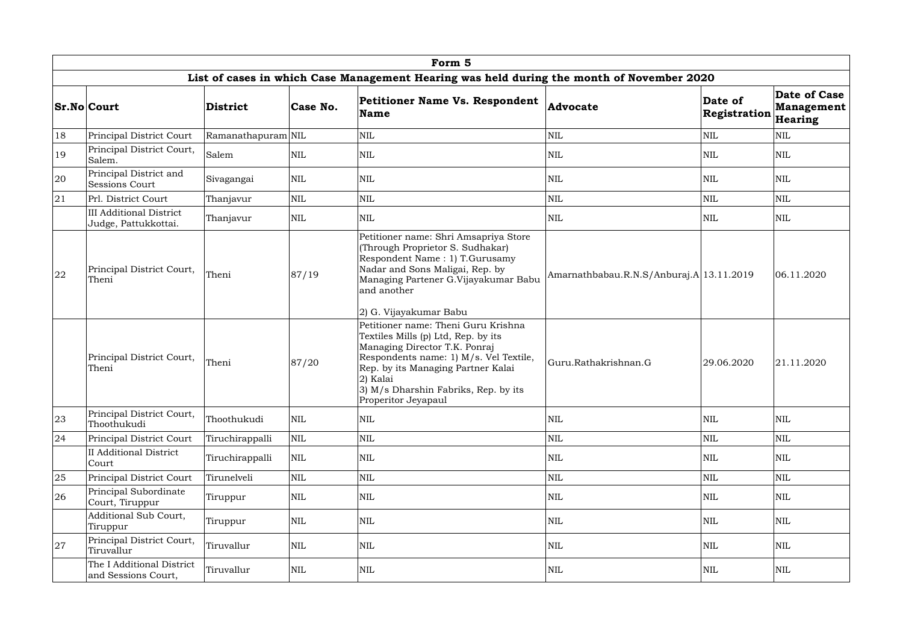|    |                                                                                           |                    |              | Form 5                                                                                                                                                                                                                                                                 |                                          |                         |                                                     |  |  |  |  |  |
|----|-------------------------------------------------------------------------------------------|--------------------|--------------|------------------------------------------------------------------------------------------------------------------------------------------------------------------------------------------------------------------------------------------------------------------------|------------------------------------------|-------------------------|-----------------------------------------------------|--|--|--|--|--|
|    | List of cases in which Case Management Hearing was held during the month of November 2020 |                    |              |                                                                                                                                                                                                                                                                        |                                          |                         |                                                     |  |  |  |  |  |
|    | <b>Sr.No Court</b>                                                                        | District           | Case No.     | <b>Petitioner Name Vs. Respondent</b><br>Name                                                                                                                                                                                                                          | Advocate                                 | Date of<br>Registration | <b>Date of Case</b><br><b>Management</b><br>Hearing |  |  |  |  |  |
| 18 | Principal District Court                                                                  | Ramanathapuram NIL |              | $\mbox{NIL}$                                                                                                                                                                                                                                                           | NIL                                      | $\mbox{NIL}$            | $\mbox{NIL}$                                        |  |  |  |  |  |
| 19 | Principal District Court,<br>Salem.                                                       | Salem              | $\mbox{NIL}$ | $\mbox{NIL}$                                                                                                                                                                                                                                                           | NIL                                      | NIL                     | <b>NIL</b>                                          |  |  |  |  |  |
| 20 | Principal District and<br>Sessions Court                                                  | Sivagangai         | <b>NIL</b>   | <b>NIL</b>                                                                                                                                                                                                                                                             | NIL                                      | NIL                     | <b>NIL</b>                                          |  |  |  |  |  |
| 21 | Prl. District Court                                                                       | Thanjavur          | <b>NIL</b>   | $\mbox{NIL}$                                                                                                                                                                                                                                                           | NIL                                      | $\mbox{NIL}$            | $\mbox{NIL}$                                        |  |  |  |  |  |
|    | <b>III Additional District</b><br>Judge, Pattukkottai.                                    | Thanjavur          | <b>NIL</b>   | <b>NIL</b>                                                                                                                                                                                                                                                             | NIL                                      | NIL                     | <b>NIL</b>                                          |  |  |  |  |  |
| 22 | Principal District Court,<br>Theni                                                        | Theni              | 87/19        | Petitioner name: Shri Amsapriya Store<br>(Through Proprietor S. Sudhakar)<br>Respondent Name: 1) T.Gurusamy<br>Nadar and Sons Maligai, Rep. by<br>Managing Partener G.Vijayakumar Babu<br>and another<br>2) G. Vijayakumar Babu                                        | Amarnathbabau.R.N.S/Anburaj.A 13.11.2019 |                         | 06.11.2020                                          |  |  |  |  |  |
|    | Principal District Court,<br>Theni                                                        | Theni              | 87/20        | Petitioner name: Theni Guru Krishna<br>Textiles Mills (p) Ltd, Rep. by its<br>Managing Director T.K. Ponraj<br>Respondents name: 1) M/s. Vel Textile,<br>Rep. by its Managing Partner Kalai<br>2) Kalai<br>3) M/s Dharshin Fabriks, Rep. by its<br>Properitor Jeyapaul | Guru.Rathakrishnan.G                     | 29.06.2020              | 21.11.2020                                          |  |  |  |  |  |
| 23 | Principal District Court,<br>Thoothukudi                                                  | Thoothukudi        | $\mbox{NIL}$ | $\mbox{NIL}$                                                                                                                                                                                                                                                           | NIL                                      | NIL                     | <b>NIL</b>                                          |  |  |  |  |  |
| 24 | Principal District Court                                                                  | Tiruchirappalli    | NIL          | $\mbox{NIL}$                                                                                                                                                                                                                                                           | NIL                                      | NIL                     | $\mbox{NIL}$                                        |  |  |  |  |  |
|    | II Additional District<br>Court                                                           | Tiruchirappalli    | $\mbox{NIL}$ | $\mbox{NIL}$                                                                                                                                                                                                                                                           | NIL                                      | NIL                     | <b>NIL</b>                                          |  |  |  |  |  |
| 25 | Principal District Court                                                                  | Tirunelveli        | NIL          | $\mbox{NIL}$                                                                                                                                                                                                                                                           | NIL                                      | NIL                     | $\mbox{NIL}$                                        |  |  |  |  |  |
| 26 | Principal Subordinate<br>Court, Tiruppur                                                  | Tiruppur           | $\mbox{NIL}$ | $\mbox{NIL}$                                                                                                                                                                                                                                                           | NIL                                      | <b>NIL</b>              | $\mbox{NIL}$                                        |  |  |  |  |  |
|    | Additional Sub Court,<br>Tiruppur                                                         | Tiruppur           | $\mbox{NIL}$ | <b>NIL</b>                                                                                                                                                                                                                                                             | NIL                                      | NIL                     | <b>NIL</b>                                          |  |  |  |  |  |
| 27 | Principal District Court,<br>Tiruvallur                                                   | Tiruvallur         | NIL          | <b>NIL</b>                                                                                                                                                                                                                                                             | NIL                                      | <b>NIL</b>              | <b>NIL</b>                                          |  |  |  |  |  |
|    | The I Additional District<br>and Sessions Court,                                          | Tiruvallur         | $\mbox{NIL}$ | <b>NIL</b>                                                                                                                                                                                                                                                             | NIL                                      | NIL                     | $\mbox{NIL}$                                        |  |  |  |  |  |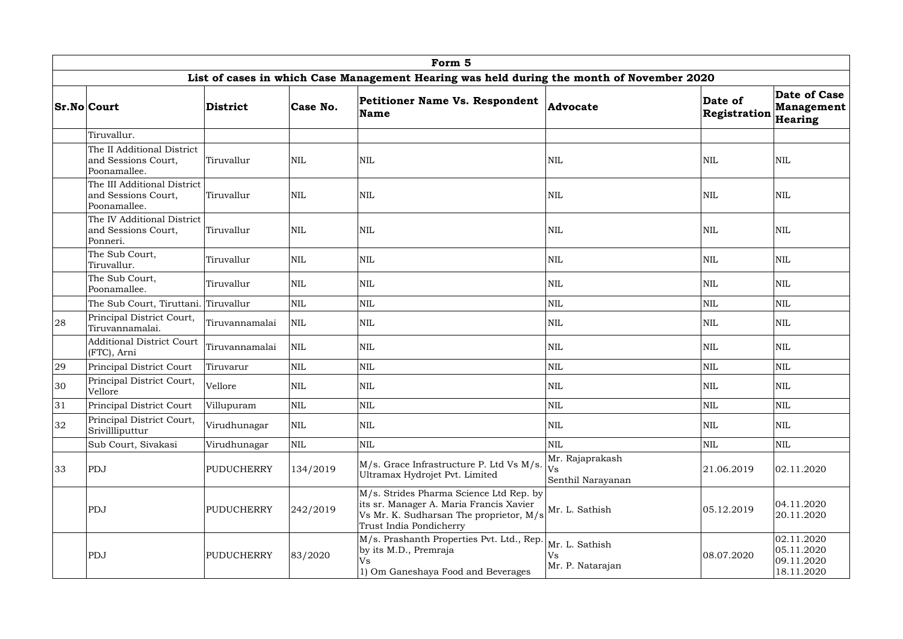|    |                                                                                           |                   |              | Form 5                                                                                                                                                   |                                                   |                         |                                                      |  |  |  |  |  |
|----|-------------------------------------------------------------------------------------------|-------------------|--------------|----------------------------------------------------------------------------------------------------------------------------------------------------------|---------------------------------------------------|-------------------------|------------------------------------------------------|--|--|--|--|--|
|    | List of cases in which Case Management Hearing was held during the month of November 2020 |                   |              |                                                                                                                                                          |                                                   |                         |                                                      |  |  |  |  |  |
|    | <b>Sr.No Court</b>                                                                        | District          | Case No.     | Petitioner Name Vs. Respondent<br><b>Name</b>                                                                                                            | Advocate                                          | Date of<br>Registration | Date of Case<br><b>Management</b><br>Hearing         |  |  |  |  |  |
|    | Tiruvallur.                                                                               |                   |              |                                                                                                                                                          |                                                   |                         |                                                      |  |  |  |  |  |
|    | The II Additional District<br>and Sessions Court,<br>Poonamallee.                         | Tiruvallur        | <b>NIL</b>   | NIL                                                                                                                                                      | <b>NIL</b>                                        | <b>NIL</b>              | <b>NIL</b>                                           |  |  |  |  |  |
|    | The III Additional District<br>and Sessions Court,<br>Poonamallee.                        | Tiruvallur        | <b>NIL</b>   | <b>NIL</b>                                                                                                                                               | <b>NIL</b>                                        | <b>NIL</b>              | <b>NIL</b>                                           |  |  |  |  |  |
|    | The IV Additional District<br>and Sessions Court,<br>Tiruvallur<br>Ponneri.               |                   | <b>NIL</b>   | <b>NIL</b>                                                                                                                                               | <b>NIL</b>                                        | <b>NIL</b>              | <b>NIL</b>                                           |  |  |  |  |  |
|    | The Sub Court,<br>Tiruvallur.                                                             | Tiruvallur        | <b>NIL</b>   | <b>NIL</b>                                                                                                                                               | $\text{NIL}$                                      | <b>NIL</b>              | <b>NIL</b>                                           |  |  |  |  |  |
|    | The Sub Court,<br>Tiruvallur<br>Poonamallee.                                              |                   | <b>NIL</b>   | <b>NIL</b>                                                                                                                                               | <b>NIL</b>                                        | <b>NIL</b>              | <b>NIL</b>                                           |  |  |  |  |  |
|    | <b>NIL</b><br>The Sub Court, Tiruttani. Tiruvallur                                        |                   | $\mbox{NIL}$ | <b>NIL</b>                                                                                                                                               | <b>NIL</b>                                        | NIL                     |                                                      |  |  |  |  |  |
| 28 | Principal District Court,<br>Tiruvannamalai.                                              | Tiruvannamalai    | <b>NIL</b>   | $\mbox{NIL}$                                                                                                                                             | <b>NIL</b>                                        | <b>NIL</b>              | <b>NIL</b>                                           |  |  |  |  |  |
|    | <b>Additional District Court</b><br>(FTC), Arni                                           | Tiruvannamalai    | <b>NIL</b>   | $\mbox{NIL}$                                                                                                                                             | <b>NIL</b>                                        | $\mbox{NIL}$            | <b>NIL</b>                                           |  |  |  |  |  |
| 29 | Principal District Court                                                                  | Tiruvarur         | NIL          | $\mbox{NIL}$                                                                                                                                             | $\text{NIL}$                                      | $\mbox{NIL}$            | $\mbox{NIL}$                                         |  |  |  |  |  |
| 30 | Principal District Court,<br>Vellore                                                      | Vellore           | <b>NIL</b>   | <b>NIL</b>                                                                                                                                               | <b>NIL</b>                                        | <b>NIL</b>              | <b>NIL</b>                                           |  |  |  |  |  |
| 31 | <b>Principal District Court</b>                                                           | Villupuram        | <b>NIL</b>   | $\mbox{NIL}$                                                                                                                                             | <b>NIL</b>                                        | <b>NIL</b>              | <b>NIL</b>                                           |  |  |  |  |  |
| 32 | Principal District Court,<br>Srivillliputtur                                              | Virudhunagar      | <b>NIL</b>   | $\mbox{NIL}$                                                                                                                                             | <b>NIL</b>                                        | NIL                     | <b>NIL</b>                                           |  |  |  |  |  |
|    | Sub Court, Sivakasi                                                                       | Virudhunagar      | <b>NIL</b>   | $\mbox{NIL}$                                                                                                                                             | <b>NIL</b>                                        | $\mbox{NIL}$            | $\mbox{NIL}$                                         |  |  |  |  |  |
| 33 | ${\rm PDJ}$<br>134/2019<br><b>PUDUCHERRY</b>                                              |                   |              | M/s. Grace Infrastructure P. Ltd Vs M/s.<br>Ultramax Hydrojet Pvt. Limited                                                                               | Mr. Rajaprakash<br><b>Vs</b><br>Senthil Narayanan | 21.06.2019              | 02.11.2020                                           |  |  |  |  |  |
|    | PDJ<br><b>PUDUCHERRY</b>                                                                  |                   | 242/2019     | M/s. Strides Pharma Science Ltd Rep. by<br>its sr. Manager A. Maria Francis Xavier<br>Vs Mr. K. Sudharsan The proprietor, M/s<br>Trust India Pondicherry | Mr. L. Sathish                                    | 05.12.2019              | 04.11.2020<br>20.11.2020                             |  |  |  |  |  |
|    | PDJ                                                                                       | <b>PUDUCHERRY</b> | 83/2020      | M/s. Prashanth Properties Pvt. Ltd., Rep.<br>by its M.D., Premraja<br>Vs<br>1) Om Ganeshaya Food and Beverages                                           | Mr. L. Sathish<br>Vs<br>Mr. P. Natarajan          | 08.07.2020              | 02.11.2020<br>05.11.2020<br>09.11.2020<br>18.11.2020 |  |  |  |  |  |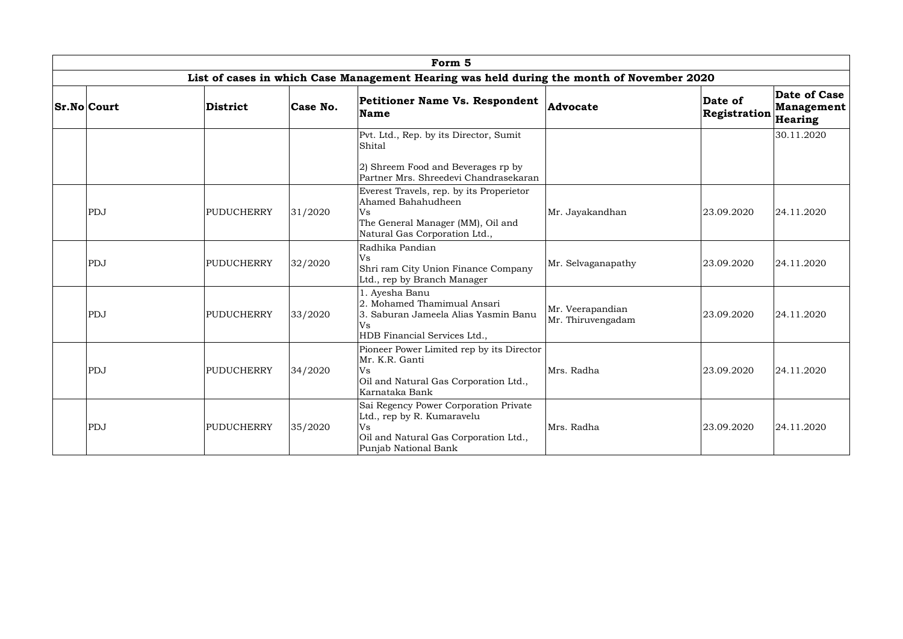|                                                                                           |                   |          | Form <sub>5</sub>                                                                                                                          |                                       |                         |                                              |  |  |  |  |  |
|-------------------------------------------------------------------------------------------|-------------------|----------|--------------------------------------------------------------------------------------------------------------------------------------------|---------------------------------------|-------------------------|----------------------------------------------|--|--|--|--|--|
| List of cases in which Case Management Hearing was held during the month of November 2020 |                   |          |                                                                                                                                            |                                       |                         |                                              |  |  |  |  |  |
| <b>Sr.No Court</b>                                                                        | District          | Case No. | <b>Petitioner Name Vs. Respondent</b><br><b>Name</b>                                                                                       | Advocate                              | Date of<br>Registration | Date of Case<br><b>Management</b><br>Hearing |  |  |  |  |  |
|                                                                                           |                   |          | Pvt. Ltd., Rep. by its Director, Sumit<br>Shital                                                                                           |                                       |                         | 30.11.2020                                   |  |  |  |  |  |
|                                                                                           |                   |          | 2) Shreem Food and Beverages rp by<br>Partner Mrs. Shreedevi Chandrasekaran                                                                |                                       |                         |                                              |  |  |  |  |  |
| PDJ                                                                                       | <b>PUDUCHERRY</b> | 31/2020  | Everest Travels, rep. by its Properietor<br>Ahamed Bahahudheen<br>Vs<br>The General Manager (MM), Oil and<br>Natural Gas Corporation Ltd., | Mr. Jayakandhan                       | 23.09.2020              | 24.11.2020                                   |  |  |  |  |  |
| PDJ                                                                                       | <b>PUDUCHERRY</b> | 32/2020  | Radhika Pandian<br>Vs<br>Shri ram City Union Finance Company<br>Ltd., rep by Branch Manager                                                | Mr. Selvaganapathy                    | 23.09.2020              | 24.11.2020                                   |  |  |  |  |  |
| PDJ                                                                                       | PUDUCHERRY        | 33/2020  | 1. Ayesha Banu<br>2. Mohamed Thamimual Ansari<br>3. Saburan Jameela Alias Yasmin Banu<br>Vs<br>HDB Financial Services Ltd.,                | Mr. Veerapandian<br>Mr. Thiruvengadam | 23.09.2020              | 24.11.2020                                   |  |  |  |  |  |
| PDJ                                                                                       | PUDUCHERRY        | 34/2020  | Pioneer Power Limited rep by its Director<br>Mr. K.R. Ganti<br><b>Vs</b><br>Oil and Natural Gas Corporation Ltd.,<br>Karnataka Bank        | Mrs. Radha                            | 23.09.2020              | 24.11.2020                                   |  |  |  |  |  |
| PDJ                                                                                       | <b>PUDUCHERRY</b> | 35/2020  | Sai Regency Power Corporation Private<br>Ltd., rep by R. Kumaravelu<br>Vs<br>Oil and Natural Gas Corporation Ltd.,<br>Punjab National Bank | Mrs. Radha                            | 23.09.2020              | 24.11.2020                                   |  |  |  |  |  |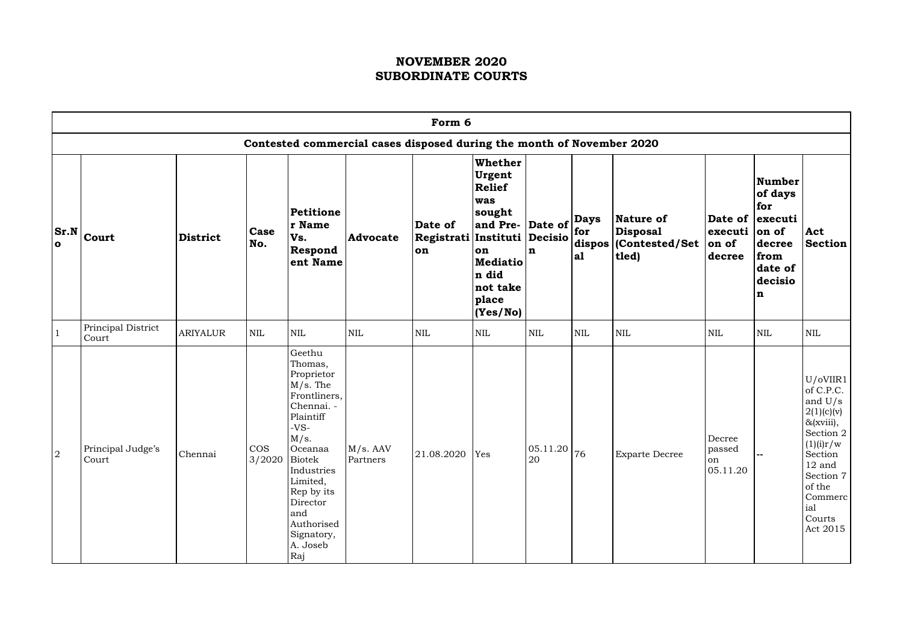|              | Form 6                      |                 |                               |                                                                                                                                                                                                                                  |                                                                       |                                       |                                                                                                                                                                                                       |                        |                    |                                                                               |                                          |                                                                                                    |                                                                                                                                                                                   |
|--------------|-----------------------------|-----------------|-------------------------------|----------------------------------------------------------------------------------------------------------------------------------------------------------------------------------------------------------------------------------|-----------------------------------------------------------------------|---------------------------------------|-------------------------------------------------------------------------------------------------------------------------------------------------------------------------------------------------------|------------------------|--------------------|-------------------------------------------------------------------------------|------------------------------------------|----------------------------------------------------------------------------------------------------|-----------------------------------------------------------------------------------------------------------------------------------------------------------------------------------|
|              |                             |                 |                               |                                                                                                                                                                                                                                  | Contested commercial cases disposed during the month of November 2020 |                                       |                                                                                                                                                                                                       |                        |                    |                                                                               |                                          |                                                                                                    |                                                                                                                                                                                   |
| $\bullet$    | $ Sr.N _{\text{Court}}$     | <b>District</b> | Case<br>No.                   | <b>Petitione</b><br>r Name<br>Vs.<br>Respond<br>ent Name                                                                                                                                                                         | <b>Advocate</b>                                                       | Date of<br>Registrati Instituti<br>on | <b>Whether</b><br>Urgent<br><b>Relief</b><br>was<br> sought<br>and Pre- Date of $\begin{vmatrix} 2 & 4 \\ 1 & 3 \end{vmatrix}$ for<br>on<br><b>Mediatio</b><br>n did<br>not take<br>place<br>(Yes/No) | Decisio<br>$\mathbf n$ | <b>Days</b><br> a1 | Nature of<br><b>Disposal</b><br>$ \mathbf{dispos}\, $ (Contested/Set<br>tled) | $ $ executi $ $ on of<br>on of<br>decree | Number<br>of days<br>for<br>Date of executi<br>decree<br>from<br>date of<br>decisio<br>$\mathbf n$ | Act<br><b>Section</b>                                                                                                                                                             |
|              | Principal District<br>Court | <b>ARIYALUR</b> | <b>NIL</b>                    | NIL                                                                                                                                                                                                                              | <b>NIL</b>                                                            | <b>NIL</b>                            | <b>NIL</b>                                                                                                                                                                                            | <b>NIL</b>             | $\mbox{NIL}$       | <b>NIL</b>                                                                    | <b>NIL</b>                               | <b>NIL</b>                                                                                         | $\mbox{NIL}$                                                                                                                                                                      |
| <sup>2</sup> | Principal Judge's<br>Court  | Chennai         | <b>COS</b><br>$3/2020$ Biotek | Geethu<br>Thomas,<br>Proprietor<br>$M/s$ . The<br>Frontliners,<br>Chennai. -<br>Plaintiff<br>$-VS-$<br>M/s.<br>Oceanaa<br>Industries<br>Limited,<br>Rep by its<br>Director<br>and<br>Authorised<br>Signatory,<br>A. Joseb<br>Raj | M/s. AAV<br>Partners                                                  | $21.08.2020$ Yes                      |                                                                                                                                                                                                       | 05.11.20 <br>20        | 76                 | <b>Exparte Decree</b>                                                         | Decree<br>passed<br>on<br>05.11.20       |                                                                                                    | U/OVIIR1<br>of C.P.C.<br>and $U/s$<br>2(1)(c)(v)<br>$\&$ (xviii),<br>Section 2<br>(1)(i)r/w<br>Section<br>$12$ and<br>Section 7<br>of the<br>Commerc<br>ial<br>Courts<br>Act 2015 |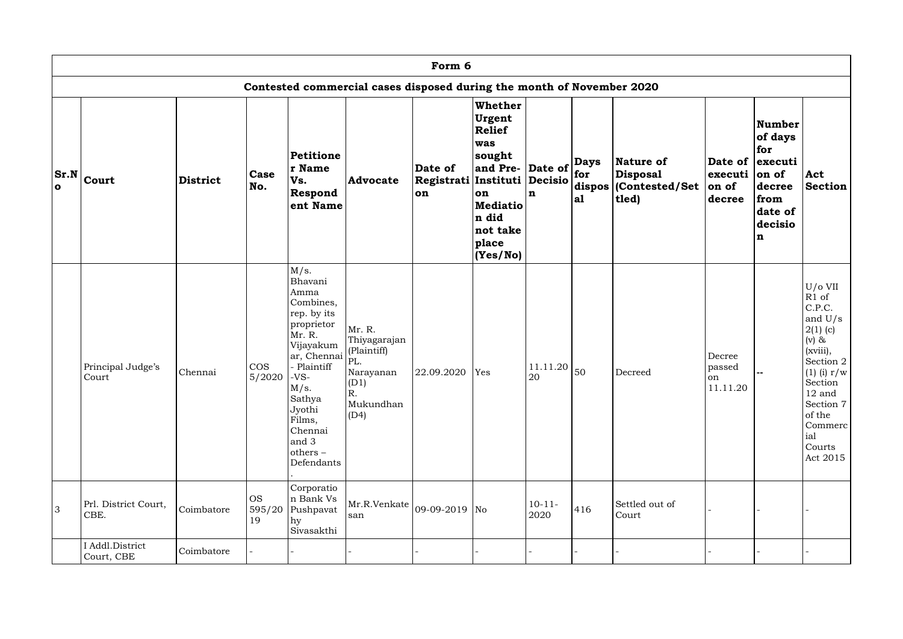|                | Form 6                        |                 |                           |                                                                                                                                                                                                                      |                                                                                              |                                                |                                                                                                                                                                                                          |                     |                    |                                                                                    |                                               |                                                                                                           |                                                                                                                                                                                                      |
|----------------|-------------------------------|-----------------|---------------------------|----------------------------------------------------------------------------------------------------------------------------------------------------------------------------------------------------------------------|----------------------------------------------------------------------------------------------|------------------------------------------------|----------------------------------------------------------------------------------------------------------------------------------------------------------------------------------------------------------|---------------------|--------------------|------------------------------------------------------------------------------------|-----------------------------------------------|-----------------------------------------------------------------------------------------------------------|------------------------------------------------------------------------------------------------------------------------------------------------------------------------------------------------------|
|                |                               |                 |                           |                                                                                                                                                                                                                      | Contested commercial cases disposed during the month of November 2020                        |                                                |                                                                                                                                                                                                          |                     |                    |                                                                                    |                                               |                                                                                                           |                                                                                                                                                                                                      |
| $\bullet$      | $ Sr.N _{\text{Court}}$       | <b>District</b> | <b>Case</b><br>No.        | <b>Petitione</b><br>r Name<br>Vs.<br>Respond<br>ent Name                                                                                                                                                             | <b>Advocate</b>                                                                              | Date of<br>Registrati Instituti Decisio<br>lon | <b>Whether</b><br>Urgent<br><b>Relief</b><br>was<br>sought<br>and Pre- Date of $\begin{vmatrix} 2 & 4 & 3 \\ 6 & 1 & 1 \end{vmatrix}$<br>on<br><b>Mediatio</b><br>n did<br>not take<br>place<br>(Yes/No) | In                  | <b>Days</b><br> a1 | <b>Nature of</b><br><b>Disposal</b><br>$ \textbf{dispos} $ (Contested/Set<br>tled) | $ $ executi $ $ on of<br>on of<br>decree      | <b>Number</b><br>of days<br>for<br>Date of executi<br>decree<br>from<br>date of<br>decisio<br>$\mathbf n$ | Act<br><b>Section</b>                                                                                                                                                                                |
|                | Principal Judge's<br>Court    | Chennai         | <b>COS</b><br>5/2020      | M/s.<br>Bhavani<br>Amma<br>Combines,<br>rep. by its<br>proprietor<br>Mr. R.<br>Vijayakum<br>ar, Chennai<br>- Plaintiff<br>-VS-<br>M/s.<br>Sathya<br>Jyothi<br>Films,<br>Chennai<br>and 3<br>$others -$<br>Defendants | Mr. R.<br>Thiyagarajan<br>(Plaintiff)<br>PL.<br>Narayanan<br>(D1)<br>R.<br>Mukundhan<br>(D4) | 22.09.2020                                     | Yes                                                                                                                                                                                                      | 11.11.20<br>20      | 50                 | Decreed                                                                            | Decree<br>passed<br><sub>on</sub><br>11.11.20 |                                                                                                           | $U/O$ VII<br>R1 of<br>C.P.C.<br>and $U/s$<br>$2(1)$ (c)<br>$(v)$ &<br>(xviii),<br>Section 2<br>$(1)$ (i) $r/w$<br>Section<br>$12$ and<br>Section 7<br>of the<br>Commerc<br>ial<br>Courts<br>Act 2015 |
| $\overline{3}$ | Prl. District Court,<br>CBE.  | Coimbatore      | <b>OS</b><br>595/20<br>19 | Corporatio<br>n Bank Vs<br>Pushpavat<br>hy<br>Sivasakthi                                                                                                                                                             | Mr.R.Venkate   09-09-2019   No<br>san                                                        |                                                |                                                                                                                                                                                                          | $10 - 11 -$<br>2020 | 416                | Settled out of<br>Court                                                            |                                               |                                                                                                           |                                                                                                                                                                                                      |
|                | I Addl.District<br>Court, CBE | Coimbatore      |                           |                                                                                                                                                                                                                      |                                                                                              |                                                |                                                                                                                                                                                                          |                     |                    |                                                                                    |                                               |                                                                                                           |                                                                                                                                                                                                      |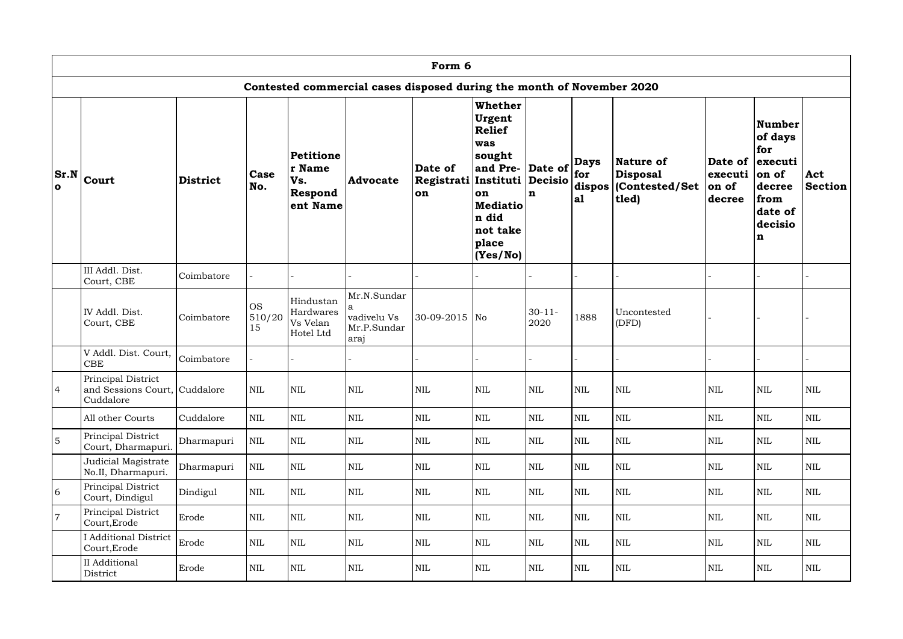|                |                                                                  |                 |                           |                                                   |                                                                       | Form 6                                            |                                                                                                                                           |                                                                       |                    |                                                                                    |                                       |                                                                                                  |                       |
|----------------|------------------------------------------------------------------|-----------------|---------------------------|---------------------------------------------------|-----------------------------------------------------------------------|---------------------------------------------------|-------------------------------------------------------------------------------------------------------------------------------------------|-----------------------------------------------------------------------|--------------------|------------------------------------------------------------------------------------|---------------------------------------|--------------------------------------------------------------------------------------------------|-----------------------|
|                |                                                                  |                 |                           |                                                   | Contested commercial cases disposed during the month of November 2020 |                                                   |                                                                                                                                           |                                                                       |                    |                                                                                    |                                       |                                                                                                  |                       |
| $\mathbf{o}$   | $ Sr.N _{\text{Court}}$                                          | <b>District</b> | Case<br>No.               | Petitione<br>r Name<br>Vs.<br>Respond<br>ent Name | <b>Advocate</b>                                                       | Date of<br> Registrati   Instituti  <br><b>on</b> | <b>Whether</b><br>Urgent<br><b>Relief</b><br>was<br>sought<br>and Pre-<br>on<br><b>Mediatio</b><br>n did<br>not take<br>place<br>(Yes/No) | Date of $\left \frac{1}{\text{for}}\right $<br>Decisio<br>$\mathbf n$ | <b>Days</b><br> a1 | <b>Nature of</b><br><b>Disposal</b><br>$ \textbf{dispos} $ (Contested/Set<br>tled) | Date of<br>executi<br>on of<br>decree | <b>Number</b><br>of days<br>for<br>executi<br>on of<br>decree<br>from<br>date of<br>decisio<br>n | Act<br><b>Section</b> |
|                | III Addl. Dist.<br>Court, CBE                                    | Coimbatore      |                           |                                                   |                                                                       |                                                   |                                                                                                                                           |                                                                       |                    |                                                                                    |                                       |                                                                                                  |                       |
|                | IV Addl. Dist.<br>Court, CBE                                     | Coimbatore      | <b>OS</b><br>510/20<br>15 | Hindustan<br>Hardwares<br>Vs Velan<br>Hotel Ltd   | Mr.N.Sundar<br>vadivelu Vs<br>Mr.P.Sundar<br>araj                     | 30-09-2015 No                                     |                                                                                                                                           | $30 - 11 -$<br>2020                                                   | 1888               | Uncontested<br>(DFD)                                                               |                                       |                                                                                                  |                       |
|                | V Addl. Dist. Court,<br><b>CBE</b>                               | Coimbatore      |                           |                                                   |                                                                       |                                                   |                                                                                                                                           |                                                                       |                    |                                                                                    |                                       |                                                                                                  |                       |
| $\overline{4}$ | Principal District<br>and Sessions Court, Cuddalore<br>Cuddalore |                 | NIL                       | <b>NIL</b>                                        | <b>NIL</b>                                                            | <b>NIL</b>                                        | <b>NIL</b>                                                                                                                                | <b>NIL</b>                                                            | <b>NIL</b>         | NIL                                                                                | <b>NIL</b>                            | <b>NIL</b>                                                                                       | <b>NIL</b>            |
|                | All other Courts                                                 | Cuddalore       | $\mbox{NIL}$              | $\mbox{NIL}$                                      | $\mbox{NIL}$                                                          | <b>NIL</b>                                        | $\mbox{NIL}$                                                                                                                              | $\mbox{NIL}$                                                          | <b>NIL</b>         | $\mbox{NIL}$                                                                       | <b>NIL</b>                            | $\mbox{NIL}$                                                                                     | $\mbox{NIL}$          |
| 5              | Principal District<br>Court, Dharmapuri.                         | Dharmapuri      | NIL                       | $\mbox{NIL}$                                      | <b>NIL</b>                                                            | <b>NIL</b>                                        | <b>NIL</b>                                                                                                                                | $\mbox{NIL}$                                                          | <b>NIL</b>         | $\mbox{NIL}$                                                                       | <b>NIL</b>                            | $\mbox{NIL}$                                                                                     | NIL                   |
|                | Judicial Magistrate<br>No.II, Dharmapuri.                        | Dharmapuri      | $\mbox{NIL}$              | $\mbox{NIL}$                                      | $\mbox{NIL}$                                                          | <b>NIL</b>                                        | <b>NIL</b>                                                                                                                                | $\mbox{NIL}$                                                          | <b>NIL</b>         | $\mbox{NIL}$                                                                       | <b>NIL</b>                            | $\mbox{NIL}$                                                                                     | $\mbox{NIL}$          |
| 6              | Principal District<br>Court, Dindigul                            | Dindigul        | NIL                       | $\mbox{NIL}$                                      | $\mbox{NIL}$                                                          | <b>NIL</b>                                        | <b>NIL</b>                                                                                                                                | $\mbox{NIL}$                                                          | <b>NIL</b>         | <b>NIL</b>                                                                         | <b>NIL</b>                            | <b>NIL</b>                                                                                       | <b>NIL</b>            |
| $\overline{7}$ | Principal District<br>Court, Erode                               | Erode           | $\mbox{NIL}$              | $\mbox{NIL}$                                      | $\mbox{NIL}$                                                          | <b>NIL</b>                                        | $\mbox{NIL}$                                                                                                                              | $\mbox{NIL}$                                                          | <b>NIL</b>         | $\mbox{NIL}$                                                                       | <b>NIL</b>                            | $\mbox{NIL}$                                                                                     | NIL                   |
|                | <b>I</b> Additional District<br>Court, Erode                     | Erode           | NIL                       | $\mbox{NIL}$                                      | $\mbox{NIL}$                                                          | <b>NIL</b>                                        | <b>NIL</b>                                                                                                                                | $\mbox{NIL}$                                                          | <b>NIL</b>         | $\mbox{NIL}$                                                                       | <b>NIL</b>                            | $\mbox{NIL}$                                                                                     | NIL                   |
|                | II Additional<br>District                                        | Erode           | NIL                       | $\mbox{NIL}$                                      | NIL                                                                   | <b>NIL</b>                                        | <b>NIL</b>                                                                                                                                | $\mbox{NIL}$                                                          | <b>NIL</b>         | $\mbox{NIL}$                                                                       | <b>NIL</b>                            | $\mbox{NIL}$                                                                                     | NIL                   |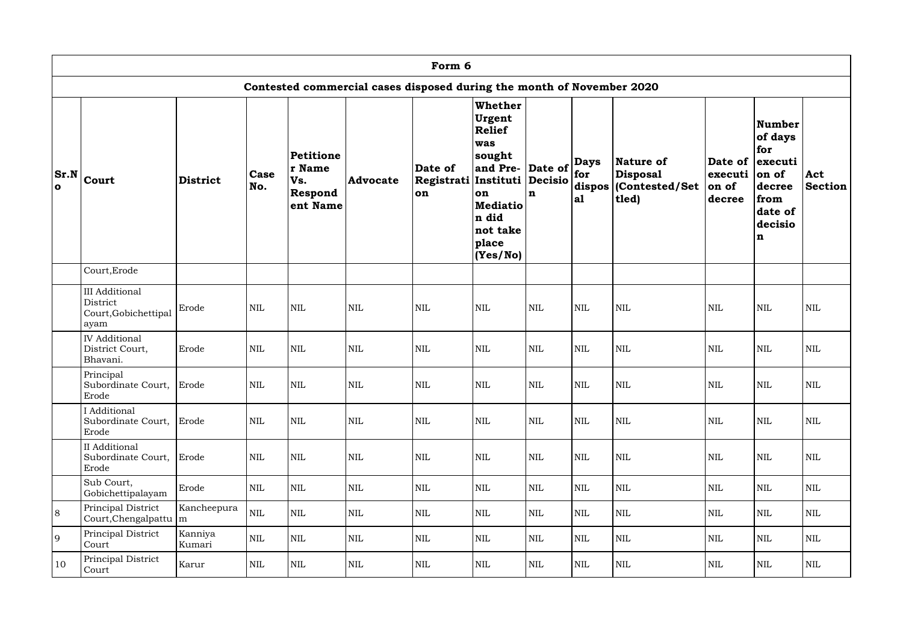|              | Form 6                                                                |                             |                    |                                                   |                 |                                              |                                                                                                                                           |                                                                       |                    |                                                                               |                                       |                                                                                               |                       |  |
|--------------|-----------------------------------------------------------------------|-----------------------------|--------------------|---------------------------------------------------|-----------------|----------------------------------------------|-------------------------------------------------------------------------------------------------------------------------------------------|-----------------------------------------------------------------------|--------------------|-------------------------------------------------------------------------------|---------------------------------------|-----------------------------------------------------------------------------------------------|-----------------------|--|
|              | Contested commercial cases disposed during the month of November 2020 |                             |                    |                                                   |                 |                                              |                                                                                                                                           |                                                                       |                    |                                                                               |                                       |                                                                                               |                       |  |
| $\mathbf{o}$ | $ Sr.N _{\text{Court}}$                                               | <b>District</b>             | <b>Case</b><br>No. | Petitione<br>r Name<br>Vs.<br>Respond<br>ent Name | <b>Advocate</b> | Date of<br>Registrati Instituti<br><b>on</b> | <b>Whether</b><br>Urgent<br><b>Relief</b><br>was<br>sought<br>and Pre-<br>on<br><b>Mediatio</b><br>n did<br>not take<br>place<br>(Yes/No) | Date of $\left \frac{1}{\text{for}}\right $<br>Decisio<br>$\mathbf n$ | <b>Days</b><br> a1 | Nature of<br><b>Disposal</b><br>$ \mathbf{dispos}\, $ (Contested/Set<br>tled) | Date of<br>executi<br>on of<br>decree | Number<br>of days<br>for<br>executi<br>$ on\ of$<br>decree<br>from<br>date of<br>decisio<br>n | Act<br><b>Section</b> |  |
|              | Court, Erode                                                          |                             |                    |                                                   |                 |                                              |                                                                                                                                           |                                                                       |                    |                                                                               |                                       |                                                                                               |                       |  |
|              | <b>III</b> Additional<br>District<br>Court, Gobichettipal<br>ayam     | Erode                       | <b>NIL</b>         | <b>NIL</b>                                        | <b>NIL</b>      | <b>NIL</b>                                   | <b>NIL</b>                                                                                                                                | <b>NIL</b>                                                            | <b>NIL</b>         | <b>NIL</b>                                                                    | <b>NIL</b>                            | <b>NIL</b>                                                                                    | <b>NIL</b>            |  |
|              | <b>IV</b> Additional<br>District Court,<br>Bhavani.                   | Erode                       | <b>NIL</b>         | $\mbox{NIL}$                                      | $\mbox{NIL}$    | <b>NIL</b>                                   | <b>NIL</b>                                                                                                                                | <b>NIL</b>                                                            | <b>NIL</b>         | <b>NIL</b>                                                                    | <b>NIL</b>                            | $\mbox{NIL}$                                                                                  | <b>NIL</b>            |  |
|              | Principal<br>Subordinate Court, Erode<br>Erode                        |                             | <b>NIL</b>         | <b>NIL</b>                                        | $\mbox{NIL}$    | <b>NIL</b>                                   | <b>NIL</b>                                                                                                                                | <b>NIL</b>                                                            | <b>NIL</b>         | <b>NIL</b>                                                                    | <b>NIL</b>                            | <b>NIL</b>                                                                                    | $\mbox{NIL}$          |  |
|              | I Additional<br>Subordinate Court,<br>Erode                           | Erode                       | <b>NIL</b>         | $\mbox{NIL}$                                      | <b>NIL</b>      | <b>NIL</b>                                   | $\mbox{NIL}$                                                                                                                              | $\mbox{NIL}$                                                          | <b>NIL</b>         | <b>NIL</b>                                                                    | <b>NIL</b>                            | $\mbox{NIL}$                                                                                  | $\mbox{NIL}$          |  |
|              | II Additional<br>Subordinate Court,<br>Erode                          | Erode                       | <b>NIL</b>         | $\mbox{NIL}$                                      | $\mbox{NIL}$    | <b>NIL</b>                                   | $\mbox{NIL}$                                                                                                                              | $\mbox{NIL}$                                                          | <b>NIL</b>         | $\mbox{NIL}$                                                                  | <b>NIL</b>                            | $\mbox{NIL}$                                                                                  | $\mbox{NIL}$          |  |
|              | Sub Court,<br>Gobichettipalayam                                       | Erode                       | NIL                | $\mbox{NIL}$                                      | $\mbox{NIL}$    | <b>NIL</b>                                   | $\mbox{NIL}$                                                                                                                              | $\mbox{NIL}$                                                          | <b>NIL</b>         | <b>NIL</b>                                                                    | <b>NIL</b>                            | $\mbox{NIL}$                                                                                  | NIL                   |  |
| 8            | Principal District<br>Court, Chengalpattu                             | Kancheepura<br>$\mathbf{m}$ | NIL                | $\mbox{NIL}$                                      | $\mbox{NIL}$    | <b>NIL</b>                                   | <b>NIL</b>                                                                                                                                | $\mbox{NIL}$                                                          | <b>NIL</b>         | $\mbox{NIL}$                                                                  | <b>NIL</b>                            | $\mbox{NIL}$                                                                                  | NIL                   |  |
| 9            | Principal District<br>Court                                           | Kanniya<br>Kumari           | <b>NIL</b>         | $\mbox{NIL}$                                      | $\mbox{NIL}$    | <b>NIL</b>                                   | $\mbox{NIL}$                                                                                                                              | $\mbox{NIL}$                                                          | <b>NIL</b>         | $\mbox{NIL}$                                                                  | <b>NIL</b>                            | $\mbox{NIL}$                                                                                  | NIL                   |  |
| 10           | Principal District<br>Court                                           | Karur                       | NIL                | $\mbox{NIL}$                                      | $\mbox{NIL}$    | <b>NIL</b>                                   | $\mbox{NIL}$                                                                                                                              | $\mbox{NIL}$                                                          | <b>NIL</b>         | NIL                                                                           | <b>NIL</b>                            | $\mbox{NIL}$                                                                                  | NIL                   |  |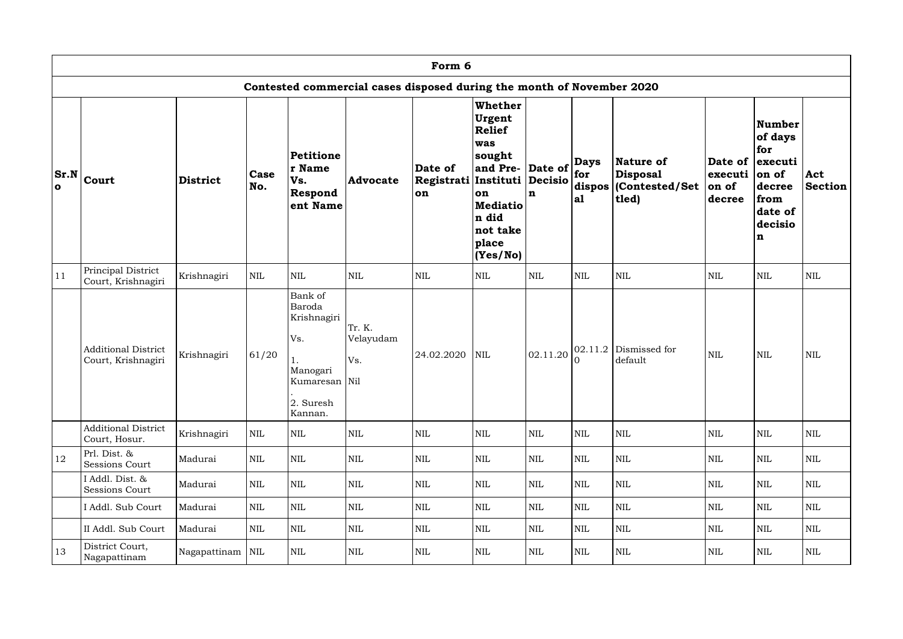|                      | Form 6                                                                |                 |             |                                                                                                    |                            |                                                          |                                                                                                                                                         |              |                           |                                                                               |                            |                                                                                                                                |                       |  |
|----------------------|-----------------------------------------------------------------------|-----------------|-------------|----------------------------------------------------------------------------------------------------|----------------------------|----------------------------------------------------------|---------------------------------------------------------------------------------------------------------------------------------------------------------|--------------|---------------------------|-------------------------------------------------------------------------------|----------------------------|--------------------------------------------------------------------------------------------------------------------------------|-----------------------|--|
|                      | Contested commercial cases disposed during the month of November 2020 |                 |             |                                                                                                    |                            |                                                          |                                                                                                                                                         |              |                           |                                                                               |                            |                                                                                                                                |                       |  |
| Sr.N<br>$\mathbf{o}$ | <b>Court</b>                                                          | <b>District</b> | Case<br>No. | <b>Petitione</b><br>r Name<br>Vs.<br>Respond<br>ent Name                                           | <b>Advocate</b>            | Date of<br> Registrati Instituti  Decisio  <br><b>on</b> | <b>Whether</b><br>Urgent<br>Relief<br>was<br> sought<br>$ $ and Pre- $ $ Date of $ $<br>on<br><b>Mediatio</b><br>n did<br>not take<br>place<br>(Yes/No) | $\mathbf n$  | <b>Days</b><br>for<br> a1 | Nature of<br><b>Disposal</b><br>$ \mathbf{dispos}\, $ (Contested/Set<br>tled) | executi<br>on of<br>decree | <b>Number</b><br>of days<br>for<br>Date of executi<br>$ on\ of$<br>decree<br>from<br>date of<br>decisio<br>$\lfloor n \rfloor$ | Act<br><b>Section</b> |  |
| 11                   | Principal District<br>Court, Krishnagiri                              | Krishnagiri     | <b>NIL</b>  | $\mbox{NIL}$                                                                                       | $\mbox{NIL}$               | <b>NIL</b>                                               | <b>NIL</b>                                                                                                                                              | $\mbox{NIL}$ | <b>NIL</b>                | <b>NIL</b>                                                                    | <b>NIL</b>                 | <b>NIL</b>                                                                                                                     | $\mbox{NIL}$          |  |
|                      | <b>Additional District</b><br>Court, Krishnagiri                      | Krishnagiri     | 61/20       | Bank of<br>Baroda<br>Krishnagiri<br>Vs.<br>ī.<br>Manogari<br>Kumaresan Nil<br>2. Suresh<br>Kannan. | Tr. K.<br>Velayudam<br>Vs. | 24.02.2020                                               | <b>NIL</b>                                                                                                                                              | 02.11.20     |                           | $02.11.2$ Dismissed for<br>default                                            | <b>NIL</b>                 | <b>NIL</b>                                                                                                                     | <b>NIL</b>            |  |
|                      | <b>Additional District</b><br>Court, Hosur.                           | Krishnagiri     | <b>NIL</b>  | $\mbox{NIL}$                                                                                       | <b>NIL</b>                 | $\mbox{NIL}$                                             | <b>NIL</b>                                                                                                                                              | $\mbox{NIL}$ | <b>NIL</b>                | <b>NIL</b>                                                                    | <b>NIL</b>                 | <b>NIL</b>                                                                                                                     | <b>NIL</b>            |  |
| 12                   | Prl. Dist. &<br><b>Sessions Court</b>                                 | Madurai         | NIL         | $\mbox{NIL}$                                                                                       | <b>NIL</b>                 | <b>NIL</b>                                               | <b>NIL</b>                                                                                                                                              | $\mbox{NIL}$ | <b>NIL</b>                | <b>NIL</b>                                                                    | NIL                        | <b>NIL</b>                                                                                                                     | $\mbox{NIL}$          |  |
|                      | I Addl. Dist. &<br>Sessions Court                                     | Madurai         | <b>NIL</b>  | $\mbox{NIL}$                                                                                       | <b>NIL</b>                 | <b>NIL</b>                                               | <b>NIL</b>                                                                                                                                              | $\mbox{NIL}$ | <b>NIL</b>                | <b>NIL</b>                                                                    | <b>NIL</b>                 | <b>NIL</b>                                                                                                                     | <b>NIL</b>            |  |
|                      | I Addl. Sub Court                                                     | Madurai         | NIL         | $\mbox{NIL}$                                                                                       | $\mbox{NIL}$               | <b>NIL</b>                                               | <b>NIL</b>                                                                                                                                              | $\mbox{NIL}$ | <b>NIL</b>                | <b>NIL</b>                                                                    | <b>NIL</b>                 | <b>NIL</b>                                                                                                                     | $\mbox{NIL}$          |  |
|                      | II Addl. Sub Court                                                    | Madurai         | <b>NIL</b>  | $\mbox{NIL}$                                                                                       | <b>NIL</b>                 | <b>NIL</b>                                               | <b>NIL</b>                                                                                                                                              | $\mbox{NIL}$ | <b>NIL</b>                | <b>NIL</b>                                                                    | NIL                        | <b>NIL</b>                                                                                                                     | NIL                   |  |
| 13                   | District Court,<br>Nagapattinam                                       | Nagapattinam    | <b>NIL</b>  | $\mbox{NIL}$                                                                                       | $\mbox{NIL}$               | <b>NIL</b>                                               | <b>NIL</b>                                                                                                                                              | $\mbox{NIL}$ | <b>NIL</b>                | <b>NIL</b>                                                                    | NIL                        | <b>NIL</b>                                                                                                                     | NIL                   |  |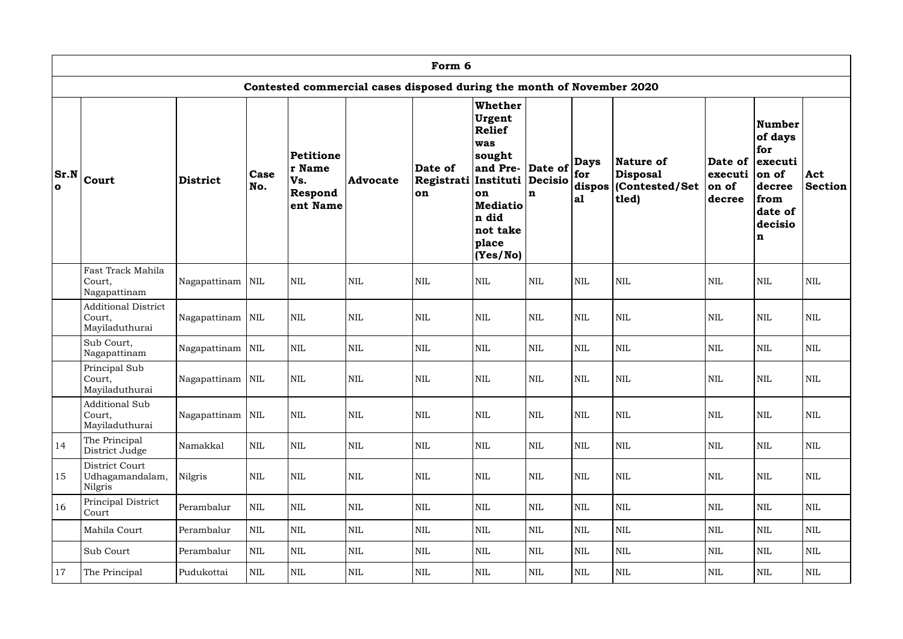|              | Form 6                                                                |                    |              |                                                   |                 |                                              |                                                                                                                                           |                                                                       |                    |                                                                                    |                                       |                                                                                           |                       |  |
|--------------|-----------------------------------------------------------------------|--------------------|--------------|---------------------------------------------------|-----------------|----------------------------------------------|-------------------------------------------------------------------------------------------------------------------------------------------|-----------------------------------------------------------------------|--------------------|------------------------------------------------------------------------------------|---------------------------------------|-------------------------------------------------------------------------------------------|-----------------------|--|
|              | Contested commercial cases disposed during the month of November 2020 |                    |              |                                                   |                 |                                              |                                                                                                                                           |                                                                       |                    |                                                                                    |                                       |                                                                                           |                       |  |
| $\mathbf{o}$ | $ Sr.N _{\text{Court}}$                                               | <b>District</b>    | Case<br>No.  | Petitione<br>r Name<br>Vs.<br>Respond<br>ent Name | <b>Advocate</b> | Date of<br>Registrati Instituti<br><b>on</b> | <b>Whether</b><br>Urgent<br><b>Relief</b><br>was<br>sought<br>and Pre-<br>on<br><b>Mediatio</b><br>n did<br>not take<br>place<br>(Yes/No) | Date of $\left \frac{1}{\text{for}}\right $<br>Decisio<br>$\mathbf n$ | <b>Days</b><br> a1 | <b>Nature of</b><br><b>Disposal</b><br>$ \textbf{dispos} $ (Contested/Set<br>tled) | Date of<br>executi<br>on of<br>decree | Number<br>of days<br>for<br>executi<br>on of<br>decree<br>from<br>date of<br>decisio<br>n | Act<br><b>Section</b> |  |
|              | Fast Track Mahila<br>Court,<br>Nagapattinam                           | Nagapattinam   NIL |              | <b>NIL</b>                                        | $\mbox{NIL}$    | <b>NIL</b>                                   | <b>NIL</b>                                                                                                                                | <b>NIL</b>                                                            | <b>NIL</b>         | <b>NIL</b>                                                                         | <b>NIL</b>                            | $\mbox{NIL}$                                                                              | <b>NIL</b>            |  |
|              | <b>Additional District</b><br>Court,<br>Mayiladuthurai                | Nagapattinam   NIL |              | <b>NIL</b>                                        | $\mbox{NIL}$    | <b>NIL</b>                                   | <b>NIL</b>                                                                                                                                | <b>NIL</b>                                                            | <b>NIL</b>         | <b>NIL</b>                                                                         | <b>NIL</b>                            | $\mbox{NIL}$                                                                              | <b>NIL</b>            |  |
|              | Sub Court,<br>Nagapattinam                                            | Nagapattinam       | NIL          | <b>NIL</b>                                        | <b>NIL</b>      | <b>NIL</b>                                   | $\mbox{NIL}$                                                                                                                              | <b>NIL</b>                                                            | <b>NIL</b>         | $\mbox{NIL}$                                                                       | $\mbox{NIL}$                          | <b>NIL</b>                                                                                | $\mbox{NIL}$          |  |
|              | Principal Sub<br>Court,<br>Mayiladuthurai                             | Nagapattinam   NIL |              | <b>NIL</b>                                        | $\mbox{NIL}$    | <b>NIL</b>                                   | <b>NIL</b>                                                                                                                                | <b>NIL</b>                                                            | <b>NIL</b>         | <b>NIL</b>                                                                         | <b>NIL</b>                            | <b>NIL</b>                                                                                | <b>NIL</b>            |  |
|              | <b>Additional Sub</b><br>Court,<br>Mayiladuthurai                     | Nagapattinam NIL   |              | $\mbox{NIL}$                                      | $\mbox{NIL}$    | <b>NIL</b>                                   | $\mbox{NIL}$                                                                                                                              | $\mbox{NIL}$                                                          | <b>NIL</b>         | $\mbox{NIL}$                                                                       | <b>NIL</b>                            | $\mbox{NIL}$                                                                              | $\mbox{NIL}$          |  |
| 14           | The Principal<br>District Judge                                       | Namakkal           | <b>NIL</b>   | $\mbox{NIL}$                                      | $\mbox{NIL}$    | <b>NIL</b>                                   | $\mbox{NIL}$                                                                                                                              | $\mbox{NIL}$                                                          | $\mbox{NIL}$       | $\mbox{NIL}$                                                                       | <b>NIL</b>                            | $\mbox{NIL}$                                                                              | NIL                   |  |
| 15           | District Court<br>Udhagamandalam,<br>Nilgris                          | Nilgris            | <b>NIL</b>   | $\mbox{NIL}$                                      | $\mbox{NIL}$    | <b>NIL</b>                                   | $\mbox{NIL}$                                                                                                                              | $\mbox{NIL}$                                                          | $\mbox{NIL}$       | $\mbox{NIL}$                                                                       | <b>NIL</b>                            | $\mbox{NIL}$                                                                              | $\mbox{NIL}$          |  |
| 16           | Principal District<br>Court                                           | Perambalur         | $\mbox{NIL}$ | $\mbox{NIL}$                                      | $\mbox{NIL}$    | <b>NIL</b>                                   | $\mbox{NIL}$                                                                                                                              | $\mbox{NIL}$                                                          | $\mbox{NIL}$       | $\mbox{NIL}$                                                                       | <b>NIL</b>                            | $\mbox{NIL}$                                                                              | $\mbox{NIL}$          |  |
|              | Mahila Court                                                          | Perambalur         | NIL          | $\mbox{NIL}$                                      | $\mbox{NIL}$    | <b>NIL</b>                                   | $\mbox{NIL}$                                                                                                                              | $\mbox{NIL}$                                                          | <b>NIL</b>         | $\mbox{NIL}$                                                                       | <b>NIL</b>                            | NIL                                                                                       | NIL                   |  |
|              | Sub Court                                                             | Perambalur         | <b>NIL</b>   | $\mbox{NIL}$                                      | $\mbox{NIL}$    | <b>NIL</b>                                   | <b>NIL</b>                                                                                                                                | $\mbox{NIL}$                                                          | <b>NIL</b>         | <b>NIL</b>                                                                         | <b>NIL</b>                            | <b>NIL</b>                                                                                | $\mbox{NIL}$          |  |
| 17           | The Principal                                                         | Pudukottai         | NIL          | $\mbox{NIL}$                                      | $\mbox{NIL}$    | <b>NIL</b>                                   | $\mbox{NIL}$                                                                                                                              | $\mbox{NIL}$                                                          | <b>NIL</b>         | NIL                                                                                | NIL                                   | $\mbox{NIL}$                                                                              | $\mbox{NIL}$          |  |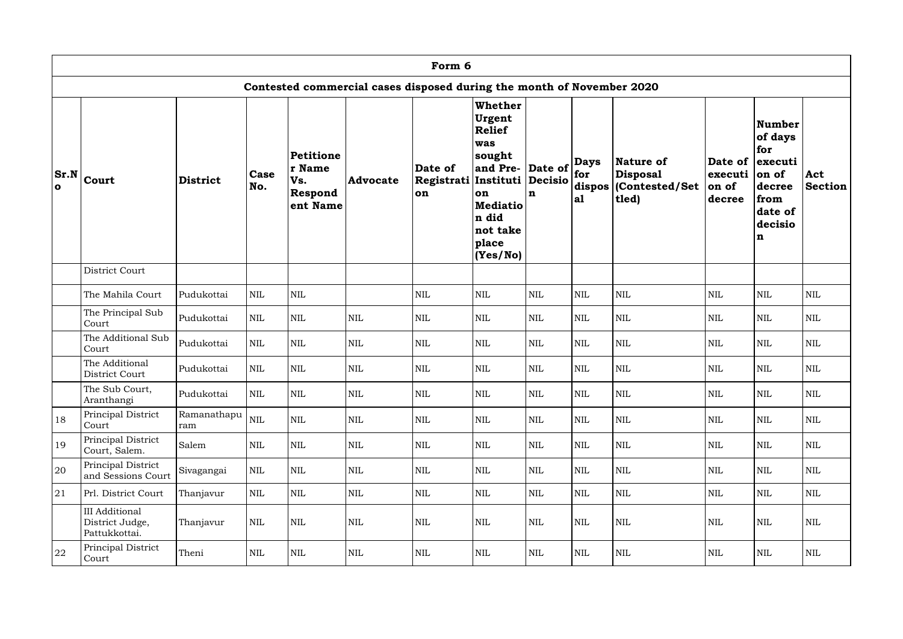|              |                                                                       |                    |              |                                                   |                 | Form 6                                               |                                                                                                                                                   |              |                           |                                                            |                            |                                                                                                              |                       |  |
|--------------|-----------------------------------------------------------------------|--------------------|--------------|---------------------------------------------------|-----------------|------------------------------------------------------|---------------------------------------------------------------------------------------------------------------------------------------------------|--------------|---------------------------|------------------------------------------------------------|----------------------------|--------------------------------------------------------------------------------------------------------------|-----------------------|--|
|              | Contested commercial cases disposed during the month of November 2020 |                    |              |                                                   |                 |                                                      |                                                                                                                                                   |              |                           |                                                            |                            |                                                                                                              |                       |  |
| $\mathbf{o}$ | $ Sr.N _{\text{Court}}$                                               | <b>District</b>    | Case<br>No.  | Petitione<br>r Name<br>Vs.<br>Respond<br>ent Name | <b>Advocate</b> | Date of<br>Registrati Instituti Decisio<br><b>on</b> | <b>Whether</b><br>Urgent<br><b>Relief</b><br>was<br>sought<br>and Pre- Date of<br>on<br><b>Mediatio</b><br>n did<br>not take<br>place<br>(Yes/No) | $\mathbf n$  | <b>Days</b><br>for<br> a1 | Nature of<br>Disposal <br>dispos   (Contested/Set<br>tled) | executi<br>on of<br>decree | Number<br>of days<br>for<br>Date of lexecuti<br>on of<br>decree<br>from<br>date of<br>decisio<br>$\mathbf n$ | Act<br><b>Section</b> |  |
|              | District Court                                                        |                    |              |                                                   |                 |                                                      |                                                                                                                                                   |              |                           |                                                            |                            |                                                                                                              |                       |  |
|              | The Mahila Court                                                      | Pudukottai         | $\mbox{NIL}$ | $\mbox{NIL}$                                      |                 | <b>NIL</b>                                           | <b>NIL</b>                                                                                                                                        | <b>NIL</b>   | <b>NIL</b>                | <b>NIL</b>                                                 | <b>NIL</b>                 | <b>NIL</b>                                                                                                   | $\mbox{NIL}$          |  |
|              | The Principal Sub<br>Court                                            | Pudukottai         | <b>NIL</b>   | <b>NIL</b>                                        | $\mbox{NIL}$    | <b>NIL</b>                                           | NIL                                                                                                                                               | <b>NIL</b>   | <b>NIL</b>                | <b>NIL</b>                                                 | <b>NIL</b>                 | <b>NIL</b>                                                                                                   | <b>NIL</b>            |  |
|              | The Additional Sub<br>Court                                           | Pudukottai         | <b>NIL</b>   | <b>NIL</b>                                        | <b>NIL</b>      | <b>NIL</b>                                           | <b>NIL</b>                                                                                                                                        | <b>NIL</b>   | <b>NIL</b>                | <b>NIL</b>                                                 | <b>NIL</b>                 | <b>NIL</b>                                                                                                   | $\mbox{NIL}$          |  |
|              | The Additional<br>District Court                                      | Pudukottai         | NIL          | <b>NIL</b>                                        | <b>NIL</b>      | <b>NIL</b>                                           | <b>NIL</b>                                                                                                                                        | <b>NIL</b>   | <b>NIL</b>                | <b>NIL</b>                                                 | <b>NIL</b>                 | <b>NIL</b>                                                                                                   | <b>NIL</b>            |  |
|              | The Sub Court,<br>Aranthangi                                          | Pudukottai         | $\mbox{NIL}$ | $\mbox{NIL}$                                      | $\mbox{NIL}$    | $\mbox{NIL}$                                         | $\mbox{NIL}$                                                                                                                                      | $\mbox{NIL}$ | $\mbox{NIL}$              | $\mbox{NIL}$                                               | $\mbox{NIL}$               | <b>NIL</b>                                                                                                   | $\mbox{NIL}$          |  |
| 18           | Principal District<br>Court                                           | Ramanathapu<br>ram | $\mbox{NIL}$ | <b>NIL</b>                                        | $\mbox{NIL}$    | <b>NIL</b>                                           | <b>NIL</b>                                                                                                                                        | <b>NIL</b>   | <b>NIL</b>                | <b>NIL</b>                                                 | <b>NIL</b>                 | <b>NIL</b>                                                                                                   | NIL                   |  |
| 19           | Principal District<br>Court, Salem.                                   | Salem              | $\mbox{NIL}$ | $\mbox{NIL}$                                      | $\mbox{NIL}$    | <b>NIL</b>                                           | <b>NIL</b>                                                                                                                                        | <b>NIL</b>   | <b>NIL</b>                | $\mbox{NIL}$                                               | <b>NIL</b>                 | <b>NIL</b>                                                                                                   | <b>NIL</b>            |  |
| 20           | Principal District<br>and Sessions Court                              | Sivagangai         | $\mbox{NIL}$ | $\mbox{NIL}$                                      | $\mbox{NIL}$    | <b>NIL</b>                                           | <b>NIL</b>                                                                                                                                        | $\mbox{NIL}$ | $\mbox{NIL}$              | <b>NIL</b>                                                 | <b>NIL</b>                 | <b>NIL</b>                                                                                                   | $\mbox{NIL}$          |  |
| 21           | Prl. District Court                                                   | Thanjavur          | NIL          | <b>NIL</b>                                        | $\mbox{NIL}$    | NIL                                                  | $\mbox{NIL}$                                                                                                                                      | <b>NIL</b>   | <b>NIL</b>                | NIL                                                        | <b>NIL</b>                 | <b>NIL</b>                                                                                                   | <b>NIL</b>            |  |
|              | <b>III</b> Additional<br>District Judge,<br>Pattukkottai.             | Thanjavur          | $\mbox{NIL}$ | $\mbox{NIL}$                                      | $\mbox{NIL}$    | <b>NIL</b>                                           | $\mbox{NIL}$                                                                                                                                      | $\mbox{NIL}$ | $\mbox{NIL}$              | NIL                                                        | <b>NIL</b>                 | <b>NIL</b>                                                                                                   | <b>NIL</b>            |  |
| 22           | Principal District<br>Court                                           | Theni              | $\mbox{NIL}$ | $\mbox{NIL}$                                      | $\mbox{NIL}$    | NIL                                                  | $\mbox{NIL}$                                                                                                                                      | $\mbox{NIL}$ | $\mbox{NIL}$              | NIL                                                        | <b>NIL</b>                 | <b>NIL</b>                                                                                                   | <b>NIL</b>            |  |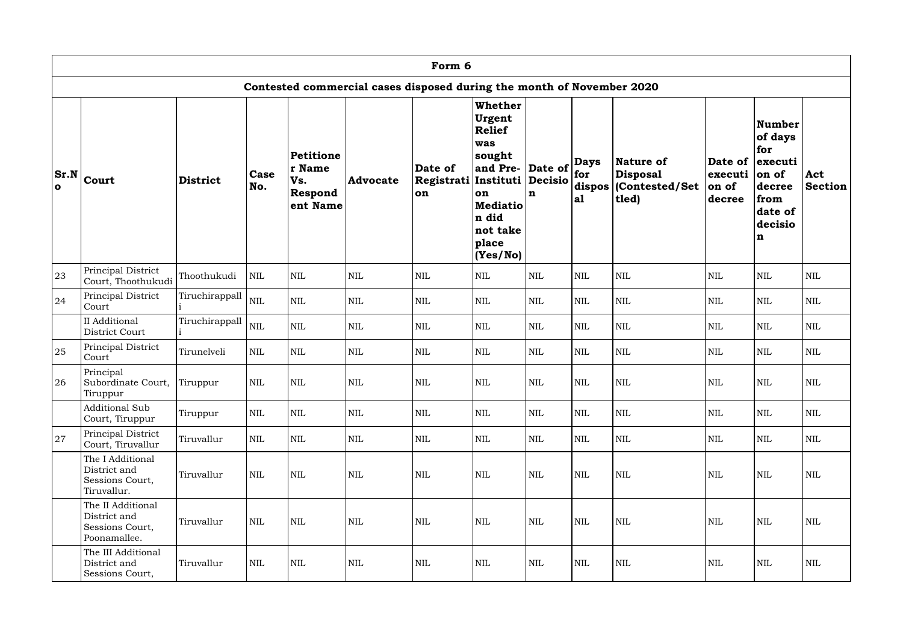|              | Form 6                                                                |                 |              |                                                   |                 |                                              |                                                                                                                                           |                                                                       |                    |                                                                                    |                                       |                                                                                                  |                       |  |
|--------------|-----------------------------------------------------------------------|-----------------|--------------|---------------------------------------------------|-----------------|----------------------------------------------|-------------------------------------------------------------------------------------------------------------------------------------------|-----------------------------------------------------------------------|--------------------|------------------------------------------------------------------------------------|---------------------------------------|--------------------------------------------------------------------------------------------------|-----------------------|--|
|              | Contested commercial cases disposed during the month of November 2020 |                 |              |                                                   |                 |                                              |                                                                                                                                           |                                                                       |                    |                                                                                    |                                       |                                                                                                  |                       |  |
| $\mathbf{o}$ | $ Sr.N _{\text{Court}}$                                               | <b>District</b> | Case<br>No.  | Petitione<br>r Name<br>Vs.<br>Respond<br>ent Name | <b>Advocate</b> | Date of<br>Registrati Instituti<br><b>on</b> | <b>Whether</b><br>Urgent<br><b>Relief</b><br>was<br>sought<br>and Pre-<br>on<br><b>Mediatio</b><br>n did<br>not take<br>place<br>(Yes/No) | Date of $\left \frac{1}{\text{for}}\right $<br>Decisio<br>$\mathbf n$ | <b>Days</b><br> a1 | <b>Nature of</b><br><b>Disposal</b><br>$ \textbf{dispos} $ (Contested/Set<br>tled) | Date of<br>executi<br>on of<br>decree | <b>Number</b><br>of days<br>for<br>executi<br>on of<br>decree<br>from<br>date of<br>decisio<br>n | Act<br><b>Section</b> |  |
| 23           | Principal District<br>Court, Thoothukudi                              | Thoothukudi     | <b>NIL</b>   | <b>NIL</b>                                        | <b>NIL</b>      | <b>NIL</b>                                   | $\mbox{NIL}$                                                                                                                              | <b>NIL</b>                                                            | <b>NIL</b>         | $\mbox{NIL}$                                                                       | <b>NIL</b>                            | <b>NIL</b>                                                                                       | $\mbox{NIL}$          |  |
| 24           | Principal District<br>Court                                           | Tiruchirappall  | $\mbox{NIL}$ | <b>NIL</b>                                        | <b>NIL</b>      | <b>NIL</b>                                   | $\mbox{NIL}$                                                                                                                              | <b>NIL</b>                                                            | $\mbox{NIL}$       | <b>NIL</b>                                                                         | <b>NIL</b>                            | <b>NIL</b>                                                                                       | <b>NIL</b>            |  |
|              | <b>II</b> Additional<br>District Court                                | Tiruchirappall  | $\mbox{NIL}$ | $\mbox{NIL}$                                      | $\mbox{NIL}$    | <b>NIL</b>                                   | <b>NIL</b>                                                                                                                                | <b>NIL</b>                                                            | <b>NIL</b>         | $\mbox{NIL}$                                                                       | <b>NIL</b>                            | $\mbox{NIL}$                                                                                     | $\mbox{NIL}$          |  |
| 25           | Principal District<br>Court                                           | Tirunelveli     | <b>NIL</b>   | $\mbox{NIL}$                                      | <b>NIL</b>      | <b>NIL</b>                                   | <b>NIL</b>                                                                                                                                | $\text{NIL}$                                                          | $\mbox{NIL}$       | $\mbox{NIL}$                                                                       | <b>NIL</b>                            | $\mbox{NIL}$                                                                                     | <b>NIL</b>            |  |
| 26           | Principal<br>Subordinate Court,<br>Tiruppur                           | Tiruppur        | NIL          | <b>NIL</b>                                        | NIL             | <b>NIL</b>                                   | <b>NIL</b>                                                                                                                                | <b>NIL</b>                                                            | <b>NIL</b>         | <b>NIL</b>                                                                         | <b>NIL</b>                            | $\mbox{NIL}$                                                                                     | NIL                   |  |
|              | <b>Additional Sub</b><br>Court, Tiruppur                              | Tiruppur        | <b>NIL</b>   | $\mbox{NIL}$                                      | $\mbox{NIL}$    | <b>NIL</b>                                   | <b>NIL</b>                                                                                                                                | $\mbox{NIL}$                                                          | <b>NIL</b>         | <b>NIL</b>                                                                         | <b>NIL</b>                            | $\mbox{NIL}$                                                                                     | <b>NIL</b>            |  |
| 27           | Principal District<br>Court, Tiruvallur                               | Tiruvallur      | <b>NIL</b>   | <b>NIL</b>                                        | $\mbox{NIL}$    | <b>NIL</b>                                   | $\mbox{NIL}$                                                                                                                              | $\mbox{NIL}$                                                          | <b>NIL</b>         | <b>NIL</b>                                                                         | <b>NIL</b>                            | <b>NIL</b>                                                                                       | <b>NIL</b>            |  |
|              | The I Additional<br>District and<br>Sessions Court,<br>Tiruvallur.    | Tiruvallur      | <b>NIL</b>   | $\mbox{NIL}$                                      | $\mbox{NIL}$    | <b>NIL</b>                                   | <b>NIL</b>                                                                                                                                | $\mbox{NIL}$                                                          | <b>NIL</b>         | <b>NIL</b>                                                                         | <b>NIL</b>                            | $\mbox{NIL}$                                                                                     | <b>NIL</b>            |  |
|              | The II Additional<br>District and<br>Sessions Court,<br>Poonamallee.  | Tiruvallur      | <b>NIL</b>   | <b>NIL</b>                                        | $\mbox{NIL}$    | <b>NIL</b>                                   | <b>NIL</b>                                                                                                                                | <b>NIL</b>                                                            | <b>NIL</b>         | <b>NIL</b>                                                                         | <b>NIL</b>                            | <b>NIL</b>                                                                                       | <b>NIL</b>            |  |
|              | The III Additional<br>District and<br>Sessions Court,                 | Tiruvallur      | <b>NIL</b>   | $\mbox{NIL}$                                      | $\mbox{NIL}$    | <b>NIL</b>                                   | $\mbox{NIL}$                                                                                                                              | <b>NIL</b>                                                            | <b>NIL</b>         | <b>NIL</b>                                                                         | <b>NIL</b>                            | <b>NIL</b>                                                                                       | NIL                   |  |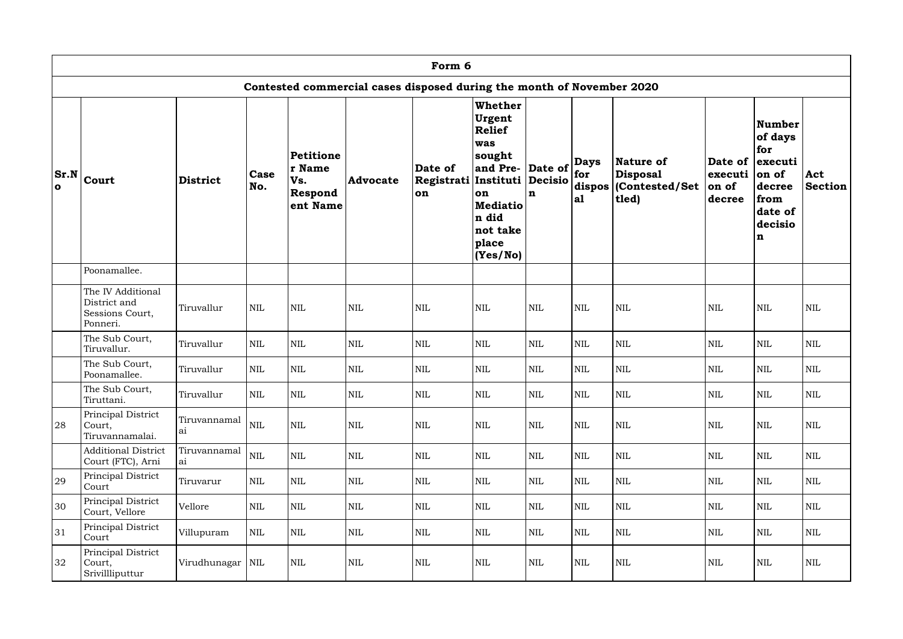|              |                                                                  |                    |              |                                                   |                                                                       | Form 6                                |                                                                                                                                           |                                                                              |                    |                                                                  |                                                |                                                                                                 |                       |
|--------------|------------------------------------------------------------------|--------------------|--------------|---------------------------------------------------|-----------------------------------------------------------------------|---------------------------------------|-------------------------------------------------------------------------------------------------------------------------------------------|------------------------------------------------------------------------------|--------------------|------------------------------------------------------------------|------------------------------------------------|-------------------------------------------------------------------------------------------------|-----------------------|
|              |                                                                  |                    |              |                                                   | Contested commercial cases disposed during the month of November 2020 |                                       |                                                                                                                                           |                                                                              |                    |                                                                  |                                                |                                                                                                 |                       |
| $\mathbf{o}$ | $ Sr.N _{\text{Court}}$                                          | <b>District</b>    | Case<br>No.  | Petitione<br>r Name<br>Vs.<br>Respond<br>ent Name | <b>Advocate</b>                                                       | Date of<br>Registrati Instituti<br>on | <b>Whether</b><br>Urgent<br><b>Relief</b><br>was<br>sought<br>and Pre-<br>on<br><b>Mediatio</b><br>n did<br>not take<br>place<br>(Yes/No) | Date of $\left \frac{1}{\text{for}}\right $<br><b>Decisio</b><br>$\mathbf n$ | <b>Days</b><br> a1 | Nature of<br><b>Disposal</b><br>dispos   (Contested/Set<br>tled) | Date of lexecuti<br>executi<br>on of<br>decree | <b>Number</b><br>of days<br>for<br>on of<br>decree<br>from<br>date of<br>decisio<br>$\mathbf n$ | Act<br><b>Section</b> |
|              | Poonamallee.                                                     |                    |              |                                                   |                                                                       |                                       |                                                                                                                                           |                                                                              |                    |                                                                  |                                                |                                                                                                 |                       |
|              | The IV Additional<br>District and<br>Sessions Court,<br>Ponneri. | Tiruvallur         | <b>NIL</b>   | <b>NIL</b>                                        | $\mbox{NIL}$                                                          | <b>NIL</b>                            | <b>NIL</b>                                                                                                                                | <b>NIL</b>                                                                   | <b>NIL</b>         | <b>NIL</b>                                                       | <b>NIL</b>                                     | <b>NIL</b>                                                                                      | <b>NIL</b>            |
|              | The Sub Court,<br>Tiruvallur.                                    | Tiruvallur         | <b>NIL</b>   | <b>NIL</b>                                        | $\mbox{NIL}$                                                          | <b>NIL</b>                            | <b>NIL</b>                                                                                                                                | <b>NIL</b>                                                                   | $\mbox{NIL}$       | <b>NIL</b>                                                       | <b>NIL</b>                                     | <b>NIL</b>                                                                                      | $\mbox{NIL}$          |
|              | The Sub Court,<br>Poonamallee.                                   | Tiruvallur         | <b>NIL</b>   | <b>NIL</b>                                        | <b>NIL</b>                                                            | <b>NIL</b>                            | <b>NIL</b>                                                                                                                                | <b>NIL</b>                                                                   | <b>NIL</b>         | <b>NIL</b>                                                       | <b>NIL</b>                                     | <b>NIL</b>                                                                                      | <b>NIL</b>            |
|              | The Sub Court,<br>Tiruttani.                                     | Tiruvallur         | $\mbox{NIL}$ | $\mbox{NIL}$                                      | $\mbox{NIL}$                                                          | <b>NIL</b>                            | $\mbox{NIL}$                                                                                                                              | $\mbox{NIL}$                                                                 | $\mbox{NIL}$       | $\mbox{NIL}$                                                     | $\mbox{NIL}$                                   | <b>NIL</b>                                                                                      | $\mbox{NIL}$          |
| 28           | Principal District<br>Court,<br>Tiruvannamalai.                  | Tiruvannamal<br>ai | $\mbox{NIL}$ | $\mbox{NIL}$                                      | $\mbox{NIL}$                                                          | <b>NIL</b>                            | <b>NIL</b>                                                                                                                                | $\mbox{NIL}$                                                                 | <b>NIL</b>         | <b>NIL</b>                                                       | <b>NIL</b>                                     | <b>NIL</b>                                                                                      | $\mbox{NIL}$          |
|              | <b>Additional District</b><br>Court (FTC), Arni                  | Tiruvannamal<br>ai | $\mbox{NIL}$ | $\mbox{NIL}$                                      | $\mbox{NIL}$                                                          | <b>NIL</b>                            | <b>NIL</b>                                                                                                                                | $\mbox{NIL}$                                                                 | <b>NIL</b>         | <b>NIL</b>                                                       | <b>NIL</b>                                     | NIL                                                                                             | NIL                   |
| 29           | Principal District<br>Court                                      | Tiruvarur          | NIL          | $\mbox{NIL}$                                      | $\mbox{NIL}$                                                          | NIL                                   | $\mbox{NIL}$                                                                                                                              | $\mbox{NIL}$                                                                 | <b>NIL</b>         | <b>NIL</b>                                                       | <b>NIL</b>                                     | <b>NIL</b>                                                                                      | NIL                   |
| 30           | Principal District<br>Court, Vellore                             | Vellore            | NIL          | $\mbox{NIL}$                                      | $\mbox{NIL}$                                                          | NIL                                   | <b>NIL</b>                                                                                                                                | $\rm NIL$                                                                    | <b>NIL</b>         | <b>NIL</b>                                                       | <b>NIL</b>                                     | <b>NIL</b>                                                                                      | NIL                   |
| 31           | Principal District<br>Court                                      | Villupuram         | <b>NIL</b>   | $\mbox{NIL}$                                      | $\mbox{NIL}$                                                          | <b>NIL</b>                            | <b>NIL</b>                                                                                                                                | <b>NIL</b>                                                                   | <b>NIL</b>         | <b>NIL</b>                                                       | <b>NIL</b>                                     | <b>NIL</b>                                                                                      | <b>NIL</b>            |
| 32           | Principal District<br>Court,<br>Srivillliputtur                  | Virudhunagar  NIL  |              | $\mbox{NIL}$                                      | <b>NIL</b>                                                            | <b>NIL</b>                            | <b>NIL</b>                                                                                                                                | $\mbox{NIL}$                                                                 | <b>NIL</b>         | <b>NIL</b>                                                       | <b>NIL</b>                                     | <b>NIL</b>                                                                                      | <b>NIL</b>            |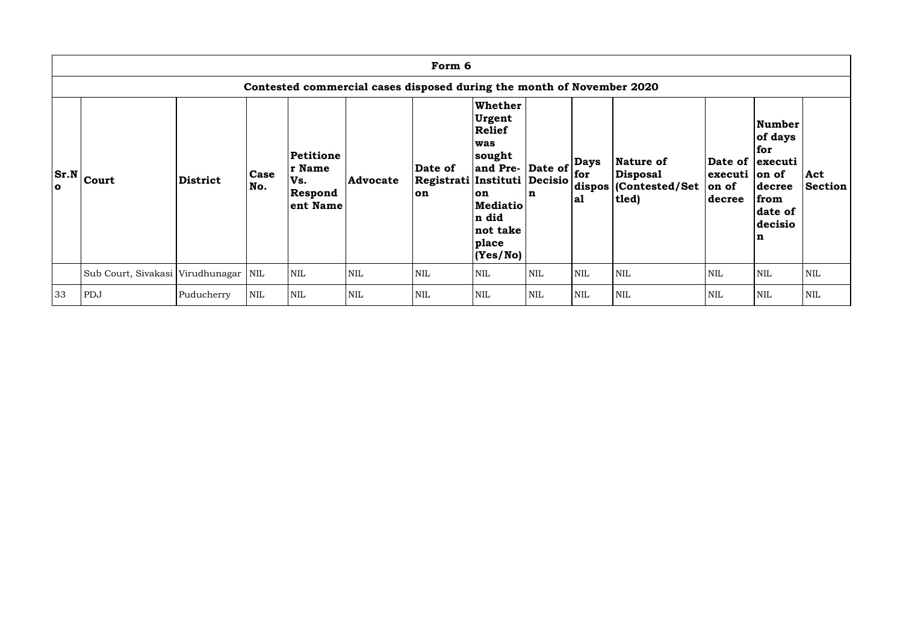|           | Form 6                                                                |                 |                    |                                                   |                 |                                                      |                                                                                                                                                  |                                            |                    |                                                                  |                                          |                                                                                                      |                       |
|-----------|-----------------------------------------------------------------------|-----------------|--------------------|---------------------------------------------------|-----------------|------------------------------------------------------|--------------------------------------------------------------------------------------------------------------------------------------------------|--------------------------------------------|--------------------|------------------------------------------------------------------|------------------------------------------|------------------------------------------------------------------------------------------------------|-----------------------|
|           | Contested commercial cases disposed during the month of November 2020 |                 |                    |                                                   |                 |                                                      |                                                                                                                                                  |                                            |                    |                                                                  |                                          |                                                                                                      |                       |
| $\bullet$ | $ Sr.N _{\text{Court}}$                                               | <b>District</b> | <b>Case</b><br>No. | Petitione<br>r Name<br>Vs.<br>Respond<br>ent Name | <b>Advocate</b> | Date of<br>Registrati Instituti Decisio<br><b>on</b> | <b>Whether</b><br><b>Urgent</b><br><b>Relief</b><br>was<br>sought<br>and Pre-<br>on<br><b>Mediatio</b><br>n did<br>not take<br>place<br>(Yes/No) | $\vert$ Date of $\vert$ for<br>$\mathbf n$ | <b>Days</b><br> a1 | Nature of<br><b>Disposal</b><br>dispos   (Contested/Set<br> tled | $ $ executi $ $ on of<br>on of<br>decree | Number<br>of days<br>for<br>Date of   executi<br>decree<br>from<br>date of<br>decisio<br>$\mathbf n$ | Act<br><b>Section</b> |
|           | Sub Court, Sivakasi Virudhunagar   NIL                                |                 |                    | <b>NIL</b>                                        | <b>NIL</b>      | <b>NIL</b>                                           | <b>NIL</b>                                                                                                                                       | <b>NIL</b>                                 | <b>NIL</b>         | <b>NIL</b>                                                       | <b>NIL</b>                               | <b>NIL</b>                                                                                           | <b>NIL</b>            |
| 33        | PDJ                                                                   | Puducherry      | <b>NIL</b>         | <b>NIL</b>                                        | <b>NIL</b>      | <b>NIL</b>                                           | <b>NIL</b>                                                                                                                                       | <b>NIL</b>                                 | <b>NIL</b>         | NIL                                                              | <b>NIL</b>                               | <b>NIL</b>                                                                                           | <b>NIL</b>            |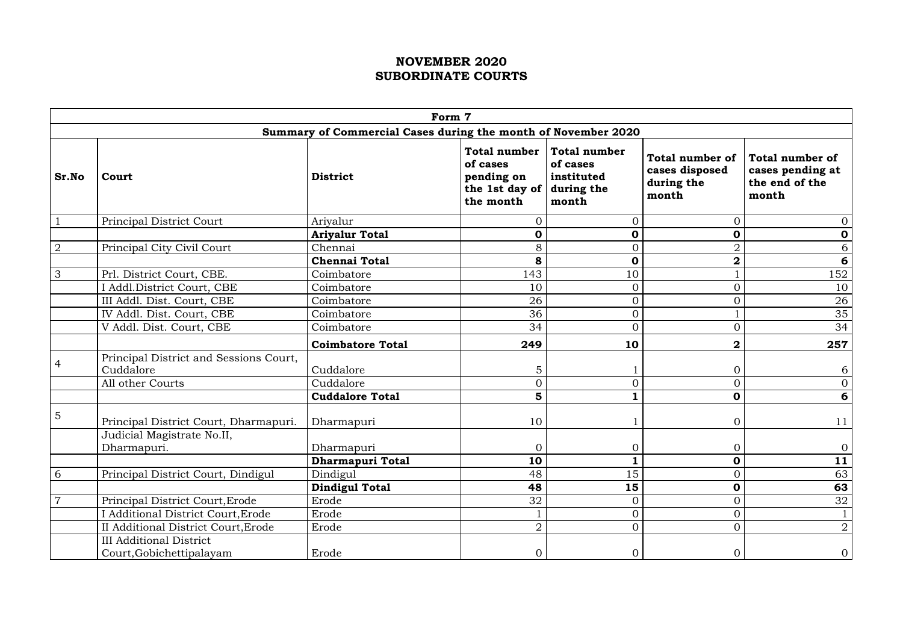|                |                                                                                    | Form 7                                                        |                                                                              |                                                                      |                                                                 |                                                                       |
|----------------|------------------------------------------------------------------------------------|---------------------------------------------------------------|------------------------------------------------------------------------------|----------------------------------------------------------------------|-----------------------------------------------------------------|-----------------------------------------------------------------------|
|                |                                                                                    | Summary of Commercial Cases during the month of November 2020 |                                                                              |                                                                      |                                                                 |                                                                       |
| Sr.No          | Court                                                                              | <b>District</b>                                               | <b>Total number</b><br>of cases<br>pending on<br>the 1st day of<br>the month | <b>Total number</b><br>of cases<br>instituted<br>during the<br>month | <b>Total number of</b><br>cases disposed<br>during the<br>month | <b>Total number of</b><br>cases pending at<br>the end of the<br>month |
|                | <b>Principal District Court</b>                                                    | Ariyalur                                                      | $\overline{0}$                                                               | $\overline{0}$                                                       | $\overline{0}$                                                  | $\overline{0}$                                                        |
|                |                                                                                    | <b>Ariyalur Total</b>                                         | $\mathbf 0$                                                                  | $\mathbf 0$                                                          | 0                                                               | $\mathbf 0$                                                           |
| $\overline{2}$ | Principal City Civil Court                                                         | Chennai                                                       | 8                                                                            | $\overline{0}$                                                       | $\overline{2}$                                                  | 6                                                                     |
|                |                                                                                    | <b>Chennai Total</b>                                          | 8                                                                            | $\mathbf 0$                                                          | $\overline{\mathbf{2}}$                                         | 6                                                                     |
| 3              | Prl. District Court, CBE.                                                          | Coimbatore                                                    | 143                                                                          | 10                                                                   |                                                                 | 152                                                                   |
|                | I Addl. District Court, CBE                                                        | Coimbatore                                                    | 10                                                                           | $\overline{0}$                                                       | $\overline{0}$                                                  | 10                                                                    |
|                | III Addl. Dist. Court, CBE                                                         | Coimbatore                                                    | 26                                                                           | $\overline{0}$                                                       | $\overline{0}$                                                  | 26                                                                    |
|                | IV Addl. Dist. Court, CBE                                                          | Coimbatore                                                    | 36                                                                           | $\overline{0}$                                                       |                                                                 | 35                                                                    |
|                | V Addl. Dist. Court, CBE                                                           | Coimbatore                                                    | 34                                                                           | $\overline{0}$                                                       | $\overline{0}$                                                  | 34                                                                    |
|                |                                                                                    | <b>Coimbatore Total</b>                                       | 249                                                                          | 10                                                                   | $\bf{2}$                                                        | 257                                                                   |
|                | Principal District and Sessions Court,<br>Cuddalore<br>All other Courts            | Cuddalore<br>Cuddalore                                        | 5<br>$\overline{0}$                                                          | $\Omega$                                                             | $\boldsymbol{0}$<br>$\overline{0}$                              | 6<br>$\overline{0}$                                                   |
|                |                                                                                    | <b>Cuddalore Total</b>                                        | 5                                                                            |                                                                      | $\mathbf 0$                                                     | 6                                                                     |
| $\overline{5}$ | Principal District Court, Dharmapuri.<br>Judicial Magistrate No.II,<br>Dharmapuri. | Dharmapuri<br>Dharmapuri                                      | 10<br>$\overline{0}$                                                         | $\overline{0}$                                                       | $\overline{O}$<br>$\overline{0}$                                | 11<br>$\overline{0}$                                                  |
|                |                                                                                    | <b>Dharmapuri Total</b>                                       | 10                                                                           | 1                                                                    | $\boldsymbol{0}$                                                | 11                                                                    |
| 6              | Principal District Court, Dindigul                                                 | Dindigul                                                      | 48                                                                           | 15                                                                   | $\overline{0}$                                                  | 63                                                                    |
|                |                                                                                    | <b>Dindigul Total</b>                                         | 48                                                                           | 15                                                                   | $\mathbf 0$                                                     | 63                                                                    |
|                | Principal District Court, Erode                                                    | Erode                                                         | 32                                                                           | $\overline{0}$                                                       | $\overline{0}$                                                  | 32                                                                    |
|                | I Additional District Court, Erode                                                 | Erode                                                         |                                                                              | $\overline{0}$                                                       | $\overline{0}$                                                  |                                                                       |
|                | II Additional District Court, Erode                                                | Erode                                                         | $\overline{2}$                                                               | $\overline{0}$                                                       | $\overline{0}$                                                  | $\overline{2}$                                                        |
|                | <b>III Additional District</b><br>Court, Gobichettipalayam                         | Erode                                                         | ∩                                                                            | $\Omega$                                                             | $\overline{O}$                                                  | $\mathbf{O}$                                                          |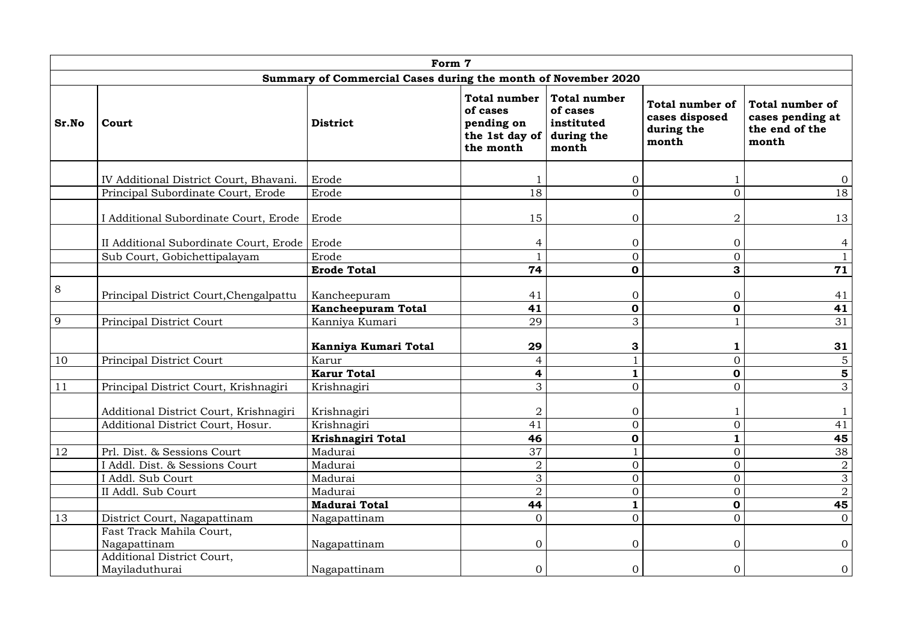|       | Form 7                                         |                                                               |                                                                              |                                                                      |                                                          |                                                                       |  |  |  |  |  |  |  |
|-------|------------------------------------------------|---------------------------------------------------------------|------------------------------------------------------------------------------|----------------------------------------------------------------------|----------------------------------------------------------|-----------------------------------------------------------------------|--|--|--|--|--|--|--|
|       |                                                | Summary of Commercial Cases during the month of November 2020 |                                                                              |                                                                      |                                                          |                                                                       |  |  |  |  |  |  |  |
| Sr.No | Court                                          | <b>District</b>                                               | <b>Total number</b><br>of cases<br>pending on<br>the 1st day of<br>the month | <b>Total number</b><br>of cases<br>instituted<br>during the<br>month | Total number of<br>cases disposed<br>during the<br>month | <b>Total number of</b><br>cases pending at<br>the end of the<br>month |  |  |  |  |  |  |  |
|       | IV Additional District Court, Bhavani.         | Erode                                                         |                                                                              | $\overline{0}$                                                       |                                                          | $\overline{0}$                                                        |  |  |  |  |  |  |  |
|       | Principal Subordinate Court, Erode             | Erode                                                         | 18                                                                           | $\overline{0}$                                                       | $\overline{0}$                                           | 18                                                                    |  |  |  |  |  |  |  |
|       | I Additional Subordinate Court, Erode          | Erode                                                         | 15                                                                           | $\overline{0}$                                                       | 2                                                        | 13                                                                    |  |  |  |  |  |  |  |
|       | II Additional Subordinate Court, Erode   Erode |                                                               | 4                                                                            | $\overline{0}$                                                       | $\overline{0}$                                           | 4                                                                     |  |  |  |  |  |  |  |
|       | Sub Court, Gobichettipalayam                   | Erode                                                         |                                                                              | $\overline{0}$                                                       | $\overline{0}$                                           | $\mathbf{1}$                                                          |  |  |  |  |  |  |  |
|       |                                                | <b>Erode Total</b>                                            | 74                                                                           | $\mathbf 0$                                                          | 3                                                        | 71                                                                    |  |  |  |  |  |  |  |
| 8     | Principal District Court, Chengalpattu         | Kancheepuram<br><b>Kancheepuram Total</b>                     | 41<br>41                                                                     | $\overline{0}$<br>$\mathbf 0$                                        | $\overline{0}$<br>$\mathbf 0$                            | 41<br>41                                                              |  |  |  |  |  |  |  |
| 9     | <b>Principal District Court</b>                | Kanniya Kumari                                                | 29                                                                           | 3                                                                    |                                                          | 31                                                                    |  |  |  |  |  |  |  |
|       |                                                | Kanniya Kumari Total                                          | 29                                                                           | 3                                                                    | 1                                                        | 31                                                                    |  |  |  |  |  |  |  |
| 10    | Principal District Court                       | Karur                                                         | 4                                                                            |                                                                      | $\overline{0}$                                           | $\overline{5}$                                                        |  |  |  |  |  |  |  |
|       |                                                | <b>Karur Total</b>                                            | 4                                                                            |                                                                      | $\mathbf 0$                                              | 5                                                                     |  |  |  |  |  |  |  |
| 11    | Principal District Court, Krishnagiri          | Krishnagiri                                                   | 3                                                                            | $\overline{0}$                                                       | $\overline{0}$                                           | 3                                                                     |  |  |  |  |  |  |  |
|       | Additional District Court, Krishnagiri         | Krishnagiri                                                   | $\overline{2}$                                                               | $\overline{0}$                                                       |                                                          |                                                                       |  |  |  |  |  |  |  |
|       | Additional District Court, Hosur.              | Krishnagiri                                                   | 41                                                                           | $\mathbf{0}$                                                         | $\overline{0}$                                           | 41                                                                    |  |  |  |  |  |  |  |
|       |                                                | Krishnagiri Total                                             | 46                                                                           | $\mathbf 0$                                                          | 1                                                        | 45                                                                    |  |  |  |  |  |  |  |
| 12    | Prl. Dist. & Sessions Court                    | Madurai                                                       | 37                                                                           |                                                                      | $\overline{0}$                                           | 38                                                                    |  |  |  |  |  |  |  |
|       | I Addl. Dist. & Sessions Court                 | Madurai<br>Madurai                                            | $\overline{2}$                                                               | $\overline{0}$<br>$\overline{0}$                                     | $\overline{0}$<br>$\overline{0}$                         | $\overline{2}$                                                        |  |  |  |  |  |  |  |
|       | I Addl. Sub Court<br>II Addl. Sub Court        | Madurai                                                       | 3<br>$\overline{2}$                                                          | $\Omega$                                                             | $\overline{0}$                                           | $\mathfrak{S}$<br>$\overline{2}$                                      |  |  |  |  |  |  |  |
|       |                                                | <b>Madurai Total</b>                                          | 44                                                                           |                                                                      | $\mathbf 0$                                              | 45                                                                    |  |  |  |  |  |  |  |
| 13    | District Court, Nagapattinam                   | Nagapattinam                                                  | $\overline{0}$                                                               | $\overline{0}$                                                       | $\overline{0}$                                           | $\overline{0}$                                                        |  |  |  |  |  |  |  |
|       | Fast Track Mahila Court,                       |                                                               |                                                                              |                                                                      |                                                          |                                                                       |  |  |  |  |  |  |  |
|       | Nagapattinam                                   | Nagapattinam                                                  | $\overline{0}$                                                               | $\overline{0}$                                                       | $\overline{O}$                                           | $\overline{0}$                                                        |  |  |  |  |  |  |  |
|       | Additional District Court,<br>Mayiladuthurai   | Nagapattinam                                                  | $\Omega$                                                                     | $\Omega$                                                             | $\overline{0}$                                           | $\overline{0}$                                                        |  |  |  |  |  |  |  |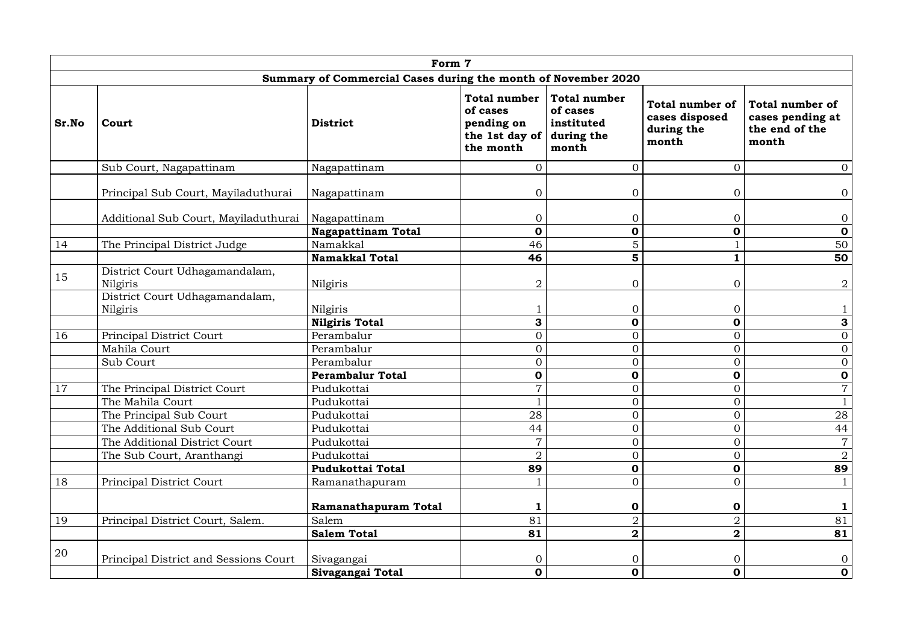|       | Form 7                                     |                                                               |                                                                              |                                                                      |                                                                 |                                                                       |  |  |  |  |  |  |  |
|-------|--------------------------------------------|---------------------------------------------------------------|------------------------------------------------------------------------------|----------------------------------------------------------------------|-----------------------------------------------------------------|-----------------------------------------------------------------------|--|--|--|--|--|--|--|
|       |                                            | Summary of Commercial Cases during the month of November 2020 |                                                                              |                                                                      |                                                                 |                                                                       |  |  |  |  |  |  |  |
| Sr.No | Court                                      | <b>District</b>                                               | <b>Total number</b><br>of cases<br>pending on<br>the 1st day of<br>the month | <b>Total number</b><br>of cases<br>instituted<br>during the<br>month | <b>Total number of</b><br>cases disposed<br>during the<br>month | <b>Total number of</b><br>cases pending at<br>the end of the<br>month |  |  |  |  |  |  |  |
|       | Sub Court, Nagapattinam                    | Nagapattinam                                                  | $\overline{0}$                                                               | $\overline{0}$                                                       | $\overline{O}$                                                  | $\overline{0}$                                                        |  |  |  |  |  |  |  |
|       | Principal Sub Court, Mayiladuthurai        | Nagapattinam                                                  | $\overline{0}$                                                               | $\overline{0}$                                                       | $\overline{0}$                                                  | $\overline{O}$                                                        |  |  |  |  |  |  |  |
|       | Additional Sub Court, Mayiladuthurai       | Nagapattinam                                                  | $\overline{0}$                                                               | $\overline{0}$                                                       | $\overline{0}$                                                  | $\overline{O}$                                                        |  |  |  |  |  |  |  |
| 14    |                                            | <b>Nagapattinam Total</b><br>Namakkal                         | $\boldsymbol{0}$<br>46                                                       | $\mathbf 0$<br>5                                                     | $\mathbf 0$                                                     | $\mathbf 0$                                                           |  |  |  |  |  |  |  |
|       | The Principal District Judge               | <b>Namakkal Total</b>                                         | 46                                                                           | 5                                                                    | $\mathbf{1}$                                                    | 50<br>50                                                              |  |  |  |  |  |  |  |
| 15    | District Court Udhagamandalam,<br>Nilgiris | Nilgiris                                                      | $\overline{2}$                                                               | $\overline{0}$                                                       | $\overline{0}$                                                  | $\overline{2}$                                                        |  |  |  |  |  |  |  |
|       | District Court Udhagamandalam,<br>Nilgiris | Nilgiris                                                      |                                                                              | $\overline{0}$                                                       | $\overline{0}$                                                  |                                                                       |  |  |  |  |  |  |  |
|       |                                            | <b>Nilgiris Total</b>                                         | 3                                                                            | $\mathbf 0$                                                          | $\mathbf 0$                                                     | 3                                                                     |  |  |  |  |  |  |  |
| 16    | Principal District Court                   | Perambalur                                                    | $\overline{0}$                                                               | $\overline{0}$                                                       | $\overline{O}$                                                  | $\overline{0}$                                                        |  |  |  |  |  |  |  |
|       | Mahila Court                               | Perambalur                                                    | $\overline{0}$                                                               | $\overline{0}$                                                       | $\overline{O}$                                                  | $\overline{0}$                                                        |  |  |  |  |  |  |  |
|       | Sub Court                                  | Perambalur                                                    | $\Omega$                                                                     | $\overline{0}$                                                       | $\overline{0}$                                                  | $\overline{0}$                                                        |  |  |  |  |  |  |  |
|       |                                            | <b>Perambalur Total</b>                                       | $\mathbf 0$                                                                  | $\mathbf 0$                                                          | $\mathbf 0$                                                     | $\mathbf 0$                                                           |  |  |  |  |  |  |  |
| 17    | The Principal District Court               | Pudukottai                                                    | $\overline{7}$                                                               | $\overline{O}$                                                       | $\overline{0}$                                                  | $\overline{7}$                                                        |  |  |  |  |  |  |  |
|       | The Mahila Court                           | Pudukottai                                                    |                                                                              | $\overline{0}$                                                       | $\overline{O}$                                                  | $\mathbf{1}$                                                          |  |  |  |  |  |  |  |
|       | The Principal Sub Court                    | Pudukottai                                                    | 28                                                                           | $\overline{0}$                                                       | $\overline{0}$                                                  | 28                                                                    |  |  |  |  |  |  |  |
|       | The Additional Sub Court                   | Pudukottai                                                    | 44                                                                           | $\overline{0}$                                                       | $\overline{O}$                                                  | 44                                                                    |  |  |  |  |  |  |  |
|       | The Additional District Court              | Pudukottai                                                    | $\overline{7}$                                                               | $\overline{0}$                                                       | $\overline{0}$                                                  | $\overline{7}$                                                        |  |  |  |  |  |  |  |
|       | The Sub Court, Aranthangi                  | Pudukottai                                                    | $\overline{2}$                                                               | $\overline{0}$                                                       | $\overline{O}$                                                  | $\overline{2}$                                                        |  |  |  |  |  |  |  |
|       |                                            | <b>Pudukottai Total</b>                                       | 89                                                                           | $\boldsymbol{0}$                                                     | $\mathbf 0$                                                     | 89                                                                    |  |  |  |  |  |  |  |
| 18    | Principal District Court                   | Ramanathapuram                                                |                                                                              | $\overline{0}$                                                       | $\overline{O}$                                                  | $\mathbf{1}$                                                          |  |  |  |  |  |  |  |
|       |                                            | <b>Ramanathapuram Total</b>                                   | 1                                                                            | $\boldsymbol{0}$                                                     | $\mathbf 0$                                                     | $\mathbf{1}$                                                          |  |  |  |  |  |  |  |
| 19    | Principal District Court, Salem.           | Salem                                                         | 81                                                                           | $\overline{2}$                                                       | $\overline{2}$                                                  | 81                                                                    |  |  |  |  |  |  |  |
|       |                                            | <b>Salem Total</b>                                            | 81                                                                           | $\overline{\mathbf{2}}$                                              | $\mathbf{2}$                                                    | 81                                                                    |  |  |  |  |  |  |  |
| 20    | Principal District and Sessions Court      | Sivagangai                                                    | $\overline{0}$                                                               | $\overline{0}$                                                       | $\overline{O}$                                                  | $\overline{O}$                                                        |  |  |  |  |  |  |  |
|       |                                            | Sivagangai Total                                              | $\mathbf 0$                                                                  | $\mathbf 0$                                                          | $\mathbf 0$                                                     | $\mathbf 0$                                                           |  |  |  |  |  |  |  |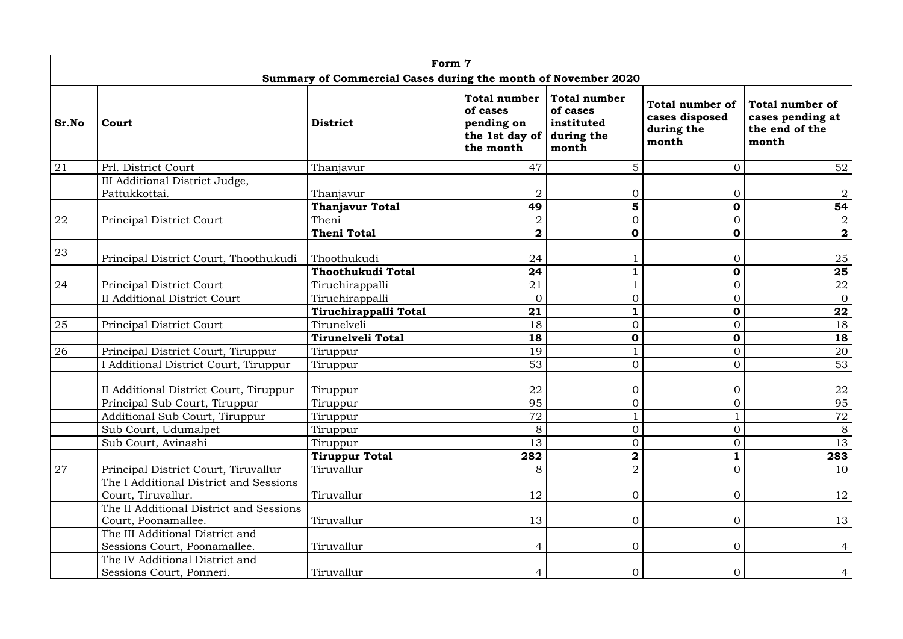| Form 7<br>Summary of Commercial Cases during the month of November 2020 |                                                                 |                          |                |                  |                |                         |  |  |  |
|-------------------------------------------------------------------------|-----------------------------------------------------------------|--------------------------|----------------|------------------|----------------|-------------------------|--|--|--|
|                                                                         |                                                                 |                          |                |                  |                |                         |  |  |  |
| 21                                                                      | Prl. District Court                                             | Thanjavur                | 47             | 5                | $\overline{0}$ | 52                      |  |  |  |
|                                                                         | III Additional District Judge,<br>Pattukkottai.                 | Thanjavur                | $\overline{2}$ | $\overline{0}$   | $\overline{0}$ | $\overline{2}$          |  |  |  |
|                                                                         |                                                                 | <b>Thanjavur Total</b>   | 49             | 5                | $\mathbf 0$    | 54                      |  |  |  |
| 22                                                                      | Principal District Court                                        | Theni                    | $\overline{2}$ | $\overline{O}$   | $\overline{O}$ | $\overline{2}$          |  |  |  |
|                                                                         |                                                                 | <b>Theni Total</b>       | $\mathbf 2$    | $\mathbf 0$      | $\mathbf 0$    | $\overline{\mathbf{2}}$ |  |  |  |
| 23                                                                      | Principal District Court, Thoothukudi                           | Thoothukudi              | 24             |                  | $\overline{0}$ | 25                      |  |  |  |
|                                                                         |                                                                 | Thoothukudi Total        | 24             | $\mathbf{1}$     | $\mathbf 0$    | 25                      |  |  |  |
| 24                                                                      | Principal District Court                                        | Tiruchirappalli          | 21             |                  | $\overline{O}$ | 22                      |  |  |  |
|                                                                         | <b>II Additional District Court</b>                             | Tiruchirappalli          | $\overline{0}$ | $\overline{0}$   | $\overline{O}$ | $\overline{0}$          |  |  |  |
|                                                                         |                                                                 | Tiruchirappalli Total    | 21             | $\mathbf{1}$     | $\mathbf 0$    | 22                      |  |  |  |
| 25                                                                      | Principal District Court                                        | Tirunelveli              | 18             | $\overline{0}$   | $\overline{O}$ | 18                      |  |  |  |
|                                                                         |                                                                 | <b>Tirunelveli Total</b> | 18             | $\boldsymbol{0}$ | $\mathbf 0$    | 18                      |  |  |  |
| 26                                                                      | Principal District Court, Tiruppur                              | Tiruppur                 | 19             |                  | $\overline{O}$ | 20                      |  |  |  |
|                                                                         | Additional District Court, Tiruppur                             | Tiruppur                 | 53             | $\overline{0}$   | $\overline{0}$ | 53                      |  |  |  |
|                                                                         | II Additional District Court, Tiruppur                          | Tiruppur                 | 22             | $\Omega$         | $\overline{0}$ | 22                      |  |  |  |
|                                                                         | Principal Sub Court, Tiruppur                                   | Tiruppur                 | 95             | $\overline{0}$   | $\overline{O}$ | 95                      |  |  |  |
|                                                                         | Additional Sub Court, Tiruppur                                  | Tiruppur                 | 72             |                  |                | 72                      |  |  |  |
|                                                                         | Sub Court, Udumalpet                                            | Tiruppur                 | 8              | $\overline{0}$   | $\overline{O}$ | 8                       |  |  |  |
|                                                                         | Sub Court, Avinashi                                             | Tiruppur                 | 13             | $\overline{0}$   | $\overline{O}$ | 13                      |  |  |  |
|                                                                         |                                                                 | <b>Tiruppur Total</b>    | 282            | $\overline{2}$   | 1              | 283                     |  |  |  |
| 27                                                                      | Principal District Court, Tiruvallur                            | Tiruvallur               | 8              | $\overline{2}$   | $\overline{O}$ | 10                      |  |  |  |
|                                                                         | The I Additional District and Sessions<br>Court, Tiruvallur.    | Tiruvallur               | 12             | $\overline{0}$   | $\overline{0}$ | 12                      |  |  |  |
|                                                                         | The II Additional District and Sessions<br>Court, Poonamallee.  | Tiruvallur               | 13             | $\overline{0}$   | $\overline{O}$ | 13                      |  |  |  |
|                                                                         | The III Additional District and<br>Sessions Court, Poonamallee. | Tiruvallur               | 4              | $\overline{0}$   | $\overline{0}$ | 4                       |  |  |  |
|                                                                         | The IV Additional District and<br>Sessions Court, Ponneri.      | Tiruvallur               | 4              | $\Omega$         | $\overline{0}$ |                         |  |  |  |